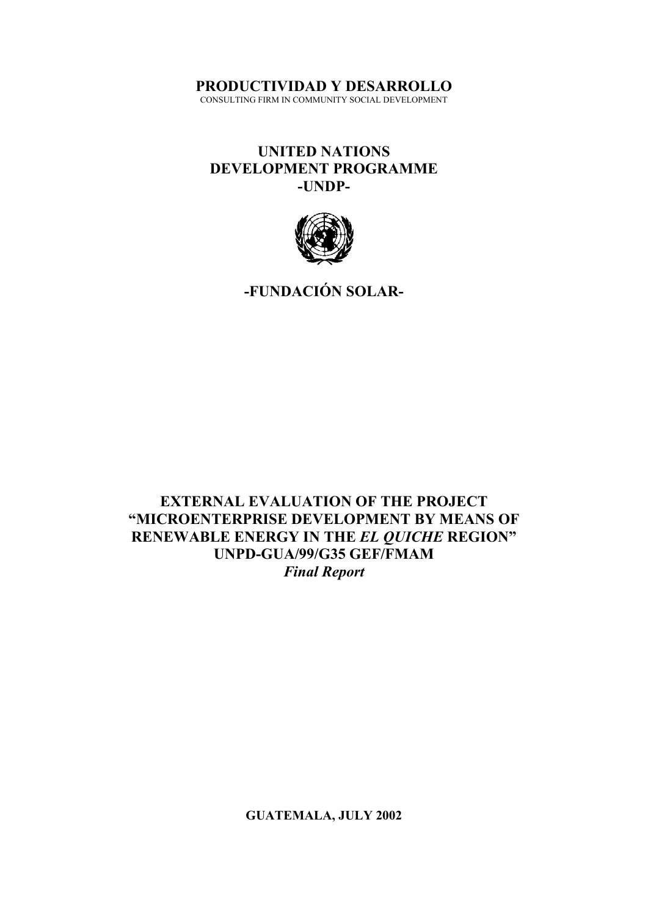**PRODUCTIVIDAD Y DESARROLLO**

CONSULTING FIRM IN COMMUNITY SOCIAL DEVELOPMENT

# **UNITED NATIONS DEVELOPMENT PROGRAMME -UNDP-**



**-FUNDACIÓN SOLAR-**

**EXTERNAL EVALUATION OF THE PROJECT "MICROENTERPRISE DEVELOPMENT BY MEANS OF RENEWABLE ENERGY IN THE** *EL QUICHE* **REGION" UNPD-GUA/99/G35 GEF/FMAM** *Final Report*

**GUATEMALA, JULY 2002**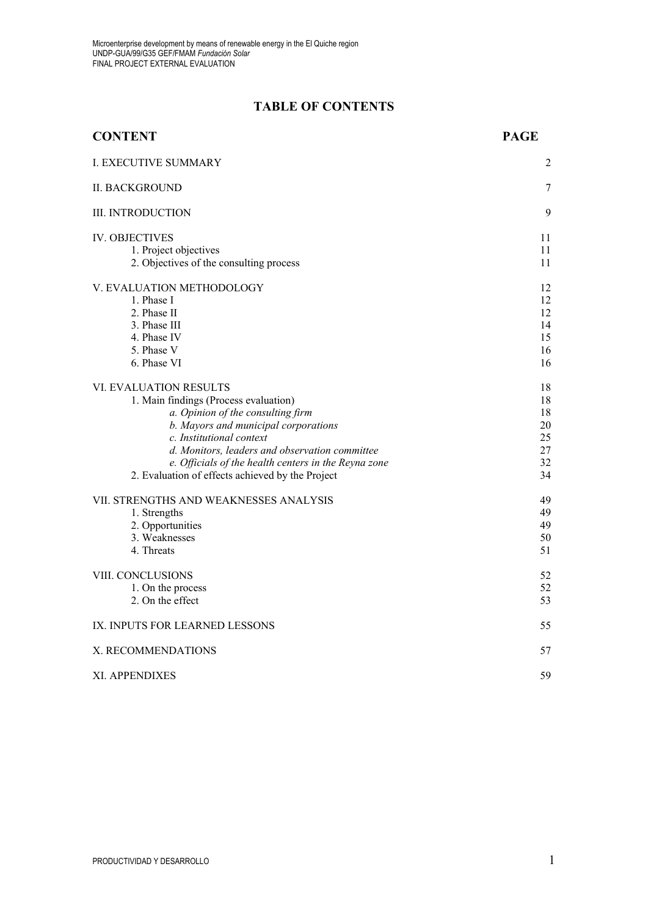# **TABLE OF CONTENTS**

| <b>CONTENT</b>                                                                                                                                                                                                                                                                                                                         | <b>PAGE</b>                                  |
|----------------------------------------------------------------------------------------------------------------------------------------------------------------------------------------------------------------------------------------------------------------------------------------------------------------------------------------|----------------------------------------------|
| <b>I. EXECUTIVE SUMMARY</b>                                                                                                                                                                                                                                                                                                            | 2                                            |
| <b>II. BACKGROUND</b>                                                                                                                                                                                                                                                                                                                  | 7                                            |
| <b>III. INTRODUCTION</b>                                                                                                                                                                                                                                                                                                               | 9                                            |
| <b>IV. OBJECTIVES</b><br>1. Project objectives<br>2. Objectives of the consulting process                                                                                                                                                                                                                                              | 11<br>11<br>11                               |
| V. EVALUATION METHODOLOGY<br>1. Phase I<br>2. Phase II<br>3. Phase III<br>4. Phase IV<br>5. Phase V<br>6. Phase VI                                                                                                                                                                                                                     | 12<br>12<br>12<br>14<br>15<br>16<br>16       |
| VI. EVALUATION RESULTS<br>1. Main findings (Process evaluation)<br>a. Opinion of the consulting firm<br>b. Mayors and municipal corporations<br>c. Institutional context<br>d. Monitors, leaders and observation committee<br>e. Officials of the health centers in the Reyna zone<br>2. Evaluation of effects achieved by the Project | 18<br>18<br>18<br>20<br>25<br>27<br>32<br>34 |
| VII. STRENGTHS AND WEAKNESSES ANALYSIS<br>1. Strengths<br>2. Opportunities<br>3. Weaknesses<br>4. Threats                                                                                                                                                                                                                              | 49<br>49<br>49<br>50<br>51                   |
| VIII. CONCLUSIONS<br>1. On the process<br>2. On the effect                                                                                                                                                                                                                                                                             | 52<br>52<br>53                               |
| IX. INPUTS FOR LEARNED LESSONS                                                                                                                                                                                                                                                                                                         | 55                                           |
| X. RECOMMENDATIONS                                                                                                                                                                                                                                                                                                                     | 57                                           |
| XI. APPENDIXES                                                                                                                                                                                                                                                                                                                         | 59                                           |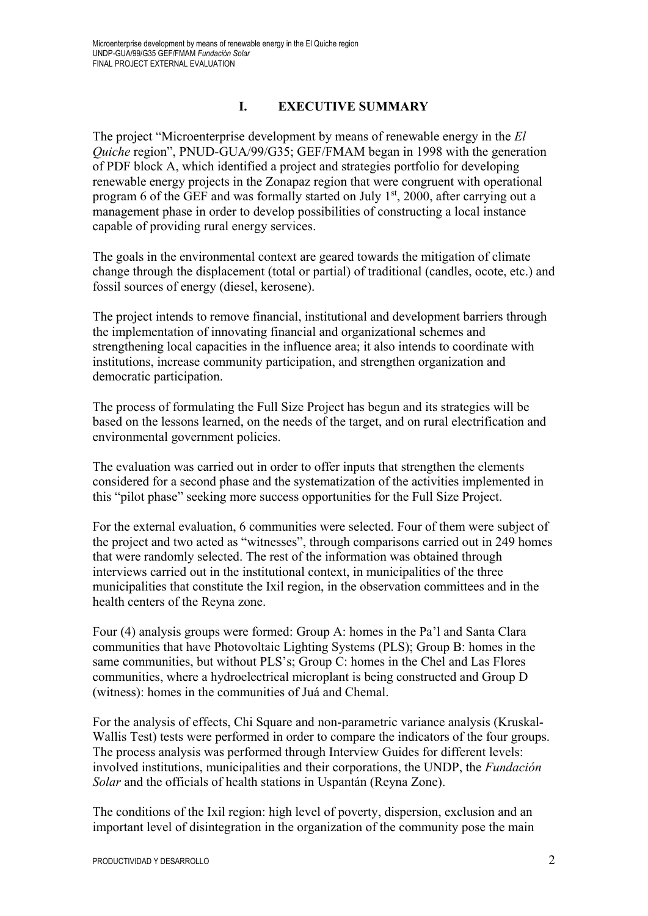# **I. EXECUTIVE SUMMARY**

The project "Microenterprise development by means of renewable energy in the *El Quiche* region", PNUD-GUA/99/G35; GEF/FMAM began in 1998 with the generation of PDF block A, which identified a project and strategies portfolio for developing renewable energy projects in the Zonapaz region that were congruent with operational program 6 of the GEF and was formally started on July  $1<sup>st</sup>$ , 2000, after carrying out a management phase in order to develop possibilities of constructing a local instance capable of providing rural energy services.

The goals in the environmental context are geared towards the mitigation of climate change through the displacement (total or partial) of traditional (candles, ocote, etc.) and fossil sources of energy (diesel, kerosene).

The project intends to remove financial, institutional and development barriers through the implementation of innovating financial and organizational schemes and strengthening local capacities in the influence area; it also intends to coordinate with institutions, increase community participation, and strengthen organization and democratic participation.

The process of formulating the Full Size Project has begun and its strategies will be based on the lessons learned, on the needs of the target, and on rural electrification and environmental government policies.

The evaluation was carried out in order to offer inputs that strengthen the elements considered for a second phase and the systematization of the activities implemented in this "pilot phase" seeking more success opportunities for the Full Size Project.

For the external evaluation, 6 communities were selected. Four of them were subject of the project and two acted as "witnesses", through comparisons carried out in 249 homes that were randomly selected. The rest of the information was obtained through interviews carried out in the institutional context, in municipalities of the three municipalities that constitute the Ixil region, in the observation committees and in the health centers of the Reyna zone.

Four (4) analysis groups were formed: Group A: homes in the Pa'l and Santa Clara communities that have Photovoltaic Lighting Systems (PLS); Group B: homes in the same communities, but without PLS's; Group C: homes in the Chel and Las Flores communities, where a hydroelectrical microplant is being constructed and Group D (witness): homes in the communities of Juá and Chemal.

For the analysis of effects, Chi Square and non-parametric variance analysis (Kruskal-Wallis Test) tests were performed in order to compare the indicators of the four groups. The process analysis was performed through Interview Guides for different levels: involved institutions, municipalities and their corporations, the UNDP, the *Fundación Solar* and the officials of health stations in Uspantán (Reyna Zone).

The conditions of the Ixil region: high level of poverty, dispersion, exclusion and an important level of disintegration in the organization of the community pose the main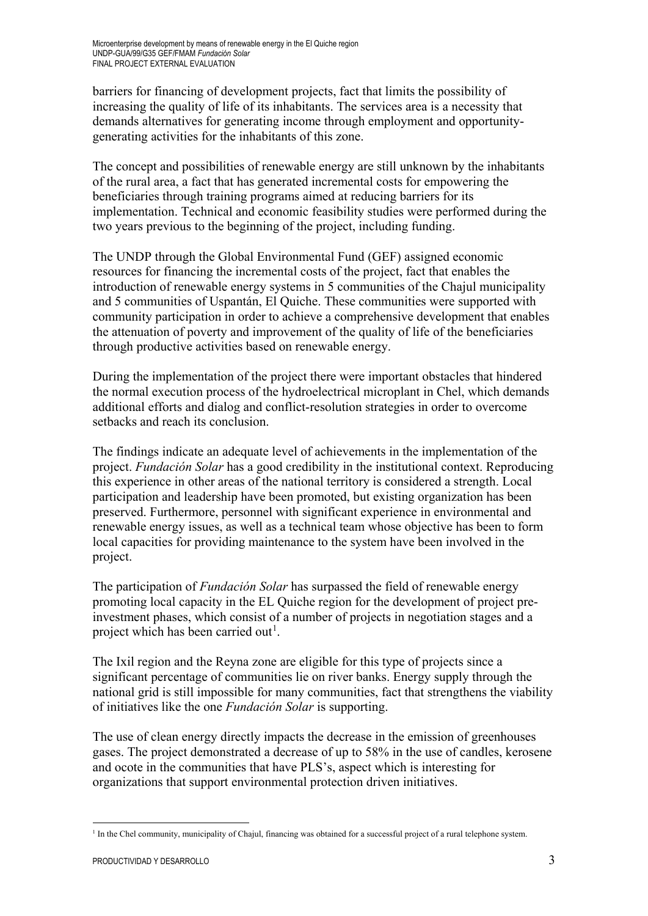barriers for financing of development projects, fact that limits the possibility of increasing the quality of life of its inhabitants. The services area is a necessity that demands alternatives for generating income through employment and opportunitygenerating activities for the inhabitants of this zone.

The concept and possibilities of renewable energy are still unknown by the inhabitants of the rural area, a fact that has generated incremental costs for empowering the beneficiaries through training programs aimed at reducing barriers for its implementation. Technical and economic feasibility studies were performed during the two years previous to the beginning of the project, including funding.

The UNDP through the Global Environmental Fund (GEF) assigned economic resources for financing the incremental costs of the project, fact that enables the introduction of renewable energy systems in 5 communities of the Chajul municipality and 5 communities of Uspantán, El Quiche. These communities were supported with community participation in order to achieve a comprehensive development that enables the attenuation of poverty and improvement of the quality of life of the beneficiaries through productive activities based on renewable energy.

During the implementation of the project there were important obstacles that hindered the normal execution process of the hydroelectrical microplant in Chel, which demands additional efforts and dialog and conflict-resolution strategies in order to overcome setbacks and reach its conclusion.

The findings indicate an adequate level of achievements in the implementation of the project. *Fundación Solar* has a good credibility in the institutional context. Reproducing this experience in other areas of the national territory is considered a strength. Local participation and leadership have been promoted, but existing organization has been preserved. Furthermore, personnel with significant experience in environmental and renewable energy issues, as well as a technical team whose objective has been to form local capacities for providing maintenance to the system have been involved in the project.

The participation of *Fundación Solar* has surpassed the field of renewable energy promoting local capacity in the EL Quiche region for the development of project preinvestment phases, which consist of a number of projects in negotiation stages and a project which has been carried out<sup>[1](#page-3-0)</sup>.

The Ixil region and the Reyna zone are eligible for this type of projects since a significant percentage of communities lie on river banks. Energy supply through the national grid is still impossible for many communities, fact that strengthens the viability of initiatives like the one *Fundación Solar* is supporting.

The use of clean energy directly impacts the decrease in the emission of greenhouses gases. The project demonstrated a decrease of up to 58% in the use of candles, kerosene and ocote in the communities that have PLS's, aspect which is interesting for organizations that support environmental protection driven initiatives.

<span id="page-3-0"></span><sup>&</sup>lt;u>.</u> <sup>1</sup> In the Chel community, municipality of Chajul, financing was obtained for a successful project of a rural telephone system.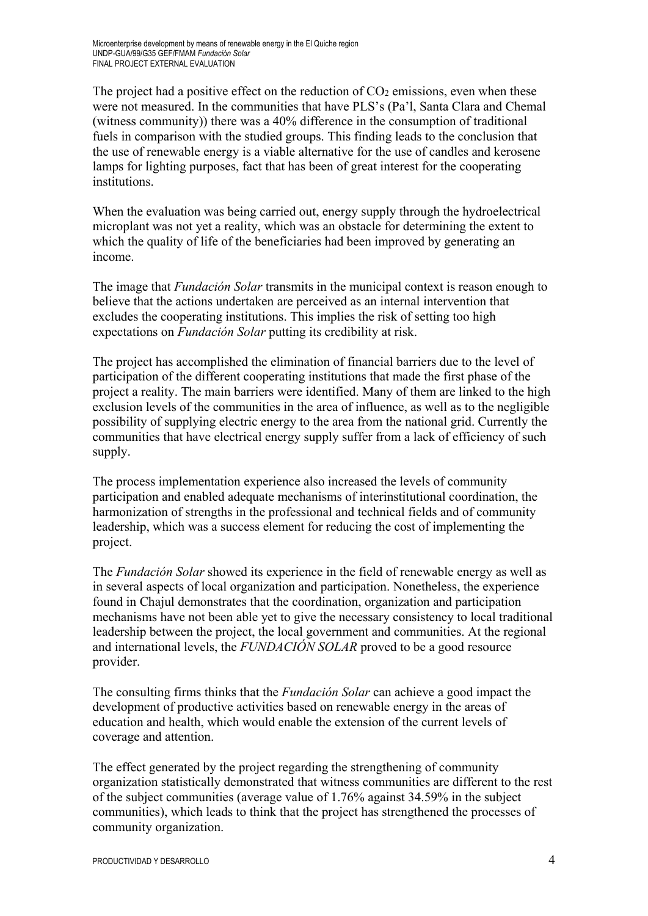The project had a positive effect on the reduction of  $CO<sub>2</sub>$  emissions, even when these were not measured. In the communities that have PLS's (Pa'l, Santa Clara and Chemal (witness community)) there was a 40% difference in the consumption of traditional fuels in comparison with the studied groups. This finding leads to the conclusion that the use of renewable energy is a viable alternative for the use of candles and kerosene lamps for lighting purposes, fact that has been of great interest for the cooperating institutions.

When the evaluation was being carried out, energy supply through the hydroelectrical microplant was not yet a reality, which was an obstacle for determining the extent to which the quality of life of the beneficiaries had been improved by generating an income.

The image that *Fundación Solar* transmits in the municipal context is reason enough to believe that the actions undertaken are perceived as an internal intervention that excludes the cooperating institutions. This implies the risk of setting too high expectations on *Fundación Solar* putting its credibility at risk.

The project has accomplished the elimination of financial barriers due to the level of participation of the different cooperating institutions that made the first phase of the project a reality. The main barriers were identified. Many of them are linked to the high exclusion levels of the communities in the area of influence, as well as to the negligible possibility of supplying electric energy to the area from the national grid. Currently the communities that have electrical energy supply suffer from a lack of efficiency of such supply.

The process implementation experience also increased the levels of community participation and enabled adequate mechanisms of interinstitutional coordination, the harmonization of strengths in the professional and technical fields and of community leadership, which was a success element for reducing the cost of implementing the project.

The *Fundación Solar* showed its experience in the field of renewable energy as well as in several aspects of local organization and participation. Nonetheless, the experience found in Chajul demonstrates that the coordination, organization and participation mechanisms have not been able yet to give the necessary consistency to local traditional leadership between the project, the local government and communities. At the regional and international levels, the *FUNDACIÓN SOLAR* proved to be a good resource provider.

The consulting firms thinks that the *Fundación Solar* can achieve a good impact the development of productive activities based on renewable energy in the areas of education and health, which would enable the extension of the current levels of coverage and attention.

The effect generated by the project regarding the strengthening of community organization statistically demonstrated that witness communities are different to the rest of the subject communities (average value of 1.76% against 34.59% in the subject communities), which leads to think that the project has strengthened the processes of community organization.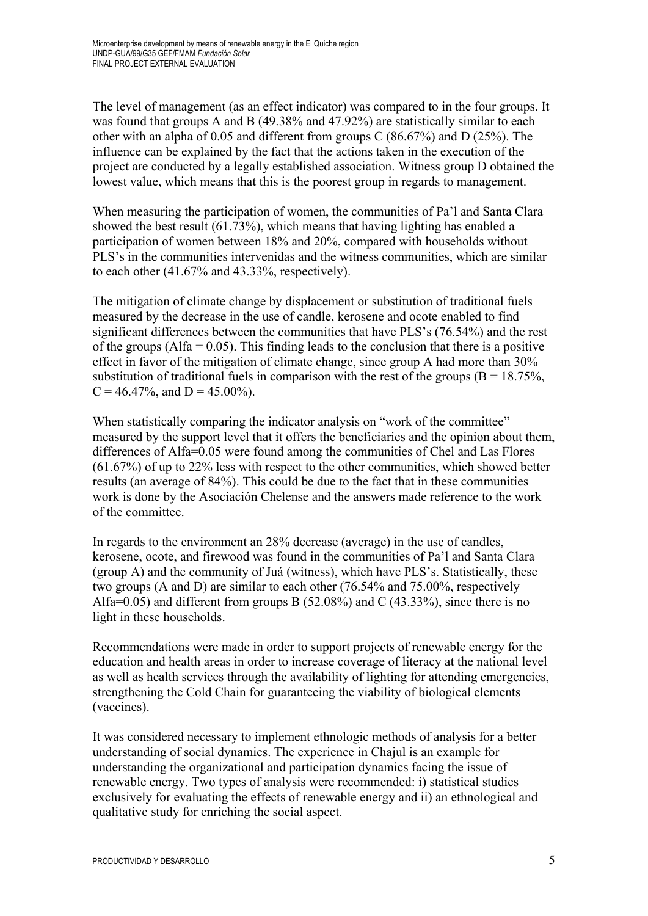The level of management (as an effect indicator) was compared to in the four groups. It was found that groups A and B (49.38% and 47.92%) are statistically similar to each other with an alpha of 0.05 and different from groups C (86.67%) and D (25%). The influence can be explained by the fact that the actions taken in the execution of the project are conducted by a legally established association. Witness group D obtained the lowest value, which means that this is the poorest group in regards to management.

When measuring the participation of women, the communities of Pa'l and Santa Clara showed the best result (61.73%), which means that having lighting has enabled a participation of women between 18% and 20%, compared with households without PLS's in the communities intervenidas and the witness communities, which are similar to each other (41.67% and 43.33%, respectively).

The mitigation of climate change by displacement or substitution of traditional fuels measured by the decrease in the use of candle, kerosene and ocote enabled to find significant differences between the communities that have PLS's (76.54%) and the rest of the groups (Alfa =  $0.05$ ). This finding leads to the conclusion that there is a positive effect in favor of the mitigation of climate change, since group A had more than 30% substitution of traditional fuels in comparison with the rest of the groups ( $B = 18.75\%$ ,  $C = 46.47\%$ , and  $D = 45.00\%$ ).

When statistically comparing the indicator analysis on "work of the committee" measured by the support level that it offers the beneficiaries and the opinion about them, differences of Alfa=0.05 were found among the communities of Chel and Las Flores (61.67%) of up to 22% less with respect to the other communities, which showed better results (an average of 84%). This could be due to the fact that in these communities work is done by the Asociación Chelense and the answers made reference to the work of the committee.

In regards to the environment an 28% decrease (average) in the use of candles, kerosene, ocote, and firewood was found in the communities of Pa'l and Santa Clara (group A) and the community of Juá (witness), which have PLS's. Statistically, these two groups (A and D) are similar to each other (76.54% and 75.00%, respectively Alfa=0.05) and different from groups B  $(52.08\%)$  and C  $(43.33\%)$ , since there is no light in these households.

Recommendations were made in order to support projects of renewable energy for the education and health areas in order to increase coverage of literacy at the national level as well as health services through the availability of lighting for attending emergencies, strengthening the Cold Chain for guaranteeing the viability of biological elements (vaccines).

It was considered necessary to implement ethnologic methods of analysis for a better understanding of social dynamics. The experience in Chajul is an example for understanding the organizational and participation dynamics facing the issue of renewable energy. Two types of analysis were recommended: i) statistical studies exclusively for evaluating the effects of renewable energy and ii) an ethnological and qualitative study for enriching the social aspect.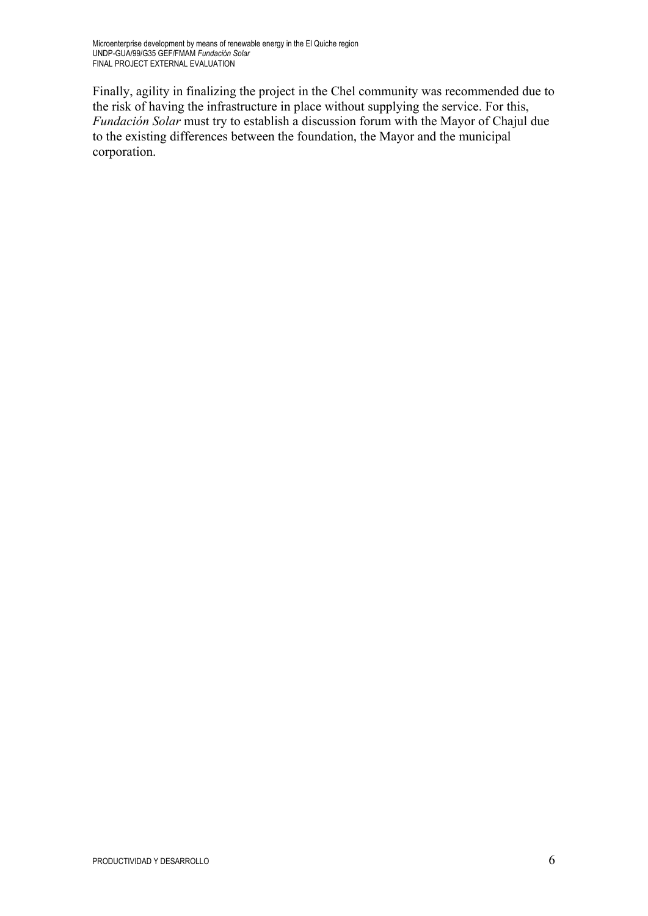Finally, agility in finalizing the project in the Chel community was recommended due to the risk of having the infrastructure in place without supplying the service. For this, *Fundación Solar* must try to establish a discussion forum with the Mayor of Chajul due to the existing differences between the foundation, the Mayor and the municipal corporation.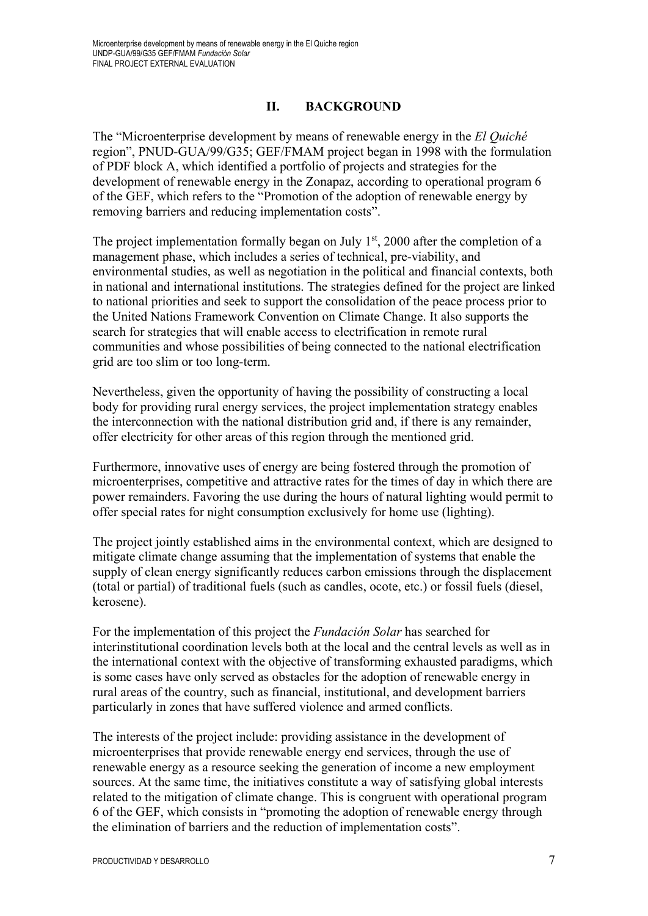# **II. BACKGROUND**

The "Microenterprise development by means of renewable energy in the *El Quiché* region", PNUD-GUA/99/G35; GEF/FMAM project began in 1998 with the formulation of PDF block A, which identified a portfolio of projects and strategies for the development of renewable energy in the Zonapaz, according to operational program 6 of the GEF, which refers to the "Promotion of the adoption of renewable energy by removing barriers and reducing implementation costs".

The project implementation formally began on July  $1<sup>st</sup>$ , 2000 after the completion of a management phase, which includes a series of technical, pre-viability, and environmental studies, as well as negotiation in the political and financial contexts, both in national and international institutions. The strategies defined for the project are linked to national priorities and seek to support the consolidation of the peace process prior to the United Nations Framework Convention on Climate Change. It also supports the search for strategies that will enable access to electrification in remote rural communities and whose possibilities of being connected to the national electrification grid are too slim or too long-term.

Nevertheless, given the opportunity of having the possibility of constructing a local body for providing rural energy services, the project implementation strategy enables the interconnection with the national distribution grid and, if there is any remainder, offer electricity for other areas of this region through the mentioned grid.

Furthermore, innovative uses of energy are being fostered through the promotion of microenterprises, competitive and attractive rates for the times of day in which there are power remainders. Favoring the use during the hours of natural lighting would permit to offer special rates for night consumption exclusively for home use (lighting).

The project jointly established aims in the environmental context, which are designed to mitigate climate change assuming that the implementation of systems that enable the supply of clean energy significantly reduces carbon emissions through the displacement (total or partial) of traditional fuels (such as candles, ocote, etc.) or fossil fuels (diesel, kerosene).

For the implementation of this project the *Fundación Solar* has searched for interinstitutional coordination levels both at the local and the central levels as well as in the international context with the objective of transforming exhausted paradigms, which is some cases have only served as obstacles for the adoption of renewable energy in rural areas of the country, such as financial, institutional, and development barriers particularly in zones that have suffered violence and armed conflicts.

The interests of the project include: providing assistance in the development of microenterprises that provide renewable energy end services, through the use of renewable energy as a resource seeking the generation of income a new employment sources. At the same time, the initiatives constitute a way of satisfying global interests related to the mitigation of climate change. This is congruent with operational program 6 of the GEF, which consists in "promoting the adoption of renewable energy through the elimination of barriers and the reduction of implementation costs".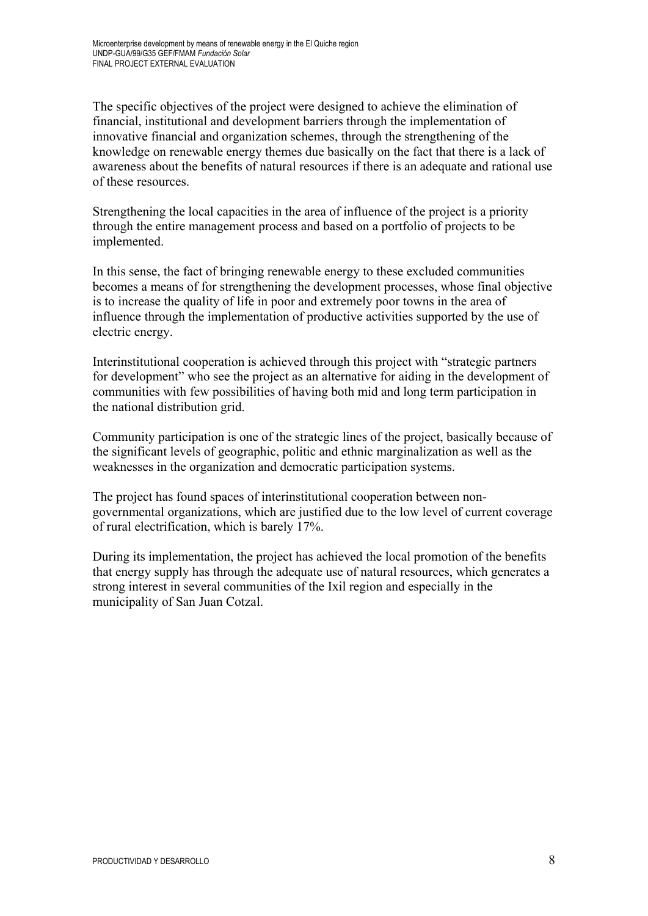The specific objectives of the project were designed to achieve the elimination of financial, institutional and development barriers through the implementation of innovative financial and organization schemes, through the strengthening of the knowledge on renewable energy themes due basically on the fact that there is a lack of awareness about the benefits of natural resources if there is an adequate and rational use of these resources.

Strengthening the local capacities in the area of influence of the project is a priority through the entire management process and based on a portfolio of projects to be implemented.

In this sense, the fact of bringing renewable energy to these excluded communities becomes a means of for strengthening the development processes, whose final objective is to increase the quality of life in poor and extremely poor towns in the area of influence through the implementation of productive activities supported by the use of electric energy.

Interinstitutional cooperation is achieved through this project with "strategic partners for development" who see the project as an alternative for aiding in the development of communities with few possibilities of having both mid and long term participation in the national distribution grid.

Community participation is one of the strategic lines of the project, basically because of the significant levels of geographic, politic and ethnic marginalization as well as the weaknesses in the organization and democratic participation systems.

The project has found spaces of interinstitutional cooperation between nongovernmental organizations, which are justified due to the low level of current coverage of rural electrification, which is barely 17%.

During its implementation, the project has achieved the local promotion of the benefits that energy supply has through the adequate use of natural resources, which generates a strong interest in several communities of the Ixil region and especially in the municipality of San Juan Cotzal.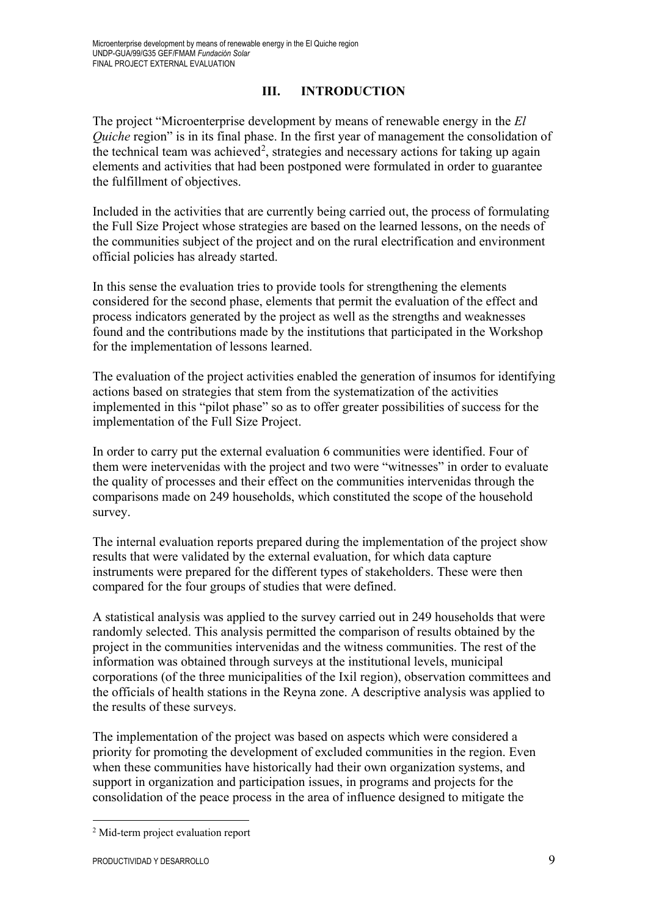# **III. INTRODUCTION**

The project "Microenterprise development by means of renewable energy in the *El Quiche* region" is in its final phase. In the first year of management the consolidation of the technical team was achieved<sup>[2](#page-9-0)</sup>, strategies and necessary actions for taking up again elements and activities that had been postponed were formulated in order to guarantee the fulfillment of objectives.

Included in the activities that are currently being carried out, the process of formulating the Full Size Project whose strategies are based on the learned lessons, on the needs of the communities subject of the project and on the rural electrification and environment official policies has already started.

In this sense the evaluation tries to provide tools for strengthening the elements considered for the second phase, elements that permit the evaluation of the effect and process indicators generated by the project as well as the strengths and weaknesses found and the contributions made by the institutions that participated in the Workshop for the implementation of lessons learned.

The evaluation of the project activities enabled the generation of insumos for identifying actions based on strategies that stem from the systematization of the activities implemented in this "pilot phase" so as to offer greater possibilities of success for the implementation of the Full Size Project.

In order to carry put the external evaluation 6 communities were identified. Four of them were inetervenidas with the project and two were "witnesses" in order to evaluate the quality of processes and their effect on the communities intervenidas through the comparisons made on 249 households, which constituted the scope of the household survey.

The internal evaluation reports prepared during the implementation of the project show results that were validated by the external evaluation, for which data capture instruments were prepared for the different types of stakeholders. These were then compared for the four groups of studies that were defined.

A statistical analysis was applied to the survey carried out in 249 households that were randomly selected. This analysis permitted the comparison of results obtained by the project in the communities intervenidas and the witness communities. The rest of the information was obtained through surveys at the institutional levels, municipal corporations (of the three municipalities of the Ixil region), observation committees and the officials of health stations in the Reyna zone. A descriptive analysis was applied to the results of these surveys.

The implementation of the project was based on aspects which were considered a priority for promoting the development of excluded communities in the region. Even when these communities have historically had their own organization systems, and support in organization and participation issues, in programs and projects for the consolidation of the peace process in the area of influence designed to mitigate the

<u>.</u>

<span id="page-9-0"></span><sup>2</sup> Mid-term project evaluation report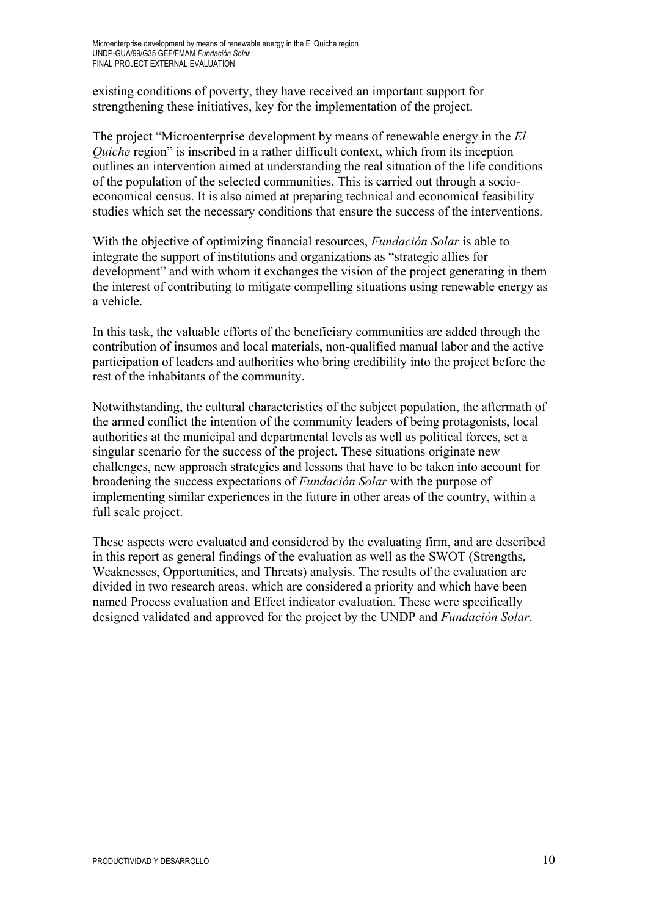existing conditions of poverty, they have received an important support for strengthening these initiatives, key for the implementation of the project.

The project "Microenterprise development by means of renewable energy in the *El Quiche* region" is inscribed in a rather difficult context, which from its inception outlines an intervention aimed at understanding the real situation of the life conditions of the population of the selected communities. This is carried out through a socioeconomical census. It is also aimed at preparing technical and economical feasibility studies which set the necessary conditions that ensure the success of the interventions.

With the objective of optimizing financial resources, *Fundación Solar* is able to integrate the support of institutions and organizations as "strategic allies for development" and with whom it exchanges the vision of the project generating in them the interest of contributing to mitigate compelling situations using renewable energy as a vehicle.

In this task, the valuable efforts of the beneficiary communities are added through the contribution of insumos and local materials, non-qualified manual labor and the active participation of leaders and authorities who bring credibility into the project before the rest of the inhabitants of the community.

Notwithstanding, the cultural characteristics of the subject population, the aftermath of the armed conflict the intention of the community leaders of being protagonists, local authorities at the municipal and departmental levels as well as political forces, set a singular scenario for the success of the project. These situations originate new challenges, new approach strategies and lessons that have to be taken into account for broadening the success expectations of *Fundación Solar* with the purpose of implementing similar experiences in the future in other areas of the country, within a full scale project.

These aspects were evaluated and considered by the evaluating firm, and are described in this report as general findings of the evaluation as well as the SWOT (Strengths, Weaknesses, Opportunities, and Threats) analysis. The results of the evaluation are divided in two research areas, which are considered a priority and which have been named Process evaluation and Effect indicator evaluation. These were specifically designed validated and approved for the project by the UNDP and *Fundación Solar*.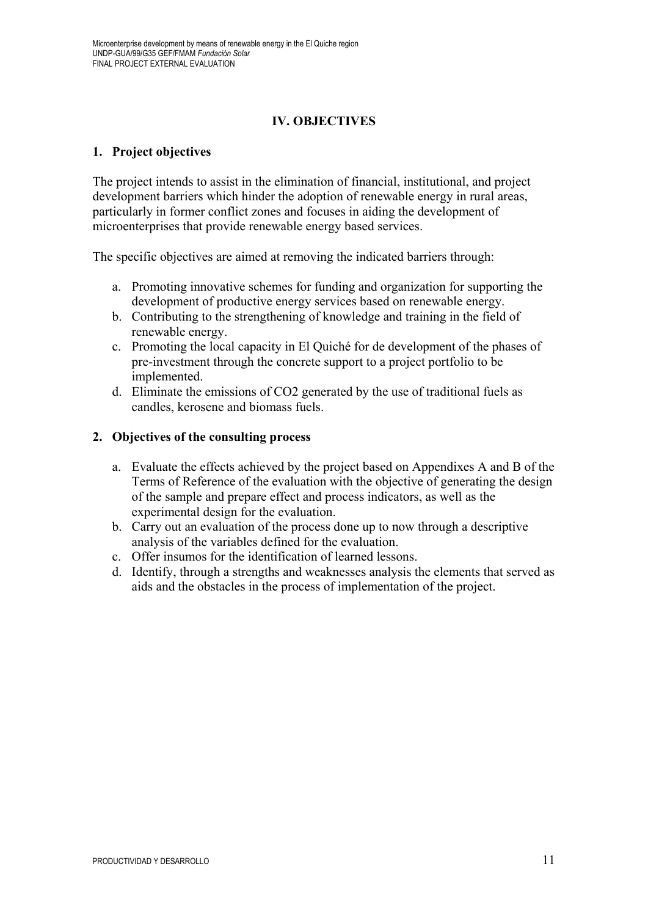# **IV. OBJECTIVES**

## **1. Project objectives**

The project intends to assist in the elimination of financial, institutional, and project development barriers which hinder the adoption of renewable energy in rural areas, particularly in former conflict zones and focuses in aiding the development of microenterprises that provide renewable energy based services.

The specific objectives are aimed at removing the indicated barriers through:

- a. Promoting innovative schemes for funding and organization for supporting the development of productive energy services based on renewable energy.
- b. Contributing to the strengthening of knowledge and training in the field of renewable energy.
- c. Promoting the local capacity in El Quiché for de development of the phases of pre-investment through the concrete support to a project portfolio to be implemented.
- d. Eliminate the emissions of CO2 generated by the use of traditional fuels as candles, kerosene and biomass fuels.

#### **2. Objectives of the consulting process**

- a. Evaluate the effects achieved by the project based on Appendixes A and B of the Terms of Reference of the evaluation with the objective of generating the design of the sample and prepare effect and process indicators, as well as the experimental design for the evaluation.
- b. Carry out an evaluation of the process done up to now through a descriptive analysis of the variables defined for the evaluation.
- c. Offer insumos for the identification of learned lessons.
- d. Identify, through a strengths and weaknesses analysis the elements that served as aids and the obstacles in the process of implementation of the project.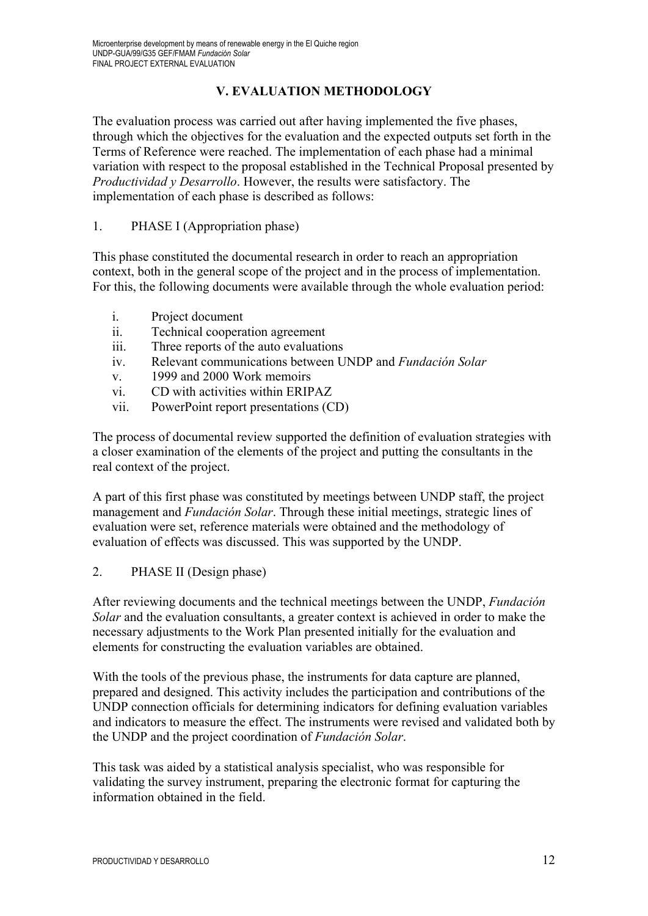# **V. EVALUATION METHODOLOGY**

The evaluation process was carried out after having implemented the five phases, through which the objectives for the evaluation and the expected outputs set forth in the Terms of Reference were reached. The implementation of each phase had a minimal variation with respect to the proposal established in the Technical Proposal presented by *Productividad y Desarrollo*. However, the results were satisfactory. The implementation of each phase is described as follows:

## 1. PHASE I (Appropriation phase)

This phase constituted the documental research in order to reach an appropriation context, both in the general scope of the project and in the process of implementation. For this, the following documents were available through the whole evaluation period:

- i. Project document
- ii. Technical cooperation agreement
- iii. Three reports of the auto evaluations
- iv. Relevant communications between UNDP and *Fundación Solar*
- v. 1999 and 2000 Work memoirs
- vi. CD with activities within ERIPAZ
- vii. PowerPoint report presentations (CD)

The process of documental review supported the definition of evaluation strategies with a closer examination of the elements of the project and putting the consultants in the real context of the project.

A part of this first phase was constituted by meetings between UNDP staff, the project management and *Fundación Solar*. Through these initial meetings, strategic lines of evaluation were set, reference materials were obtained and the methodology of evaluation of effects was discussed. This was supported by the UNDP.

## 2. PHASE II (Design phase)

After reviewing documents and the technical meetings between the UNDP, *Fundación Solar* and the evaluation consultants, a greater context is achieved in order to make the necessary adjustments to the Work Plan presented initially for the evaluation and elements for constructing the evaluation variables are obtained.

With the tools of the previous phase, the instruments for data capture are planned, prepared and designed. This activity includes the participation and contributions of the UNDP connection officials for determining indicators for defining evaluation variables and indicators to measure the effect. The instruments were revised and validated both by the UNDP and the project coordination of *Fundación Solar*.

This task was aided by a statistical analysis specialist, who was responsible for validating the survey instrument, preparing the electronic format for capturing the information obtained in the field.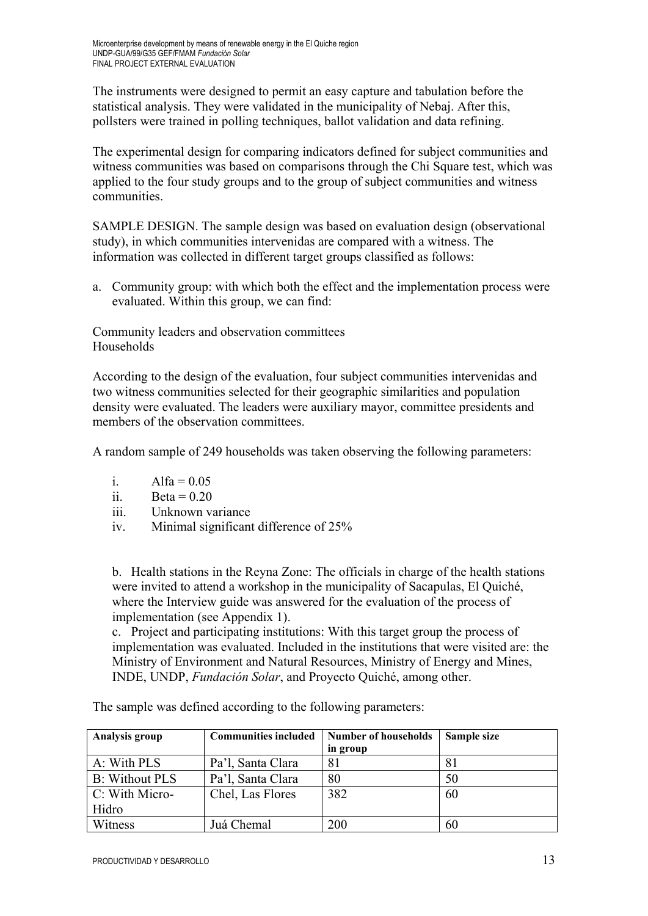The instruments were designed to permit an easy capture and tabulation before the statistical analysis. They were validated in the municipality of Nebaj. After this, pollsters were trained in polling techniques, ballot validation and data refining.

The experimental design for comparing indicators defined for subject communities and witness communities was based on comparisons through the Chi Square test, which was applied to the four study groups and to the group of subject communities and witness communities.

SAMPLE DESIGN. The sample design was based on evaluation design (observational study), in which communities intervenidas are compared with a witness. The information was collected in different target groups classified as follows:

a. Community group: with which both the effect and the implementation process were evaluated. Within this group, we can find:

Community leaders and observation committees Households

According to the design of the evaluation, four subject communities intervenidas and two witness communities selected for their geographic similarities and population density were evaluated. The leaders were auxiliary mayor, committee presidents and members of the observation committees.

A random sample of 249 households was taken observing the following parameters:

- i.  $Alfa = 0.05$
- ii. Beta =  $0.20$
- iii. Unknown variance
- iv. Minimal significant difference of 25%

b. Health stations in the Reyna Zone: The officials in charge of the health stations were invited to attend a workshop in the municipality of Sacapulas, El Quiché, where the Interview guide was answered for the evaluation of the process of implementation (see Appendix 1).

c. Project and participating institutions: With this target group the process of implementation was evaluated. Included in the institutions that were visited are: the Ministry of Environment and Natural Resources, Ministry of Energy and Mines, INDE, UNDP, *Fundación Solar*, and Proyecto Quiché, among other.

| Analysis group        | <b>Communities included</b> | <b>Number of households</b> | Sample size |
|-----------------------|-----------------------------|-----------------------------|-------------|
|                       |                             | in group                    |             |
| A: With PLS           | Pa'l, Santa Clara           | 81                          | 81          |
| <b>B:</b> Without PLS | Pa'l, Santa Clara           | 80                          | 50          |
| $C: With Micro-$      | Chel, Las Flores            | 382                         | 60          |
| Hidro                 |                             |                             |             |
| Witness               | Juá Chemal                  | 200                         | 60          |

The sample was defined according to the following parameters: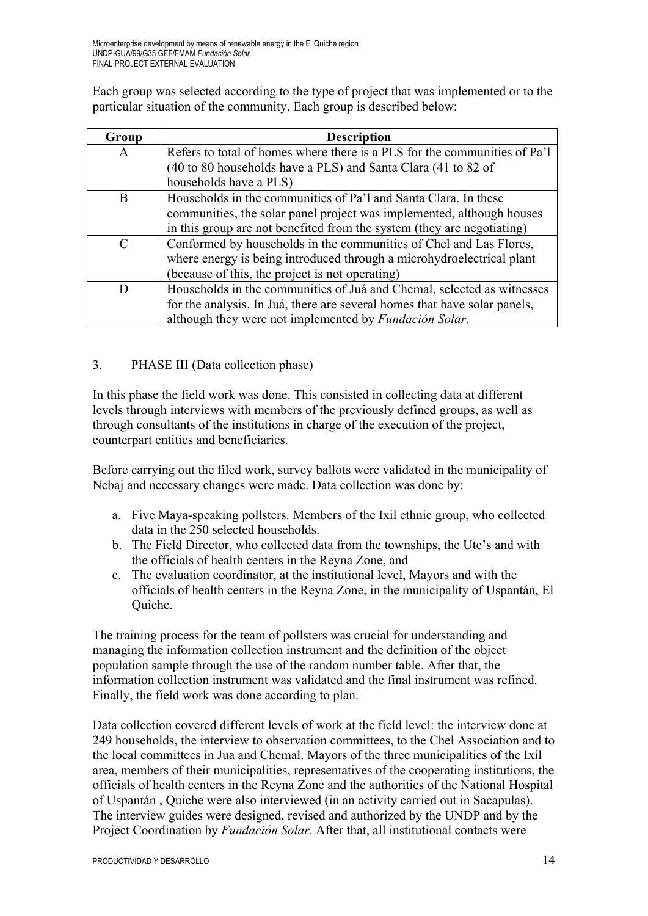Each group was selected according to the type of project that was implemented or to the particular situation of the community. Each group is described below:

| Group                       | <b>Description</b>                                                        |
|-----------------------------|---------------------------------------------------------------------------|
| A                           | Refers to total of homes where there is a PLS for the communities of Pa'l |
|                             | (40 to 80 households have a PLS) and Santa Clara (41 to 82 of             |
|                             | households have a PLS)                                                    |
| B                           | Households in the communities of Pa'l and Santa Clara. In these           |
|                             | communities, the solar panel project was implemented, although houses     |
|                             | in this group are not benefited from the system (they are negotiating)    |
| $\mathcal{C}_{\mathcal{C}}$ | Conformed by households in the communities of Chel and Las Flores,        |
|                             | where energy is being introduced through a microhydroelectrical plant     |
|                             | (because of this, the project is not operating)                           |
|                             | Households in the communities of Juá and Chemal, selected as witnesses    |
|                             | for the analysis. In Juá, there are several homes that have solar panels, |
|                             | although they were not implemented by Fundación Solar.                    |

# 3. PHASE III (Data collection phase)

In this phase the field work was done. This consisted in collecting data at different levels through interviews with members of the previously defined groups, as well as through consultants of the institutions in charge of the execution of the project, counterpart entities and beneficiaries.

Before carrying out the filed work, survey ballots were validated in the municipality of Nebaj and necessary changes were made. Data collection was done by:

- a. Five Maya-speaking pollsters. Members of the Ixil ethnic group, who collected data in the 250 selected households.
- b. The Field Director, who collected data from the townships, the Ute's and with the officials of health centers in the Reyna Zone, and
- c. The evaluation coordinator, at the institutional level, Mayors and with the officials of health centers in the Reyna Zone, in the municipality of Uspantán, El Quiche.

The training process for the team of pollsters was crucial for understanding and managing the information collection instrument and the definition of the object population sample through the use of the random number table. After that, the information collection instrument was validated and the final instrument was refined. Finally, the field work was done according to plan.

Data collection covered different levels of work at the field level: the interview done at 249 households, the interview to observation committees, to the Chel Association and to the local committees in Jua and Chemal. Mayors of the three municipalities of the Ixil area, members of their municipalities, representatives of the cooperating institutions, the officials of health centers in the Reyna Zone and the authorities of the National Hospital of Uspantán , Quiche were also interviewed (in an activity carried out in Sacapulas). The interview guides were designed, revised and authorized by the UNDP and by the Project Coordination by *Fundación Solar*. After that, all institutional contacts were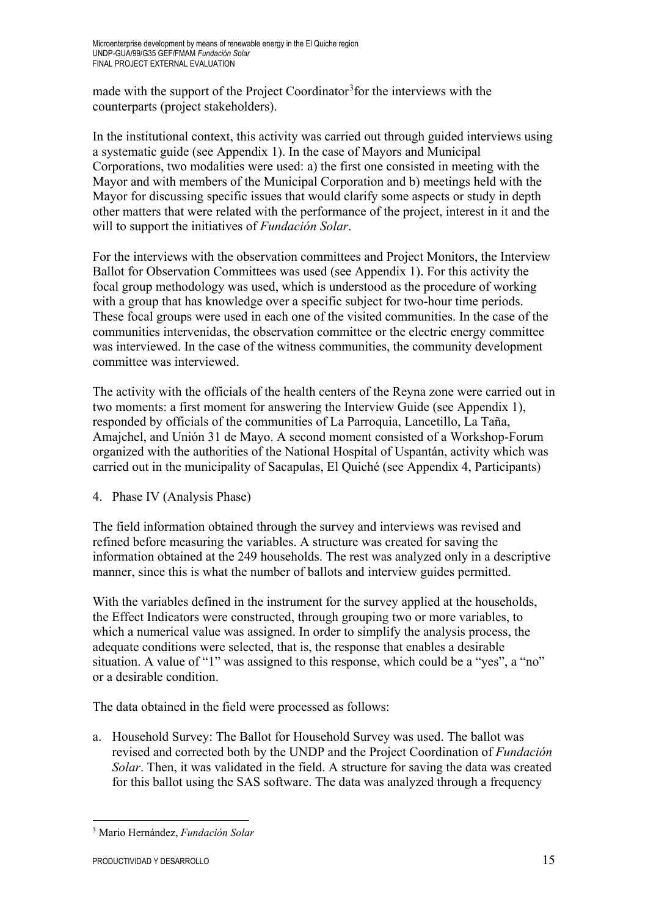made with the support of the Project Coordinator<sup>[3](#page-15-0)</sup> for the interviews with the counterparts (project stakeholders).

In the institutional context, this activity was carried out through guided interviews using a systematic guide (see Appendix 1). In the case of Mayors and Municipal Corporations, two modalities were used: a) the first one consisted in meeting with the Mayor and with members of the Municipal Corporation and b) meetings held with the Mayor for discussing specific issues that would clarify some aspects or study in depth other matters that were related with the performance of the project, interest in it and the will to support the initiatives of *Fundación Solar*.

For the interviews with the observation committees and Project Monitors, the Interview Ballot for Observation Committees was used (see Appendix 1). For this activity the focal group methodology was used, which is understood as the procedure of working with a group that has knowledge over a specific subject for two-hour time periods. These focal groups were used in each one of the visited communities. In the case of the communities intervenidas, the observation committee or the electric energy committee was interviewed. In the case of the witness communities, the community development committee was interviewed.

The activity with the officials of the health centers of the Reyna zone were carried out in two moments: a first moment for answering the Interview Guide (see Appendix 1), responded by officials of the communities of La Parroquia, Lancetillo, La Taña, Amajchel, and Unión 31 de Mayo. A second moment consisted of a Workshop-Forum organized with the authorities of the National Hospital of Uspantán, activity which was carried out in the municipality of Sacapulas, El Quiché (see Appendix 4, Participants)

4. Phase IV (Analysis Phase)

The field information obtained through the survey and interviews was revised and refined before measuring the variables. A structure was created for saving the information obtained at the 249 households. The rest was analyzed only in a descriptive manner, since this is what the number of ballots and interview guides permitted.

With the variables defined in the instrument for the survey applied at the households, the Effect Indicators were constructed, through grouping two or more variables, to which a numerical value was assigned. In order to simplify the analysis process, the adequate conditions were selected, that is, the response that enables a desirable situation. A value of "1" was assigned to this response, which could be a "yes", a "no" or a desirable condition.

The data obtained in the field were processed as follows:

a. Household Survey: The Ballot for Household Survey was used. The ballot was revised and corrected both by the UNDP and the Project Coordination of *Fundación Solar*. Then, it was validated in the field. A structure for saving the data was created for this ballot using the SAS software. The data was analyzed through a frequency

<span id="page-15-0"></span><sup>&</sup>lt;u>.</u> <sup>3</sup> Mario Hernández, *Fundación Solar*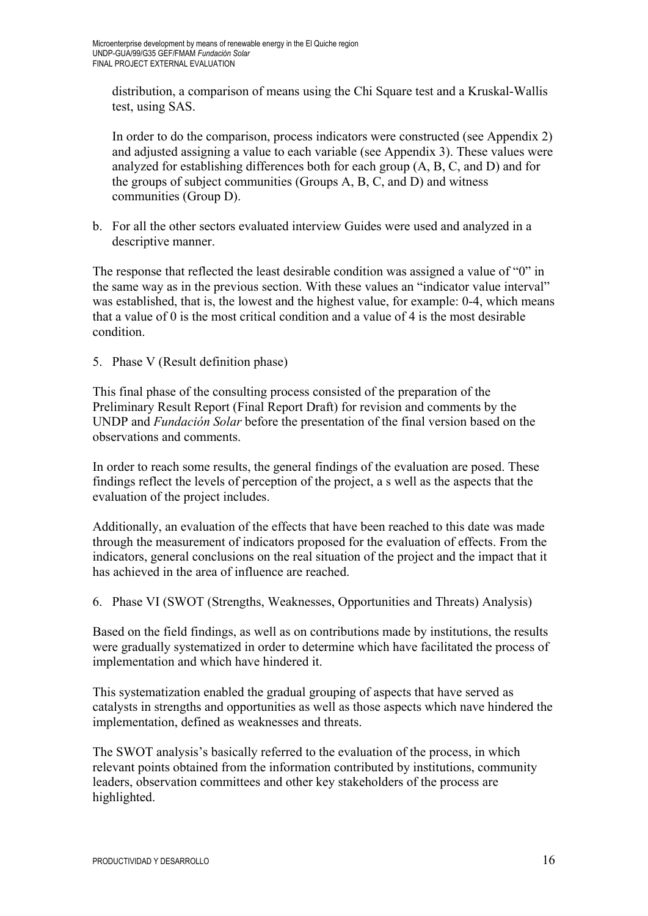distribution, a comparison of means using the Chi Square test and a Kruskal-Wallis test, using SAS.

In order to do the comparison, process indicators were constructed (see Appendix 2) and adjusted assigning a value to each variable (see Appendix 3). These values were analyzed for establishing differences both for each group (A, B, C, and D) and for the groups of subject communities (Groups A, B, C, and D) and witness communities (Group D).

b. For all the other sectors evaluated interview Guides were used and analyzed in a descriptive manner.

The response that reflected the least desirable condition was assigned a value of "0" in the same way as in the previous section. With these values an "indicator value interval" was established, that is, the lowest and the highest value, for example: 0-4, which means that a value of 0 is the most critical condition and a value of 4 is the most desirable condition.

5. Phase V (Result definition phase)

This final phase of the consulting process consisted of the preparation of the Preliminary Result Report (Final Report Draft) for revision and comments by the UNDP and *Fundación Solar* before the presentation of the final version based on the observations and comments.

In order to reach some results, the general findings of the evaluation are posed. These findings reflect the levels of perception of the project, a s well as the aspects that the evaluation of the project includes.

Additionally, an evaluation of the effects that have been reached to this date was made through the measurement of indicators proposed for the evaluation of effects. From the indicators, general conclusions on the real situation of the project and the impact that it has achieved in the area of influence are reached.

6. Phase VI (SWOT (Strengths, Weaknesses, Opportunities and Threats) Analysis)

Based on the field findings, as well as on contributions made by institutions, the results were gradually systematized in order to determine which have facilitated the process of implementation and which have hindered it.

This systematization enabled the gradual grouping of aspects that have served as catalysts in strengths and opportunities as well as those aspects which nave hindered the implementation, defined as weaknesses and threats.

The SWOT analysis's basically referred to the evaluation of the process, in which relevant points obtained from the information contributed by institutions, community leaders, observation committees and other key stakeholders of the process are highlighted.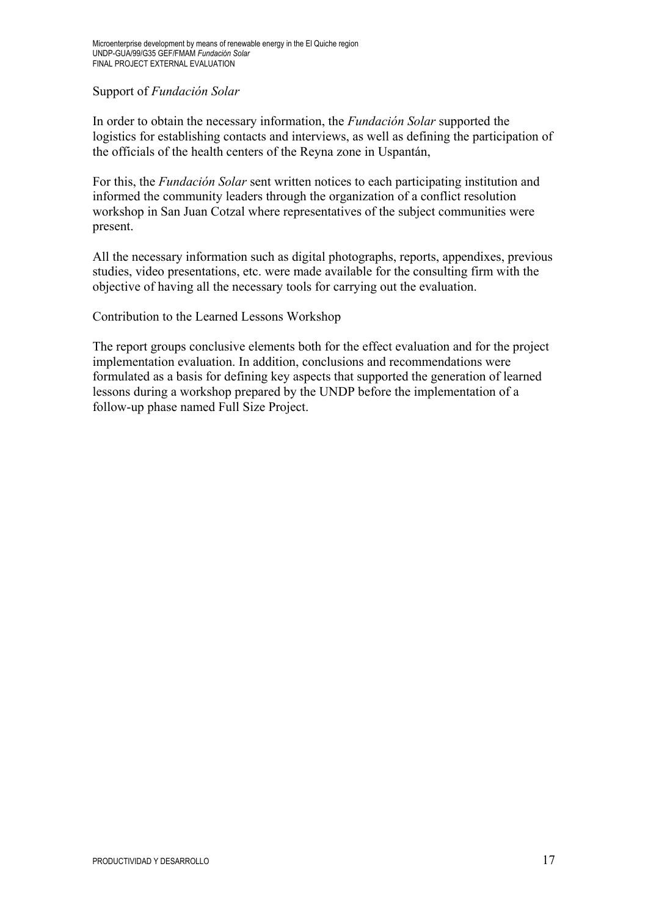## Support of *Fundación Solar*

In order to obtain the necessary information, the *Fundación Solar* supported the logistics for establishing contacts and interviews, as well as defining the participation of the officials of the health centers of the Reyna zone in Uspantán,

For this, the *Fundación Solar* sent written notices to each participating institution and informed the community leaders through the organization of a conflict resolution workshop in San Juan Cotzal where representatives of the subject communities were present.

All the necessary information such as digital photographs, reports, appendixes, previous studies, video presentations, etc. were made available for the consulting firm with the objective of having all the necessary tools for carrying out the evaluation.

Contribution to the Learned Lessons Workshop

The report groups conclusive elements both for the effect evaluation and for the project implementation evaluation. In addition, conclusions and recommendations were formulated as a basis for defining key aspects that supported the generation of learned lessons during a workshop prepared by the UNDP before the implementation of a follow-up phase named Full Size Project.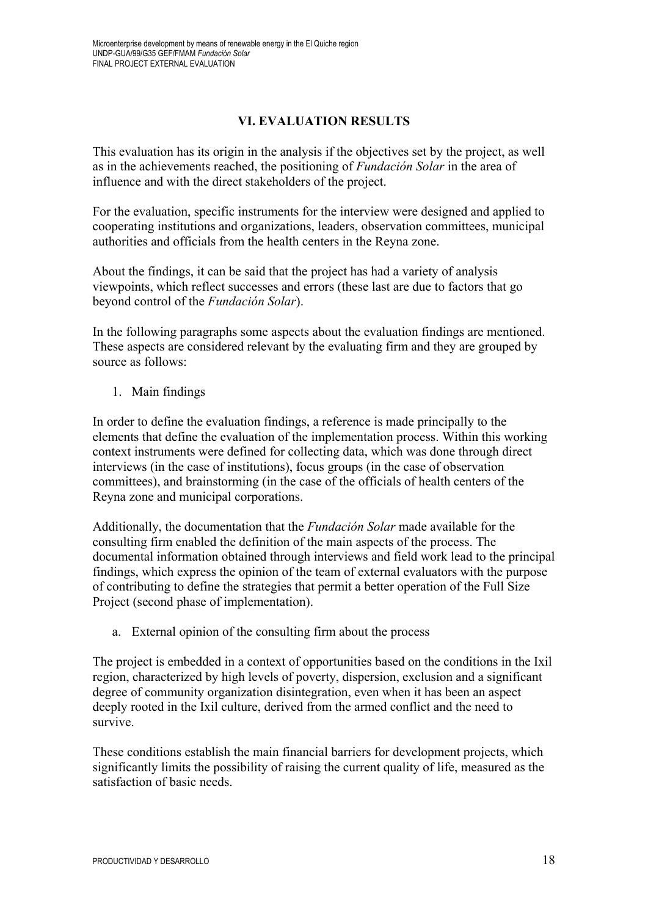### **VI. EVALUATION RESULTS**

This evaluation has its origin in the analysis if the objectives set by the project, as well as in the achievements reached, the positioning of *Fundación Solar* in the area of influence and with the direct stakeholders of the project.

For the evaluation, specific instruments for the interview were designed and applied to cooperating institutions and organizations, leaders, observation committees, municipal authorities and officials from the health centers in the Reyna zone.

About the findings, it can be said that the project has had a variety of analysis viewpoints, which reflect successes and errors (these last are due to factors that go beyond control of the *Fundación Solar*).

In the following paragraphs some aspects about the evaluation findings are mentioned. These aspects are considered relevant by the evaluating firm and they are grouped by source as follows:

1. Main findings

In order to define the evaluation findings, a reference is made principally to the elements that define the evaluation of the implementation process. Within this working context instruments were defined for collecting data, which was done through direct interviews (in the case of institutions), focus groups (in the case of observation committees), and brainstorming (in the case of the officials of health centers of the Reyna zone and municipal corporations.

Additionally, the documentation that the *Fundación Solar* made available for the consulting firm enabled the definition of the main aspects of the process. The documental information obtained through interviews and field work lead to the principal findings, which express the opinion of the team of external evaluators with the purpose of contributing to define the strategies that permit a better operation of the Full Size Project (second phase of implementation).

a. External opinion of the consulting firm about the process

The project is embedded in a context of opportunities based on the conditions in the Ixil region, characterized by high levels of poverty, dispersion, exclusion and a significant degree of community organization disintegration, even when it has been an aspect deeply rooted in the Ixil culture, derived from the armed conflict and the need to survive.

These conditions establish the main financial barriers for development projects, which significantly limits the possibility of raising the current quality of life, measured as the satisfaction of basic needs.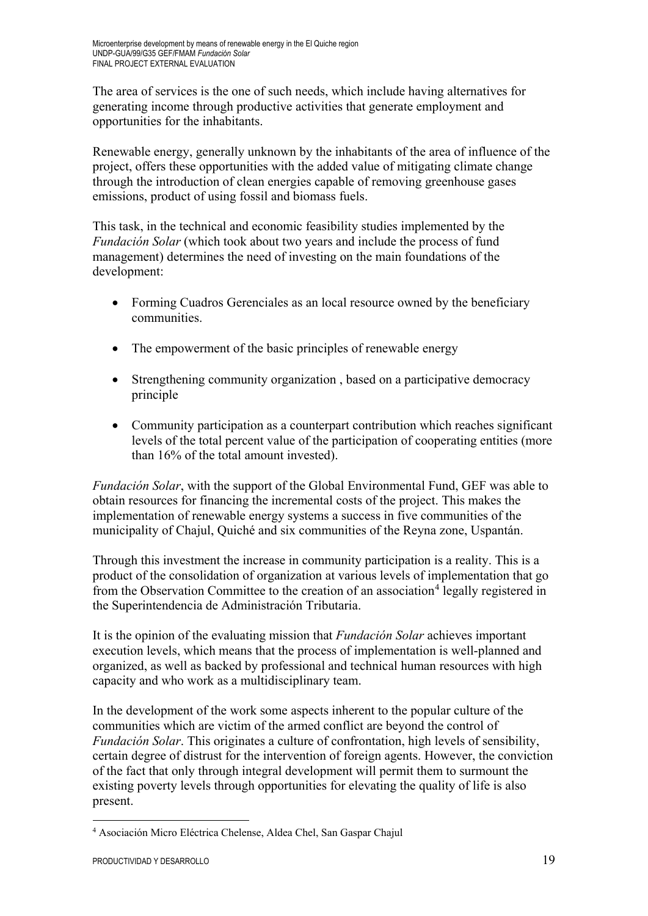The area of services is the one of such needs, which include having alternatives for generating income through productive activities that generate employment and opportunities for the inhabitants.

Renewable energy, generally unknown by the inhabitants of the area of influence of the project, offers these opportunities with the added value of mitigating climate change through the introduction of clean energies capable of removing greenhouse gases emissions, product of using fossil and biomass fuels.

This task, in the technical and economic feasibility studies implemented by the *Fundación Solar* (which took about two years and include the process of fund management) determines the need of investing on the main foundations of the development:

- Forming Cuadros Gerenciales as an local resource owned by the beneficiary communities.
- The empowerment of the basic principles of renewable energy
- Strengthening community organization, based on a participative democracy principle
- Community participation as a counterpart contribution which reaches significant levels of the total percent value of the participation of cooperating entities (more than 16% of the total amount invested).

*Fundación Solar*, with the support of the Global Environmental Fund, GEF was able to obtain resources for financing the incremental costs of the project. This makes the implementation of renewable energy systems a success in five communities of the municipality of Chajul, Quiché and six communities of the Reyna zone, Uspantán.

Through this investment the increase in community participation is a reality. This is a product of the consolidation of organization at various levels of implementation that go from the Observation Committee to the creation of an association<sup>[4](#page-19-0)</sup> legally registered in the Superintendencia de Administración Tributaria.

It is the opinion of the evaluating mission that *Fundación Solar* achieves important execution levels, which means that the process of implementation is well-planned and organized, as well as backed by professional and technical human resources with high capacity and who work as a multidisciplinary team.

In the development of the work some aspects inherent to the popular culture of the communities which are victim of the armed conflict are beyond the control of *Fundación Solar*. This originates a culture of confrontation, high levels of sensibility, certain degree of distrust for the intervention of foreign agents. However, the conviction of the fact that only through integral development will permit them to surmount the existing poverty levels through opportunities for elevating the quality of life is also present.

<span id="page-19-0"></span><sup>&</sup>lt;u>.</u> <sup>4</sup> Asociación Micro Eléctrica Chelense, Aldea Chel, San Gaspar Chajul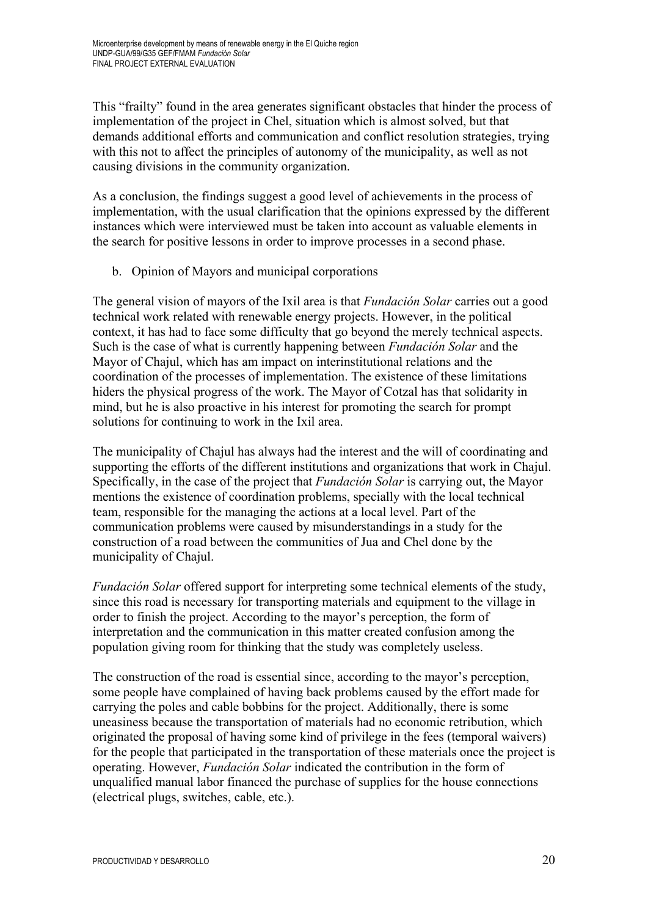This "frailty" found in the area generates significant obstacles that hinder the process of implementation of the project in Chel, situation which is almost solved, but that demands additional efforts and communication and conflict resolution strategies, trying with this not to affect the principles of autonomy of the municipality, as well as not causing divisions in the community organization.

As a conclusion, the findings suggest a good level of achievements in the process of implementation, with the usual clarification that the opinions expressed by the different instances which were interviewed must be taken into account as valuable elements in the search for positive lessons in order to improve processes in a second phase.

b. Opinion of Mayors and municipal corporations

The general vision of mayors of the Ixil area is that *Fundación Solar* carries out a good technical work related with renewable energy projects. However, in the political context, it has had to face some difficulty that go beyond the merely technical aspects. Such is the case of what is currently happening between *Fundación Solar* and the Mayor of Chajul, which has am impact on interinstitutional relations and the coordination of the processes of implementation. The existence of these limitations hiders the physical progress of the work. The Mayor of Cotzal has that solidarity in mind, but he is also proactive in his interest for promoting the search for prompt solutions for continuing to work in the Ixil area.

The municipality of Chajul has always had the interest and the will of coordinating and supporting the efforts of the different institutions and organizations that work in Chajul. Specifically, in the case of the project that *Fundación Solar* is carrying out, the Mayor mentions the existence of coordination problems, specially with the local technical team, responsible for the managing the actions at a local level. Part of the communication problems were caused by misunderstandings in a study for the construction of a road between the communities of Jua and Chel done by the municipality of Chajul.

*Fundación Solar* offered support for interpreting some technical elements of the study, since this road is necessary for transporting materials and equipment to the village in order to finish the project. According to the mayor's perception, the form of interpretation and the communication in this matter created confusion among the population giving room for thinking that the study was completely useless.

The construction of the road is essential since, according to the mayor's perception, some people have complained of having back problems caused by the effort made for carrying the poles and cable bobbins for the project. Additionally, there is some uneasiness because the transportation of materials had no economic retribution, which originated the proposal of having some kind of privilege in the fees (temporal waivers) for the people that participated in the transportation of these materials once the project is operating. However, *Fundación Solar* indicated the contribution in the form of unqualified manual labor financed the purchase of supplies for the house connections (electrical plugs, switches, cable, etc.).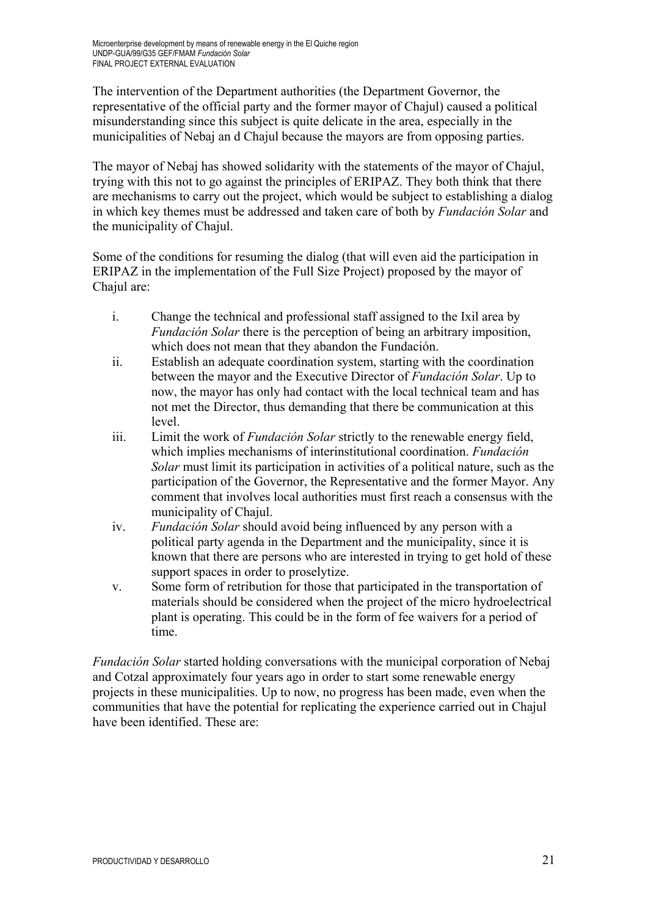The intervention of the Department authorities (the Department Governor, the representative of the official party and the former mayor of Chajul) caused a political misunderstanding since this subject is quite delicate in the area, especially in the municipalities of Nebaj an d Chajul because the mayors are from opposing parties.

The mayor of Nebaj has showed solidarity with the statements of the mayor of Chajul, trying with this not to go against the principles of ERIPAZ. They both think that there are mechanisms to carry out the project, which would be subject to establishing a dialog in which key themes must be addressed and taken care of both by *Fundación Solar* and the municipality of Chajul.

Some of the conditions for resuming the dialog (that will even aid the participation in ERIPAZ in the implementation of the Full Size Project) proposed by the mayor of Chajul are:

- i. Change the technical and professional staff assigned to the Ixil area by *Fundación Solar* there is the perception of being an arbitrary imposition, which does not mean that they abandon the Fundación.
- ii. Establish an adequate coordination system, starting with the coordination between the mayor and the Executive Director of *Fundación Solar*. Up to now, the mayor has only had contact with the local technical team and has not met the Director, thus demanding that there be communication at this level.
- iii. Limit the work of *Fundación Solar* strictly to the renewable energy field, which implies mechanisms of interinstitutional coordination. *Fundación Solar* must limit its participation in activities of a political nature, such as the participation of the Governor, the Representative and the former Mayor. Any comment that involves local authorities must first reach a consensus with the municipality of Chajul.
- iv. *Fundación Solar* should avoid being influenced by any person with a political party agenda in the Department and the municipality, since it is known that there are persons who are interested in trying to get hold of these support spaces in order to proselytize.
- v. Some form of retribution for those that participated in the transportation of materials should be considered when the project of the micro hydroelectrical plant is operating. This could be in the form of fee waivers for a period of time.

*Fundación Solar* started holding conversations with the municipal corporation of Nebaj and Cotzal approximately four years ago in order to start some renewable energy projects in these municipalities. Up to now, no progress has been made, even when the communities that have the potential for replicating the experience carried out in Chajul have been identified. These are: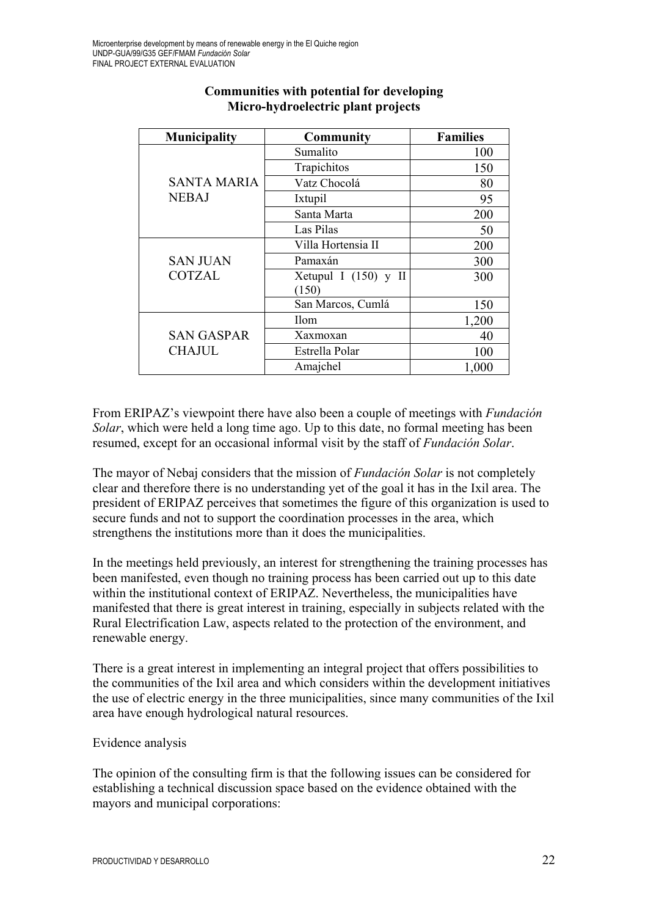| <b>Municipality</b> | <b>Community</b>       | <b>Families</b> |
|---------------------|------------------------|-----------------|
|                     | Sumalito               | 100             |
|                     | Trapichitos            | 150             |
| <b>SANTA MARIA</b>  | Vatz Chocolá           | 80              |
| <b>NEBAJ</b>        | Ixtupil                | 95              |
|                     | Santa Marta            | 200             |
|                     | Las Pilas              | 50              |
|                     | Villa Hortensia II     | 200             |
| <b>SAN JUAN</b>     | Pamaxán                | 300             |
| <b>COTZAL</b>       | Xetupul I $(150)$ y II | 300             |
|                     | (150)                  |                 |
|                     | San Marcos, Cumlá      | 150             |
|                     | <b>Ilom</b>            | 1,200           |
| <b>SAN GASPAR</b>   | Xaxmoxan               | 40              |
| <b>CHAJUL</b>       | Estrella Polar         | 100             |
|                     | Amajchel               | 1,000           |

# **Communities with potential for developing Micro-hydroelectric plant projects**

From ERIPAZ's viewpoint there have also been a couple of meetings with *Fundación Solar*, which were held a long time ago. Up to this date, no formal meeting has been resumed, except for an occasional informal visit by the staff of *Fundación Solar*.

The mayor of Nebaj considers that the mission of *Fundación Solar* is not completely clear and therefore there is no understanding yet of the goal it has in the Ixil area. The president of ERIPAZ perceives that sometimes the figure of this organization is used to secure funds and not to support the coordination processes in the area, which strengthens the institutions more than it does the municipalities.

In the meetings held previously, an interest for strengthening the training processes has been manifested, even though no training process has been carried out up to this date within the institutional context of ERIPAZ. Nevertheless, the municipalities have manifested that there is great interest in training, especially in subjects related with the Rural Electrification Law, aspects related to the protection of the environment, and renewable energy.

There is a great interest in implementing an integral project that offers possibilities to the communities of the Ixil area and which considers within the development initiatives the use of electric energy in the three municipalities, since many communities of the Ixil area have enough hydrological natural resources.

## Evidence analysis

The opinion of the consulting firm is that the following issues can be considered for establishing a technical discussion space based on the evidence obtained with the mayors and municipal corporations: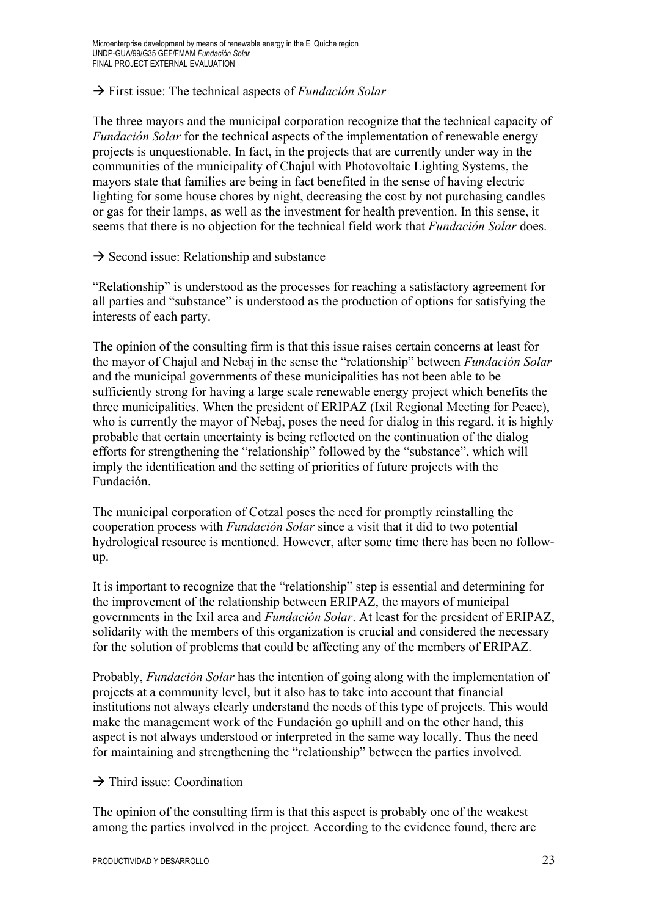### First issue: The technical aspects of *Fundación Solar*

The three mayors and the municipal corporation recognize that the technical capacity of *Fundación Solar* for the technical aspects of the implementation of renewable energy projects is unquestionable. In fact, in the projects that are currently under way in the communities of the municipality of Chajul with Photovoltaic Lighting Systems, the mayors state that families are being in fact benefited in the sense of having electric lighting for some house chores by night, decreasing the cost by not purchasing candles or gas for their lamps, as well as the investment for health prevention. In this sense, it seems that there is no objection for the technical field work that *Fundación Solar* does.

 $\rightarrow$  Second issue: Relationship and substance

"Relationship" is understood as the processes for reaching a satisfactory agreement for all parties and "substance" is understood as the production of options for satisfying the interests of each party.

The opinion of the consulting firm is that this issue raises certain concerns at least for the mayor of Chajul and Nebaj in the sense the "relationship" between *Fundación Solar* and the municipal governments of these municipalities has not been able to be sufficiently strong for having a large scale renewable energy project which benefits the three municipalities. When the president of ERIPAZ (Ixil Regional Meeting for Peace), who is currently the mayor of Nebaj, poses the need for dialog in this regard, it is highly probable that certain uncertainty is being reflected on the continuation of the dialog efforts for strengthening the "relationship" followed by the "substance", which will imply the identification and the setting of priorities of future projects with the Fundación.

The municipal corporation of Cotzal poses the need for promptly reinstalling the cooperation process with *Fundación Solar* since a visit that it did to two potential hydrological resource is mentioned. However, after some time there has been no followup.

It is important to recognize that the "relationship" step is essential and determining for the improvement of the relationship between ERIPAZ, the mayors of municipal governments in the Ixil area and *Fundación Solar*. At least for the president of ERIPAZ, solidarity with the members of this organization is crucial and considered the necessary for the solution of problems that could be affecting any of the members of ERIPAZ.

Probably, *Fundación Solar* has the intention of going along with the implementation of projects at a community level, but it also has to take into account that financial institutions not always clearly understand the needs of this type of projects. This would make the management work of the Fundación go uphill and on the other hand, this aspect is not always understood or interpreted in the same way locally. Thus the need for maintaining and strengthening the "relationship" between the parties involved.

 $\rightarrow$  Third issue: Coordination

The opinion of the consulting firm is that this aspect is probably one of the weakest among the parties involved in the project. According to the evidence found, there are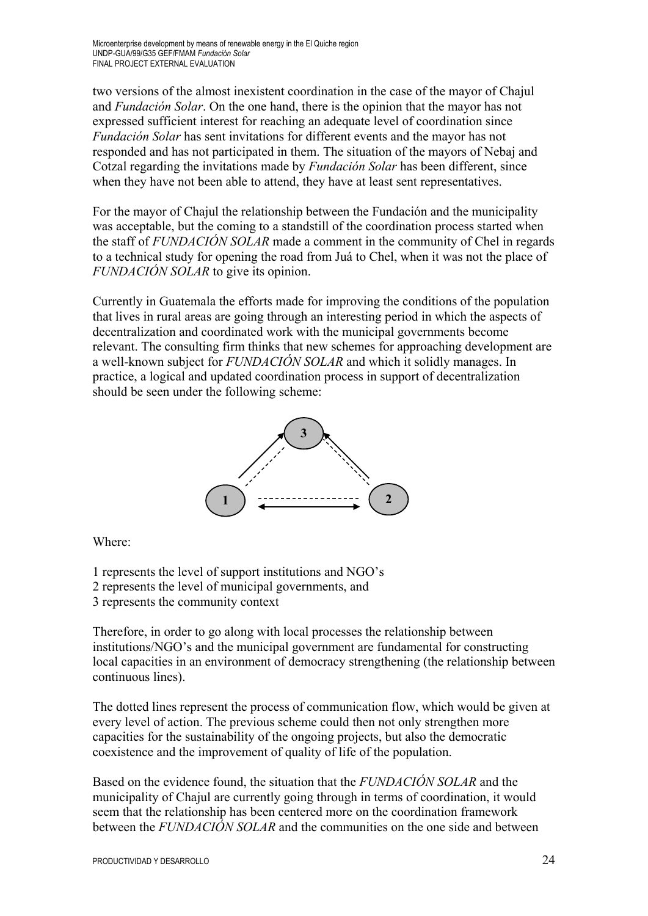two versions of the almost inexistent coordination in the case of the mayor of Chajul and *Fundación Solar*. On the one hand, there is the opinion that the mayor has not expressed sufficient interest for reaching an adequate level of coordination since *Fundación Solar* has sent invitations for different events and the mayor has not responded and has not participated in them. The situation of the mayors of Nebaj and Cotzal regarding the invitations made by *Fundación Solar* has been different, since when they have not been able to attend, they have at least sent representatives.

For the mayor of Chajul the relationship between the Fundación and the municipality was acceptable, but the coming to a standstill of the coordination process started when the staff of *FUNDACIÓN SOLAR* made a comment in the community of Chel in regards to a technical study for opening the road from Juá to Chel, when it was not the place of *FUNDACIÓN SOLAR* to give its opinion.

Currently in Guatemala the efforts made for improving the conditions of the population that lives in rural areas are going through an interesting period in which the aspects of decentralization and coordinated work with the municipal governments become relevant. The consulting firm thinks that new schemes for approaching development are a well-known subject for *FUNDACIÓN SOLAR* and which it solidly manages. In practice, a logical and updated coordination process in support of decentralization should be seen under the following scheme:



Where:

- 1 represents the level of support institutions and NGO's
- 2 represents the level of municipal governments, and
- 3 represents the community context

Therefore, in order to go along with local processes the relationship between institutions/NGO's and the municipal government are fundamental for constructing local capacities in an environment of democracy strengthening (the relationship between continuous lines).

The dotted lines represent the process of communication flow, which would be given at every level of action. The previous scheme could then not only strengthen more capacities for the sustainability of the ongoing projects, but also the democratic coexistence and the improvement of quality of life of the population.

Based on the evidence found, the situation that the *FUNDACIÓN SOLAR* and the municipality of Chajul are currently going through in terms of coordination, it would seem that the relationship has been centered more on the coordination framework between the *FUNDACIÓN SOLAR* and the communities on the one side and between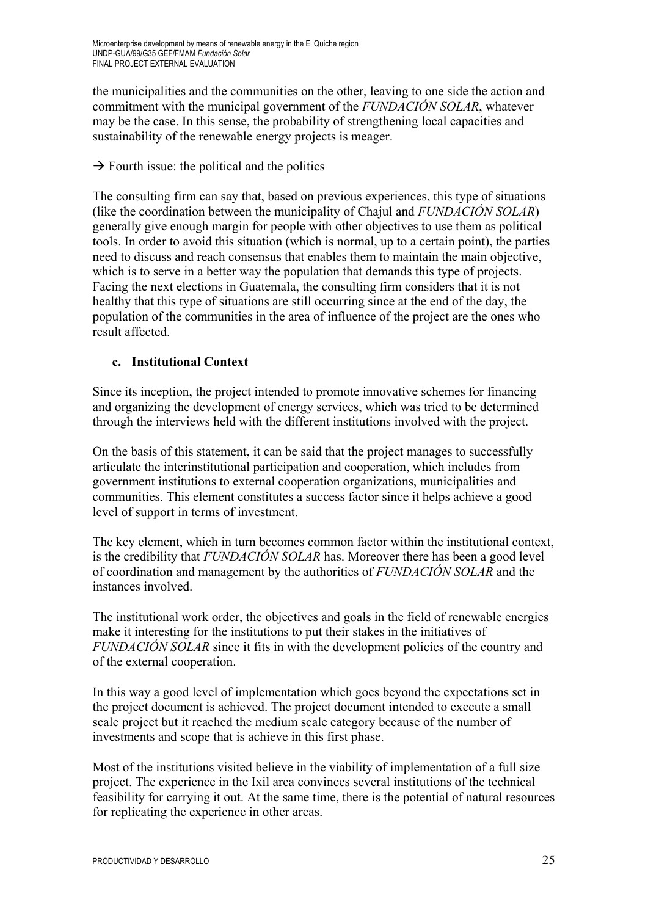the municipalities and the communities on the other, leaving to one side the action and commitment with the municipal government of the *FUNDACIÓN SOLAR*, whatever may be the case. In this sense, the probability of strengthening local capacities and sustainability of the renewable energy projects is meager.

 $\rightarrow$  Fourth issue: the political and the politics

The consulting firm can say that, based on previous experiences, this type of situations (like the coordination between the municipality of Chajul and *FUNDACIÓN SOLAR*) generally give enough margin for people with other objectives to use them as political tools. In order to avoid this situation (which is normal, up to a certain point), the parties need to discuss and reach consensus that enables them to maintain the main objective, which is to serve in a better way the population that demands this type of projects. Facing the next elections in Guatemala, the consulting firm considers that it is not healthy that this type of situations are still occurring since at the end of the day, the population of the communities in the area of influence of the project are the ones who result affected.

## **c. Institutional Context**

Since its inception, the project intended to promote innovative schemes for financing and organizing the development of energy services, which was tried to be determined through the interviews held with the different institutions involved with the project.

On the basis of this statement, it can be said that the project manages to successfully articulate the interinstitutional participation and cooperation, which includes from government institutions to external cooperation organizations, municipalities and communities. This element constitutes a success factor since it helps achieve a good level of support in terms of investment.

The key element, which in turn becomes common factor within the institutional context, is the credibility that *FUNDACIÓN SOLAR* has. Moreover there has been a good level of coordination and management by the authorities of *FUNDACIÓN SOLAR* and the instances involved.

The institutional work order, the objectives and goals in the field of renewable energies make it interesting for the institutions to put their stakes in the initiatives of *FUNDACIÓN SOLAR* since it fits in with the development policies of the country and of the external cooperation.

In this way a good level of implementation which goes beyond the expectations set in the project document is achieved. The project document intended to execute a small scale project but it reached the medium scale category because of the number of investments and scope that is achieve in this first phase.

Most of the institutions visited believe in the viability of implementation of a full size project. The experience in the Ixil area convinces several institutions of the technical feasibility for carrying it out. At the same time, there is the potential of natural resources for replicating the experience in other areas.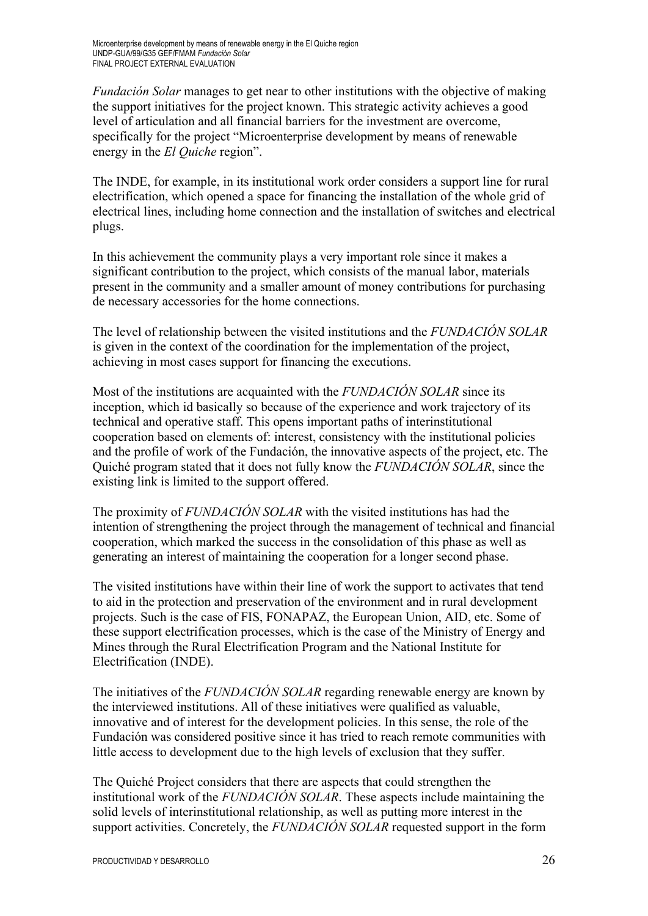*Fundación Solar* manages to get near to other institutions with the objective of making the support initiatives for the project known. This strategic activity achieves a good level of articulation and all financial barriers for the investment are overcome, specifically for the project "Microenterprise development by means of renewable energy in the *El Quiche* region".

The INDE, for example, in its institutional work order considers a support line for rural electrification, which opened a space for financing the installation of the whole grid of electrical lines, including home connection and the installation of switches and electrical plugs.

In this achievement the community plays a very important role since it makes a significant contribution to the project, which consists of the manual labor, materials present in the community and a smaller amount of money contributions for purchasing de necessary accessories for the home connections.

The level of relationship between the visited institutions and the *FUNDACIÓN SOLAR* is given in the context of the coordination for the implementation of the project, achieving in most cases support for financing the executions.

Most of the institutions are acquainted with the *FUNDACIÓN SOLAR* since its inception, which id basically so because of the experience and work trajectory of its technical and operative staff. This opens important paths of interinstitutional cooperation based on elements of: interest, consistency with the institutional policies and the profile of work of the Fundación, the innovative aspects of the project, etc. The Quiché program stated that it does not fully know the *FUNDACIÓN SOLAR*, since the existing link is limited to the support offered.

The proximity of *FUNDACIÓN SOLAR* with the visited institutions has had the intention of strengthening the project through the management of technical and financial cooperation, which marked the success in the consolidation of this phase as well as generating an interest of maintaining the cooperation for a longer second phase.

The visited institutions have within their line of work the support to activates that tend to aid in the protection and preservation of the environment and in rural development projects. Such is the case of FIS, FONAPAZ, the European Union, AID, etc. Some of these support electrification processes, which is the case of the Ministry of Energy and Mines through the Rural Electrification Program and the National Institute for Electrification (INDE).

The initiatives of the *FUNDACIÓN SOLAR* regarding renewable energy are known by the interviewed institutions. All of these initiatives were qualified as valuable, innovative and of interest for the development policies. In this sense, the role of the Fundación was considered positive since it has tried to reach remote communities with little access to development due to the high levels of exclusion that they suffer.

The Quiché Project considers that there are aspects that could strengthen the institutional work of the *FUNDACIÓN SOLAR*. These aspects include maintaining the solid levels of interinstitutional relationship, as well as putting more interest in the support activities. Concretely, the *FUNDACIÓN SOLAR* requested support in the form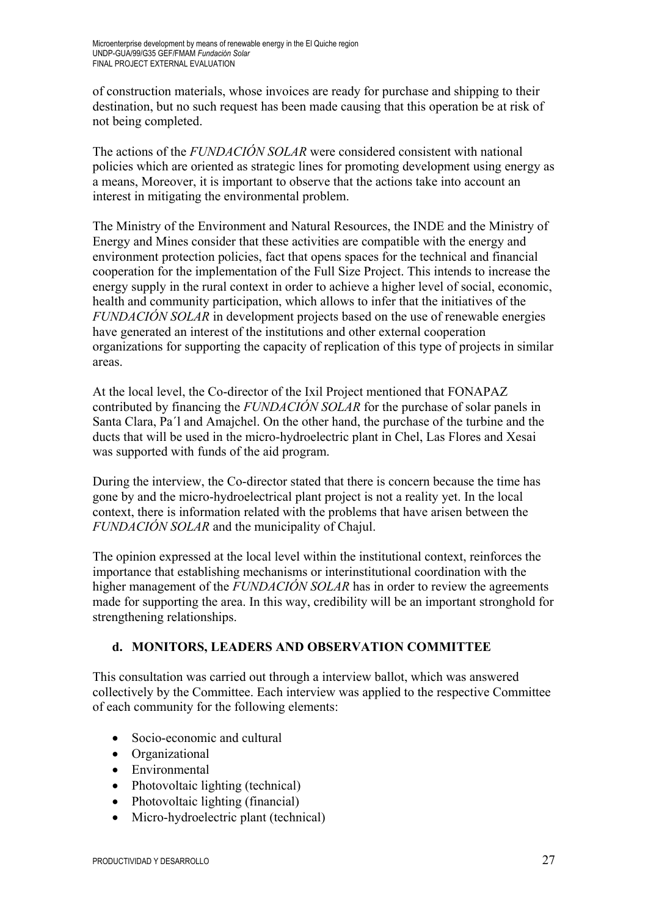of construction materials, whose invoices are ready for purchase and shipping to their destination, but no such request has been made causing that this operation be at risk of not being completed.

The actions of the *FUNDACIÓN SOLAR* were considered consistent with national policies which are oriented as strategic lines for promoting development using energy as a means, Moreover, it is important to observe that the actions take into account an interest in mitigating the environmental problem.

The Ministry of the Environment and Natural Resources, the INDE and the Ministry of Energy and Mines consider that these activities are compatible with the energy and environment protection policies, fact that opens spaces for the technical and financial cooperation for the implementation of the Full Size Project. This intends to increase the energy supply in the rural context in order to achieve a higher level of social, economic, health and community participation, which allows to infer that the initiatives of the *FUNDACIÓN SOLAR* in development projects based on the use of renewable energies have generated an interest of the institutions and other external cooperation organizations for supporting the capacity of replication of this type of projects in similar areas.

At the local level, the Co-director of the Ixil Project mentioned that FONAPAZ contributed by financing the *FUNDACIÓN SOLAR* for the purchase of solar panels in Santa Clara, Pa´l and Amajchel. On the other hand, the purchase of the turbine and the ducts that will be used in the micro-hydroelectric plant in Chel, Las Flores and Xesai was supported with funds of the aid program.

During the interview, the Co-director stated that there is concern because the time has gone by and the micro-hydroelectrical plant project is not a reality yet. In the local context, there is information related with the problems that have arisen between the *FUNDACIÓN SOLAR* and the municipality of Chajul.

The opinion expressed at the local level within the institutional context, reinforces the importance that establishing mechanisms or interinstitutional coordination with the higher management of the *FUNDACIÓN SOLAR* has in order to review the agreements made for supporting the area. In this way, credibility will be an important stronghold for strengthening relationships.

# **d. MONITORS, LEADERS AND OBSERVATION COMMITTEE**

This consultation was carried out through a interview ballot, which was answered collectively by the Committee. Each interview was applied to the respective Committee of each community for the following elements:

- Socio-economic and cultural
- Organizational
- Environmental
- Photovoltaic lighting (technical)
- Photovoltaic lighting (financial)
- Micro-hydroelectric plant (technical)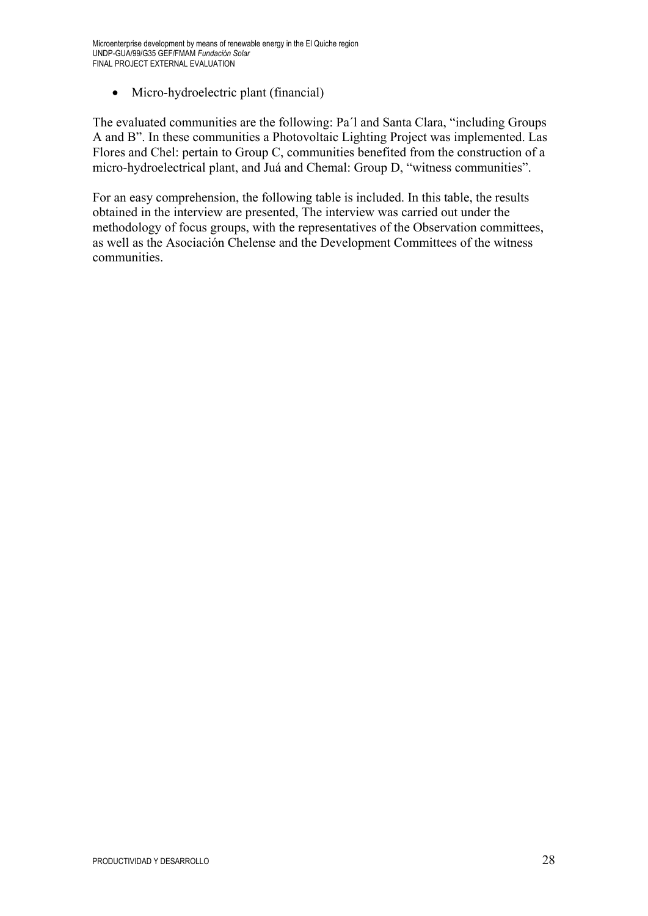• Micro-hydroelectric plant (financial)

The evaluated communities are the following: Pa´l and Santa Clara, "including Groups A and B". In these communities a Photovoltaic Lighting Project was implemented. Las Flores and Chel: pertain to Group C, communities benefited from the construction of a micro-hydroelectrical plant, and Juá and Chemal: Group D, "witness communities".

For an easy comprehension, the following table is included. In this table, the results obtained in the interview are presented, The interview was carried out under the methodology of focus groups, with the representatives of the Observation committees, as well as the Asociación Chelense and the Development Committees of the witness communities.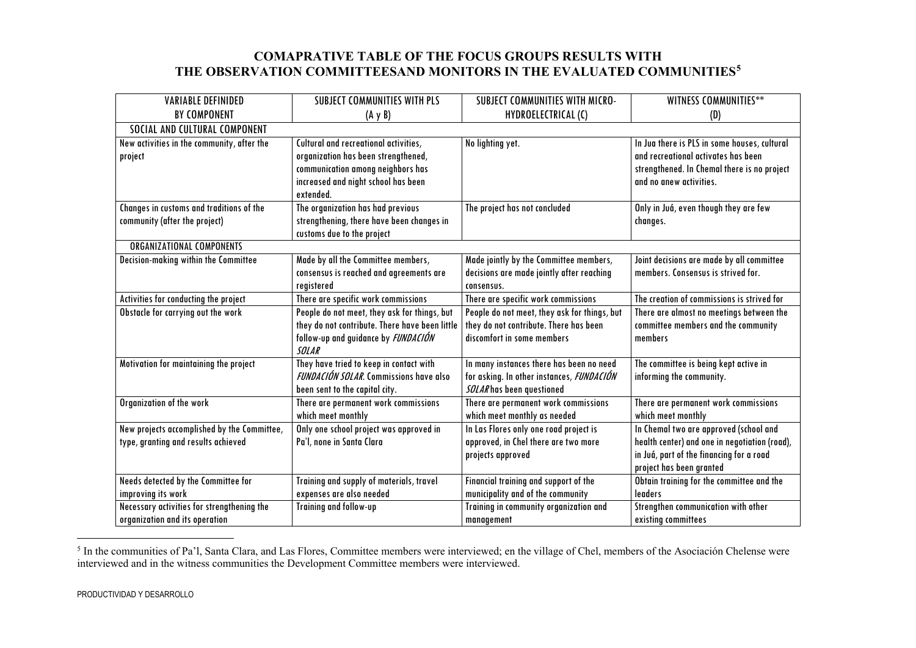## <span id="page-29-0"></span>**COMAPRATIVE TABLE OF THE FOCUS GROUPS RESULTS WITH THE OBSERVATION COMMITTEESAND MONITORS IN THE EVALUATED COMMUNITIES[5](#page-29-0)**

| <b>VARIABLE DEFINIDED</b>                   | <b>SUBJECT COMMUNITIES WITH PLS</b>                                               | SUBJECT COMMUNITIES WITH MICRO-                                       | WITNESS COMMUNITIES**                         |  |  |
|---------------------------------------------|-----------------------------------------------------------------------------------|-----------------------------------------------------------------------|-----------------------------------------------|--|--|
| <b>BY COMPONENT</b>                         | $(A \vee B)$                                                                      | HYDROELECTRICAL (C)                                                   | (D)                                           |  |  |
| SOCIAL AND CULTURAL COMPONENT               |                                                                                   |                                                                       |                                               |  |  |
| New activities in the community, after the  | Cultural and recreational activities,                                             | No lighting yet.                                                      | In Jua there is PLS in some houses, cultural  |  |  |
| project                                     | organization has been strengthened,                                               |                                                                       | and recreational activates has been           |  |  |
|                                             | communication among neighbors has                                                 |                                                                       | strengthened. In Chemal there is no project   |  |  |
|                                             | increased and night school has been                                               |                                                                       | and no anew activities.                       |  |  |
|                                             | extended.                                                                         |                                                                       |                                               |  |  |
| Changes in customs and traditions of the    | The organization has had previous                                                 | The project has not concluded                                         | Only in Juá, even though they are few         |  |  |
| community (after the project)               | strengthening, there have been changes in                                         |                                                                       | changes.                                      |  |  |
|                                             | customs due to the project                                                        |                                                                       |                                               |  |  |
| <b>ORGANIZATIONAL COMPONENTS</b>            |                                                                                   |                                                                       |                                               |  |  |
| Decision-making within the Committee        | Made by all the Committee members,                                                | Made jointly by the Committee members,                                | Joint decisions are made by all committee     |  |  |
|                                             | consensus is reached and agreements are                                           | decisions are made jointly after reaching                             | members. Consensus is strived for.            |  |  |
|                                             | registered                                                                        | consensus.                                                            |                                               |  |  |
| Activities for conducting the project       | There are specific work commissions                                               | There are specific work commissions                                   | The creation of commissions is strived for    |  |  |
| Obstacle for carrying out the work          | People do not meet, they ask for things, but                                      | People do not meet, they ask for things, but                          | There are almost no meetings between the      |  |  |
|                                             | they do not contribute. There have been little                                    | they do not contribute. There has been                                | committee members and the community           |  |  |
|                                             | follow-up and guidance by FUNDACIÓN                                               | discomfort in some members                                            | members                                       |  |  |
|                                             | <b>SOLAR</b>                                                                      |                                                                       |                                               |  |  |
| Motivation for maintaining the project      | They have tried to keep in contact with<br>FUNDACIÓN SOLAR. Commissions have also | In many instances there has been no need                              | The committee is being kept active in         |  |  |
|                                             |                                                                                   | for asking. In other instances, FUNDACIÓN<br>SOLARhas been questioned | informing the community.                      |  |  |
| Organization of the work                    | been sent to the capital city.<br>There are permanent work commissions            | There are permanent work commissions                                  | There are permanent work commissions          |  |  |
|                                             | which meet monthly                                                                | which meet monthly as needed                                          | which meet monthly                            |  |  |
| New projects accomplished by the Committee, | Only one school project was approved in                                           | In Las Flores only one road project is                                | In Chemal two are approved (school and        |  |  |
| type, granting and results achieved         | Pa'l, none in Santa Clara                                                         | approved, in Chel there are two more                                  | health center) and one in negotiation (road), |  |  |
|                                             |                                                                                   | projects approved                                                     | in Juá, part of the financing for a road      |  |  |
|                                             |                                                                                   |                                                                       | project has been granted                      |  |  |
| Needs detected by the Committee for         | Training and supply of materials, travel                                          | Financial training and support of the                                 | Obtain training for the committee and the     |  |  |
| improving its work                          | expenses are also needed                                                          | municipality and of the community                                     | leaders                                       |  |  |
| Necessary activities for strengthening the  | Training and follow-up                                                            | Training in community organization and                                | Strengthen communication with other           |  |  |
| organization and its operation              |                                                                                   | management                                                            | existing committees                           |  |  |

<sup>&</sup>lt;sup>5</sup> In the communities of Pa'l, Santa Clara, and Las Flores, Committee members were interviewed; en the village of Chel, members of the Asociación Chelense were interviewed and in the witness communities the Development Committee members were interviewed.

 $\overline{a}$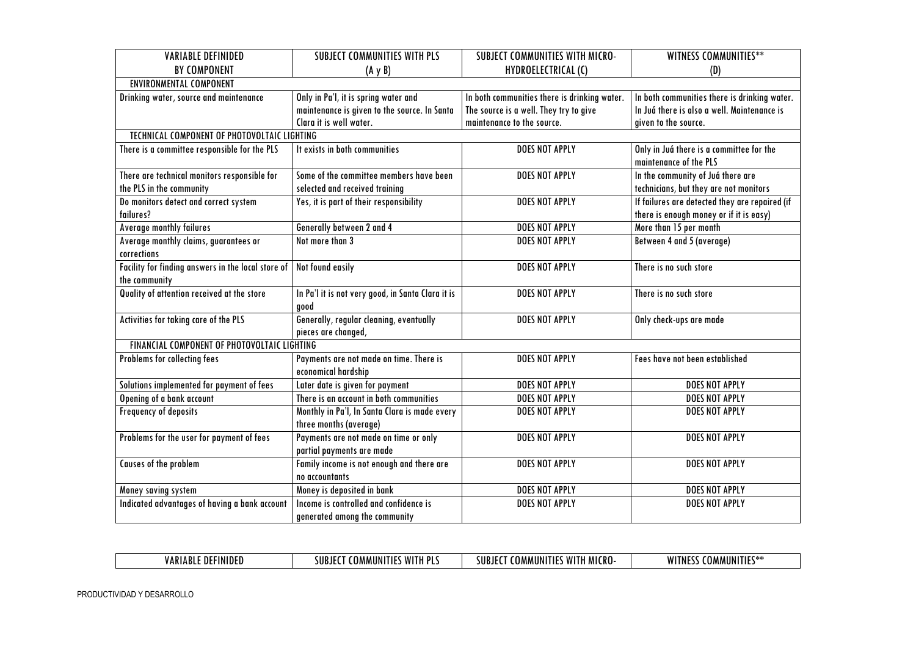| <b>VARIABLE DEFINIDED</b>                          | <b>SUBJECT COMMUNITIES WITH PLS</b>               | SUBJECT COMMUNITIES WITH MICRO-              | WITNESS COMMUNITIES**                          |
|----------------------------------------------------|---------------------------------------------------|----------------------------------------------|------------------------------------------------|
| <b>BY COMPONENT</b>                                | $(A \vee B)$                                      | HYDROELECTRICAL (C)                          | (D)                                            |
| <b>ENVIRONMENTAL COMPONENT</b>                     |                                                   |                                              |                                                |
| Drinking water, source and maintenance             | Only in Pa'l, it is spring water and              | In both communities there is drinking water. | In both communities there is drinking water.   |
|                                                    | maintenance is given to the source. In Santa      | The source is a well. They try to give       | In Juá there is also a well. Maintenance is    |
|                                                    | Clara it is well water.                           | maintenance to the source.                   | given to the source.                           |
| TECHNICAL COMPONENT OF PHOTOVOLTAIC LIGHTING       |                                                   |                                              |                                                |
| There is a committee responsible for the PLS       | It exists in both communities                     | <b>DOES NOT APPLY</b>                        | Only in Juá there is a committee for the       |
|                                                    |                                                   |                                              | maintenance of the PLS                         |
| There are technical monitors responsible for       | Some of the committee members have been           | <b>DOES NOT APPLY</b>                        | In the community of Juá there are              |
| the PLS in the community                           | selected and received training                    |                                              | technicians, but they are not monitors         |
| Do monitors detect and correct system              | Yes, it is part of their responsibility           | <b>DOES NOT APPLY</b>                        | If failures are detected they are repaired (if |
| failures?                                          |                                                   |                                              | there is enough money or if it is easy)        |
| <b>Average monthly failures</b>                    | Generally between 2 and 4                         | <b>DOES NOT APPLY</b>                        | More than 15 per month                         |
| Average monthly claims, guarantees or              | Not more than 3                                   | <b>DOES NOT APPLY</b>                        | Between 4 and 5 (average)                      |
| corrections                                        |                                                   |                                              |                                                |
| Facility for finding answers in the local store of | Not found easily                                  | <b>DOES NOT APPLY</b>                        | There is no such store                         |
| the community                                      |                                                   |                                              |                                                |
| Quality of attention received at the store         | In Pa'l it is not very good, in Santa Clara it is | <b>DOES NOT APPLY</b>                        | There is no such store                         |
|                                                    | good                                              |                                              |                                                |
| Activities for taking care of the PLS              | Generally, regular cleaning, eventually           | <b>DOES NOT APPLY</b>                        | Only check-ups are made                        |
|                                                    | pieces are changed,                               |                                              |                                                |
| FINANCIAL COMPONENT OF PHOTOVOLTAIC LIGHTING       |                                                   |                                              |                                                |
| Problems for collecting fees                       | Payments are not made on time. There is           | DOES NOT APPLY                               | Fees have not been established                 |
|                                                    | economical hardship                               |                                              |                                                |
| Solutions implemented for payment of fees          | Later date is given for payment                   | <b>DOES NOT APPLY</b>                        | DOES NOT APPLY                                 |
| Opening of a bank account                          | There is an account in both communities           | DOES NOT APPLY                               | DOES NOT APPLY                                 |
| Frequency of deposits                              | Monthly in Pa'l, In Santa Clara is made every     | <b>DOES NOT APPLY</b>                        | DOES NOT APPLY                                 |
|                                                    | three months (average)                            |                                              |                                                |
| Problems for the user for payment of fees          | Payments are not made on time or only             | <b>DOES NOT APPLY</b>                        | <b>DOES NOT APPLY</b>                          |
|                                                    | partial payments are made                         |                                              |                                                |
| Causes of the problem                              | Family income is not enough and there are         | <b>DOES NOT APPLY</b>                        | DOES NOT APPLY                                 |
|                                                    | no accountants                                    |                                              |                                                |
| Money saving system                                | Money is deposited in bank                        | <b>DOES NOT APPLY</b>                        | DOES NOT APPLY                                 |
| Indicated advantages of having a bank account      | Income is controlled and confidence is            | <b>DOES NOT APPLY</b>                        | <b>DOES NOT APPLY</b>                          |
|                                                    | generated among the community                     |                                              |                                                |

| D.<br>וח<br>∕ A R<br>Ш<br>1D I | <b>MITI</b><br>. DI<br><b>MMUN</b><br>. .<br>. . | <br>;IIR<br>70 I V<br>IUIVI<br>U F<br>∴nu | <b>MIT</b><br>11 L<br>MMUNI<br>. |
|--------------------------------|--------------------------------------------------|-------------------------------------------|----------------------------------|
|                                |                                                  |                                           |                                  |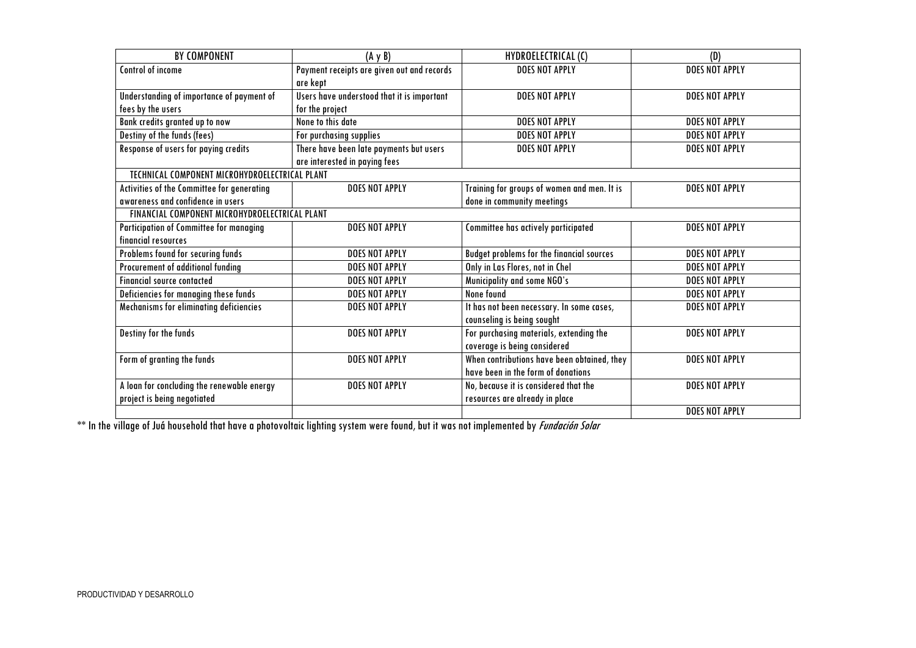| BY COMPONENT                                   | $(A \vee B)$                               | HYDROELECTRICAL (C)                              | (D)                   |
|------------------------------------------------|--------------------------------------------|--------------------------------------------------|-----------------------|
| Control of income                              | Payment receipts are given out and records | DOES NOT APPLY                                   | <b>DOES NOT APPLY</b> |
|                                                | are kept                                   |                                                  |                       |
| Understanding of importance of payment of      | Users have understood that it is important | <b>DOES NOT APPLY</b>                            | <b>DOES NOT APPLY</b> |
| fees by the users                              | for the project                            |                                                  |                       |
| Bank credits granted up to now                 | None to this date                          | <b>DOES NOT APPLY</b>                            | <b>DOES NOT APPLY</b> |
| Destiny of the funds (fees)                    | For purchasing supplies                    | <b>DOES NOT APPLY</b>                            | <b>DOES NOT APPLY</b> |
| Response of users for paying credits           | There have been late payments but users    | <b>DOES NOT APPLY</b>                            | <b>DOES NOT APPLY</b> |
|                                                | are interested in paying fees              |                                                  |                       |
| TECHNICAL COMPONENT MICROHYDROELECTRICAL PLANT |                                            |                                                  |                       |
| Activities of the Committee for generating     | <b>DOES NOT APPLY</b>                      | Training for groups of women and men. It is      | <b>DOES NOT APPLY</b> |
| awareness and confidence in users              |                                            | done in community meetings                       |                       |
| FINANCIAL COMPONENT MICROHYDROELECTRICAL PLANT |                                            |                                                  |                       |
| Participation of Committee for managing        | DOES NOT APPLY                             | Committee has actively participated              | <b>DOES NOT APPLY</b> |
| financial resources                            |                                            |                                                  |                       |
| Problems found for securing funds              | <b>DOES NOT APPLY</b>                      | <b>Budget problems for the financial sources</b> | <b>DOES NOT APPLY</b> |
| Procurement of additional funding              | <b>DOES NOT APPLY</b>                      | Only in Las Flores, not in Chel                  | <b>DOES NOT APPLY</b> |
| <b>Financial source contacted</b>              | <b>DOES NOT APPLY</b>                      | Municipality and some NGO's                      | <b>DOES NOT APPLY</b> |
| Deficiencies for managing these funds          | <b>DOES NOT APPLY</b>                      | None found                                       | <b>DOES NOT APPLY</b> |
| Mechanisms for eliminating deficiencies        | <b>DOES NOT APPLY</b>                      | It has not been necessary. In some cases,        | <b>DOES NOT APPLY</b> |
|                                                |                                            | counseling is being sought                       |                       |
| Destiny for the funds                          | DOES NOT APPLY                             | For purchasing materials, extending the          | <b>DOES NOT APPLY</b> |
|                                                |                                            | coverage is being considered                     |                       |
| Form of granting the funds                     | <b>DOES NOT APPLY</b>                      | When contributions have been obtained, they      | <b>DOES NOT APPLY</b> |
|                                                |                                            | have been in the form of donations               |                       |
| A loan for concluding the renewable energy     | <b>DOES NOT APPLY</b>                      | No, because it is considered that the            | <b>DOES NOT APPLY</b> |
| project is being negotiated                    |                                            | resources are already in place                   |                       |
|                                                |                                            |                                                  | DOES NOT APPLY        |

\*\* In the village of Juá household that have a photovoltaic lighting system were found, but it was not implemented by Fundación Solar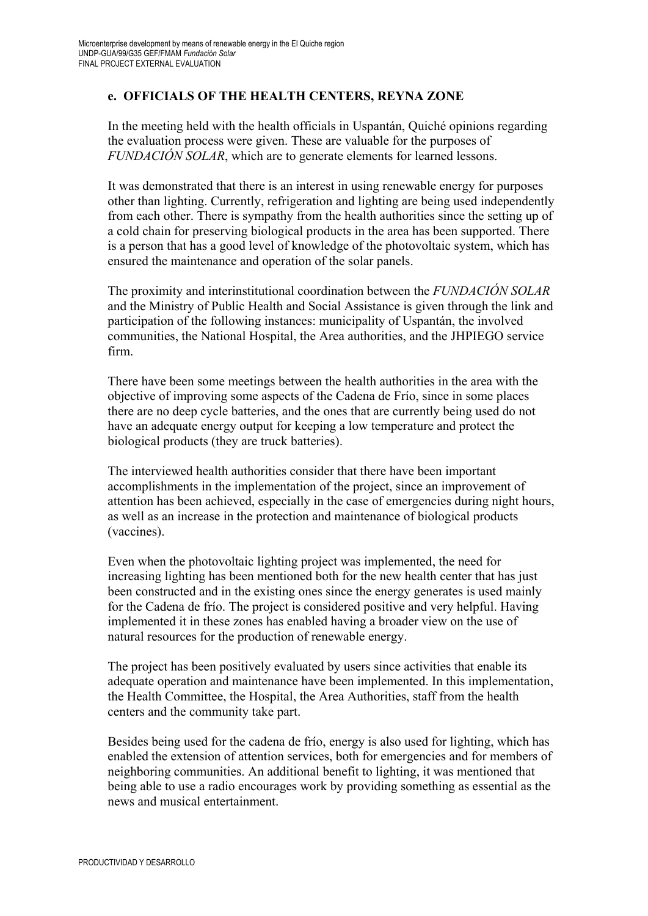## **e. OFFICIALS OF THE HEALTH CENTERS, REYNA ZONE**

In the meeting held with the health officials in Uspantán, Quiché opinions regarding the evaluation process were given. These are valuable for the purposes of *FUNDACIÓN SOLAR*, which are to generate elements for learned lessons.

It was demonstrated that there is an interest in using renewable energy for purposes other than lighting. Currently, refrigeration and lighting are being used independently from each other. There is sympathy from the health authorities since the setting up of a cold chain for preserving biological products in the area has been supported. There is a person that has a good level of knowledge of the photovoltaic system, which has ensured the maintenance and operation of the solar panels.

The proximity and interinstitutional coordination between the *FUNDACIÓN SOLAR* and the Ministry of Public Health and Social Assistance is given through the link and participation of the following instances: municipality of Uspantán, the involved communities, the National Hospital, the Area authorities, and the JHPIEGO service firm.

There have been some meetings between the health authorities in the area with the objective of improving some aspects of the Cadena de Frío, since in some places there are no deep cycle batteries, and the ones that are currently being used do not have an adequate energy output for keeping a low temperature and protect the biological products (they are truck batteries).

The interviewed health authorities consider that there have been important accomplishments in the implementation of the project, since an improvement of attention has been achieved, especially in the case of emergencies during night hours, as well as an increase in the protection and maintenance of biological products (vaccines).

Even when the photovoltaic lighting project was implemented, the need for increasing lighting has been mentioned both for the new health center that has just been constructed and in the existing ones since the energy generates is used mainly for the Cadena de frío. The project is considered positive and very helpful. Having implemented it in these zones has enabled having a broader view on the use of natural resources for the production of renewable energy.

The project has been positively evaluated by users since activities that enable its adequate operation and maintenance have been implemented. In this implementation, the Health Committee, the Hospital, the Area Authorities, staff from the health centers and the community take part.

Besides being used for the cadena de frío, energy is also used for lighting, which has enabled the extension of attention services, both for emergencies and for members of neighboring communities. An additional benefit to lighting, it was mentioned that being able to use a radio encourages work by providing something as essential as the news and musical entertainment.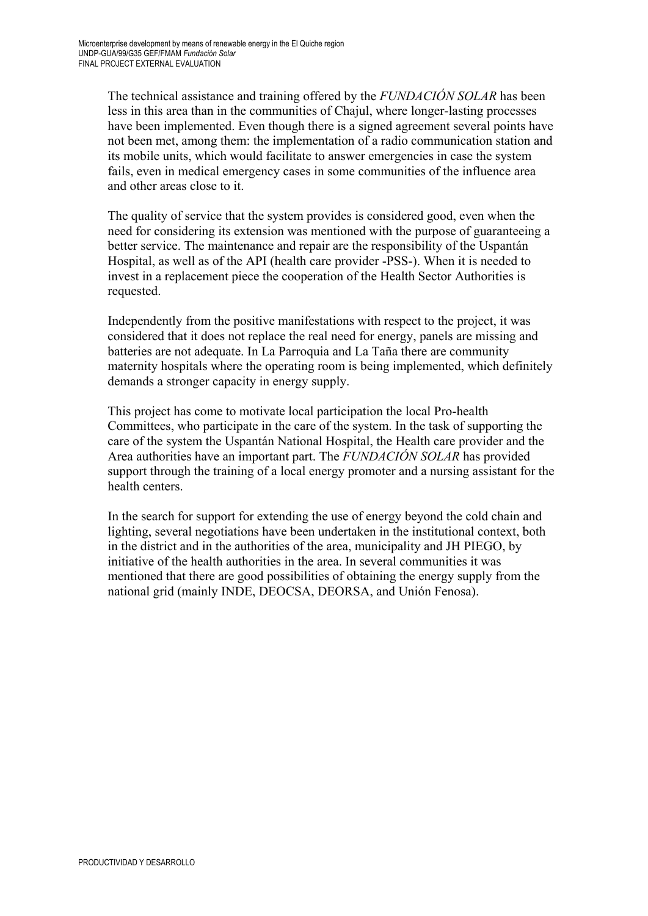The technical assistance and training offered by the *FUNDACIÓN SOLAR* has been less in this area than in the communities of Chajul, where longer-lasting processes have been implemented. Even though there is a signed agreement several points have not been met, among them: the implementation of a radio communication station and its mobile units, which would facilitate to answer emergencies in case the system fails, even in medical emergency cases in some communities of the influence area and other areas close to it.

The quality of service that the system provides is considered good, even when the need for considering its extension was mentioned with the purpose of guaranteeing a better service. The maintenance and repair are the responsibility of the Uspantán Hospital, as well as of the API (health care provider -PSS-). When it is needed to invest in a replacement piece the cooperation of the Health Sector Authorities is requested.

Independently from the positive manifestations with respect to the project, it was considered that it does not replace the real need for energy, panels are missing and batteries are not adequate. In La Parroquia and La Taña there are community maternity hospitals where the operating room is being implemented, which definitely demands a stronger capacity in energy supply.

This project has come to motivate local participation the local Pro-health Committees, who participate in the care of the system. In the task of supporting the care of the system the Uspantán National Hospital, the Health care provider and the Area authorities have an important part. The *FUNDACIÓN SOLAR* has provided support through the training of a local energy promoter and a nursing assistant for the health centers.

In the search for support for extending the use of energy beyond the cold chain and lighting, several negotiations have been undertaken in the institutional context, both in the district and in the authorities of the area, municipality and JH PIEGO, by initiative of the health authorities in the area. In several communities it was mentioned that there are good possibilities of obtaining the energy supply from the national grid (mainly INDE, DEOCSA, DEORSA, and Unión Fenosa).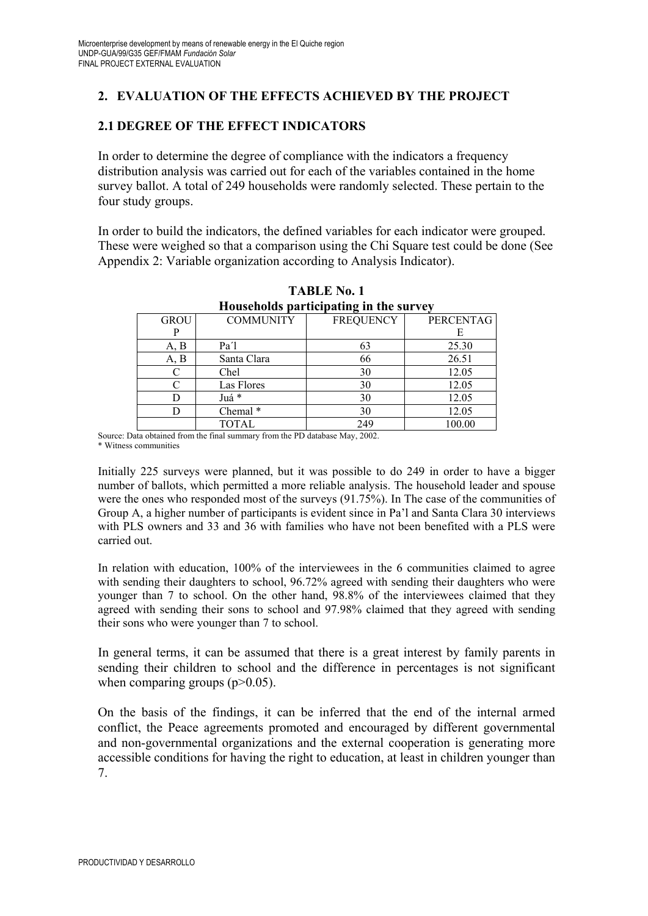## **2. EVALUATION OF THE EFFECTS ACHIEVED BY THE PROJECT**

### **2.1 DEGREE OF THE EFFECT INDICATORS**

In order to determine the degree of compliance with the indicators a frequency distribution analysis was carried out for each of the variables contained in the home survey ballot. A total of 249 households were randomly selected. These pertain to the four study groups.

In order to build the indicators, the defined variables for each indicator were grouped. These were weighed so that a comparison using the Chi Square test could be done (See Appendix 2: Variable organization according to Analysis Indicator).

|             |                   | Households participating in the survey |           |
|-------------|-------------------|----------------------------------------|-----------|
| <b>GROU</b> | <b>COMMUNITY</b>  | <b>FREQUENCY</b>                       | PERCENTAG |
|             |                   |                                        | Е         |
| A, B        | Pa <sup>'</sup> l | 63                                     | 25.30     |
| A, B        | Santa Clara       | 66                                     | 26.51     |
|             | Chel              | 30                                     | 12.05     |
| ⌒           | Las Flores        | 30                                     | 12.05     |
|             | Juá *             | 30                                     | 12.05     |
|             | Chemal *          | 30                                     | 12.05     |
|             | <b>TOTAL</b>      | 249                                    | 100.00    |

**TABLE No. 1 Households participating in the survey**

Source: Data obtained from the final summary from the PD database May, 2002. \* Witness communities

Initially 225 surveys were planned, but it was possible to do 249 in order to have a bigger number of ballots, which permitted a more reliable analysis. The household leader and spouse were the ones who responded most of the surveys (91.75%). In The case of the communities of Group A, a higher number of participants is evident since in Pa'l and Santa Clara 30 interviews with PLS owners and 33 and 36 with families who have not been benefited with a PLS were carried out.

In relation with education, 100% of the interviewees in the 6 communities claimed to agree with sending their daughters to school, 96.72% agreed with sending their daughters who were younger than 7 to school. On the other hand, 98.8% of the interviewees claimed that they agreed with sending their sons to school and 97.98% claimed that they agreed with sending their sons who were younger than 7 to school.

In general terms, it can be assumed that there is a great interest by family parents in sending their children to school and the difference in percentages is not significant when comparing groups  $(p>0.05)$ .

On the basis of the findings, it can be inferred that the end of the internal armed conflict, the Peace agreements promoted and encouraged by different governmental and non-governmental organizations and the external cooperation is generating more accessible conditions for having the right to education, at least in children younger than 7.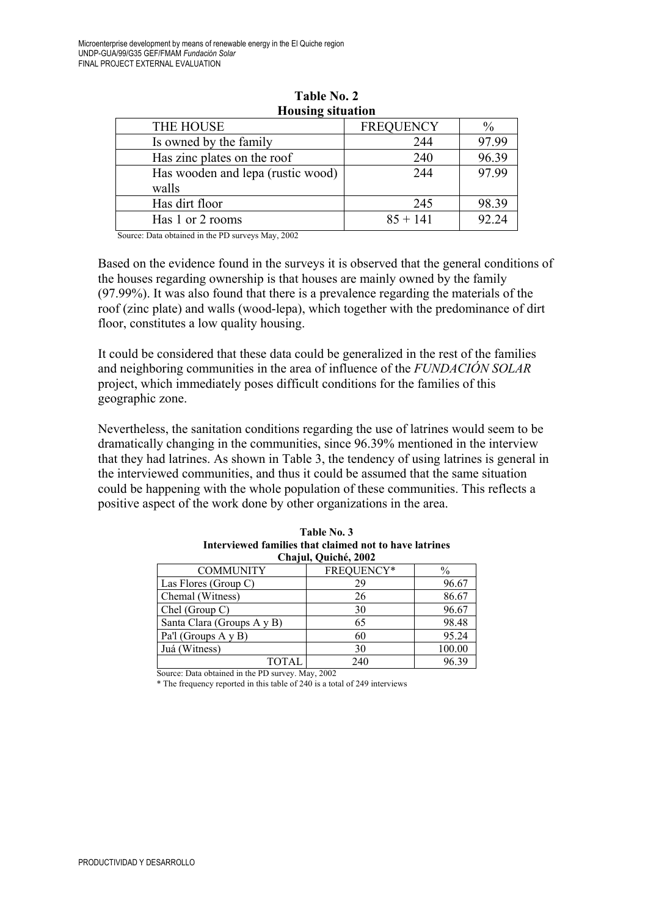| $-1$                              |                  |               |
|-----------------------------------|------------------|---------------|
| THE HOUSE                         | <b>FREQUENCY</b> | $\frac{0}{0}$ |
| Is owned by the family            | 244              | 97.99         |
| Has zinc plates on the roof       | 240              | 96.39         |
| Has wooden and lepa (rustic wood) | 244              | 97.99         |
| walls                             |                  |               |
| Has dirt floor                    | 245              | 98.39         |
| Has 1 or 2 rooms                  | $85 + 141$       | 92.24         |
|                                   |                  |               |

**Table No. 2 Housing situation** 

Source: Data obtained in the PD surveys May, 2002

Based on the evidence found in the surveys it is observed that the general conditions of the houses regarding ownership is that houses are mainly owned by the family (97.99%). It was also found that there is a prevalence regarding the materials of the roof (zinc plate) and walls (wood-lepa), which together with the predominance of dirt floor, constitutes a low quality housing.

It could be considered that these data could be generalized in the rest of the families and neighboring communities in the area of influence of the *FUNDACIÓN SOLAR* project, which immediately poses difficult conditions for the families of this geographic zone.

Nevertheless, the sanitation conditions regarding the use of latrines would seem to be dramatically changing in the communities, since 96.39% mentioned in the interview that they had latrines. As shown in Table 3, the tendency of using latrines is general in the interviewed communities, and thus it could be assumed that the same situation could be happening with the whole population of these communities. This reflects a positive aspect of the work done by other organizations in the area.

|                            | Chajul, Quiche, 2002 |        |
|----------------------------|----------------------|--------|
| <b>COMMUNITY</b>           | FREQUENCY*           | $\%$   |
| Las Flores (Group C)       | 29                   | 96.67  |
| Chemal (Witness)           | 26                   | 86.67  |
| Chel (Group C)             | 30                   | 96.67  |
| Santa Clara (Groups A y B) | 65                   | 98.48  |
| Pa'l (Groups A y B)        | 60                   | 95.24  |
| Juá (Witness)              | 30                   | 100.00 |
| TOTAL                      | 240                  | 96.39  |

| Table No. 3                                            |
|--------------------------------------------------------|
| Interviewed families that claimed not to have latrines |
| Chajul, Quiché, 2002                                   |

Source: Data obtained in the PD survey. May, 2002

\* The frequency reported in this table of 240 is a total of 249 interviews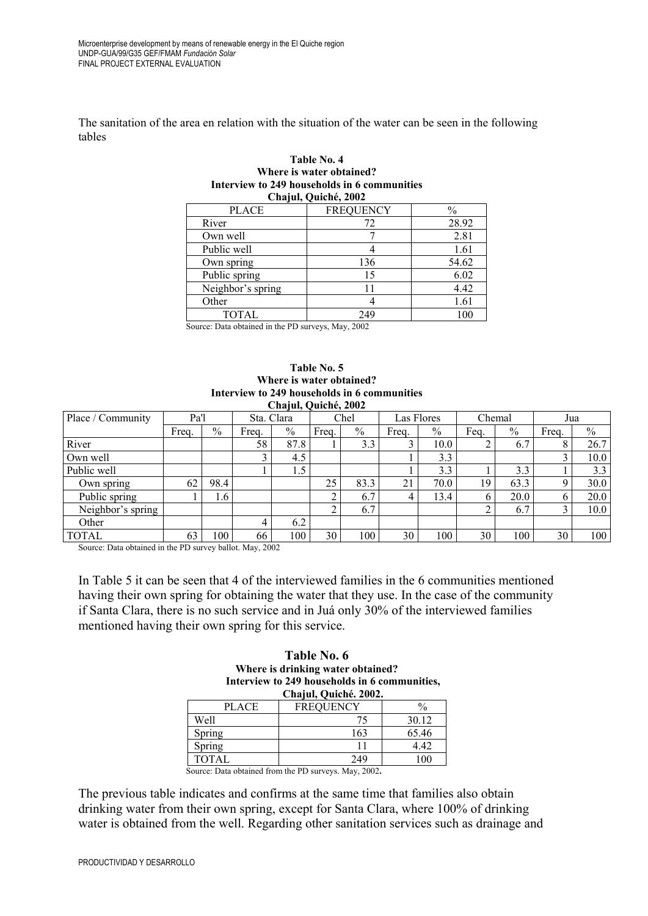The sanitation of the area en relation with the situation of the water can be seen in the following tables

|                                              | where is water obtained. |               |  |  |  |  |
|----------------------------------------------|--------------------------|---------------|--|--|--|--|
| Interview to 249 households in 6 communities |                          |               |  |  |  |  |
|                                              | Chajul, Quiché, 2002     |               |  |  |  |  |
| <b>PLACE</b>                                 | <b>FREQUENCY</b>         | $\frac{0}{0}$ |  |  |  |  |
| River                                        | 72                       | 28.92         |  |  |  |  |
| Own well                                     |                          | 2.81          |  |  |  |  |
| Public well                                  |                          | 1.61          |  |  |  |  |
| Own spring                                   | 136                      | 54.62         |  |  |  |  |
| Public spring                                | 15                       | 6.02          |  |  |  |  |
| Neighbor's spring                            | 11                       | 4.42          |  |  |  |  |
| Other                                        |                          | 1.61          |  |  |  |  |
| <b>TOTAL</b>                                 | 249                      | 100           |  |  |  |  |

# **Table No. 4 Where is water obtained?**

Source: Data obtained in the PD surveys, May, 2002

#### **Table No. 5 Where is water obtained? Interview to 249 households in 6 communities Chajul, Quiché, 2002**

| Place / Community | Pa'l  |      | Sta. Clara |               |       | Chel | Las Flores |               | Chemal       |               | Jua   |               |
|-------------------|-------|------|------------|---------------|-------|------|------------|---------------|--------------|---------------|-------|---------------|
|                   | Freq. | $\%$ | Frea.      | $\frac{0}{0}$ | Freq. | $\%$ | Freq.      | $\frac{0}{0}$ | Fea.         | $\frac{0}{0}$ | Freq. | $\frac{0}{0}$ |
| River             |       |      | 58         | 87.8          |       | 3.3  |            | 10.0          |              | 6.7           |       | 26.7          |
| Own well          |       |      |            | 4.5           |       |      |            | 3.3           |              |               |       | 10.0          |
| Public well       |       |      |            | 1.5           |       |      |            | 3.3           |              | 3.3           |       | 3.3           |
| Own spring        | 62    | 98.4 |            |               | 25    | 83.3 | 21         | 70.0          | 19           | 63.3          | Q     | 30.0          |
| Public spring     |       | 1.6  |            |               |       | 6.7  |            | 13.4          | <sub>(</sub> | 20.0          | 6     | 20.0          |
| Neighbor's spring |       |      |            |               |       | 6.7  |            |               |              | 6.7           |       | 10.0          |
| Other             |       |      | 4          | 6.2           |       |      |            |               |              |               |       |               |
| <b>TOTAL</b>      | 63    | 100  | 66         | 100           | 30    | 100  | 30         | 100           | 30           | 100           | 30    | 100           |

Source: Data obtained in the PD survey ballot. May, 2002

 $\Gamma$ 

In Table 5 it can be seen that 4 of the interviewed families in the 6 communities mentioned having their own spring for obtaining the water that they use. In the case of the community if Santa Clara, there is no such service and in Juá only 30% of the interviewed families mentioned having their own spring for this service.

| Table No. 6                                   |                       |               |  |  |  |
|-----------------------------------------------|-----------------------|---------------|--|--|--|
| Where is drinking water obtained?             |                       |               |  |  |  |
| Interview to 249 households in 6 communities, |                       |               |  |  |  |
|                                               | Chajul, Quiché. 2002. |               |  |  |  |
| <b>PLACE</b>                                  | <b>FREOUENCY</b>      | $\frac{0}{0}$ |  |  |  |
|                                               |                       | 20.12         |  |  |  |

| PLAUE        | <b>FREQUENCY</b> | $\frac{9}{2}$ |
|--------------|------------------|---------------|
| Well         | 75               | 30.12         |
| Spring       | 163              | 65.46         |
| Spring       |                  | 4.42          |
| <b>TOTAL</b> | 249              | 100           |
|              |                  |               |

Source: Data obtained from the PD surveys. May, 2002**.** 

The previous table indicates and confirms at the same time that families also obtain drinking water from their own spring, except for Santa Clara, where 100% of drinking water is obtained from the well. Regarding other sanitation services such as drainage and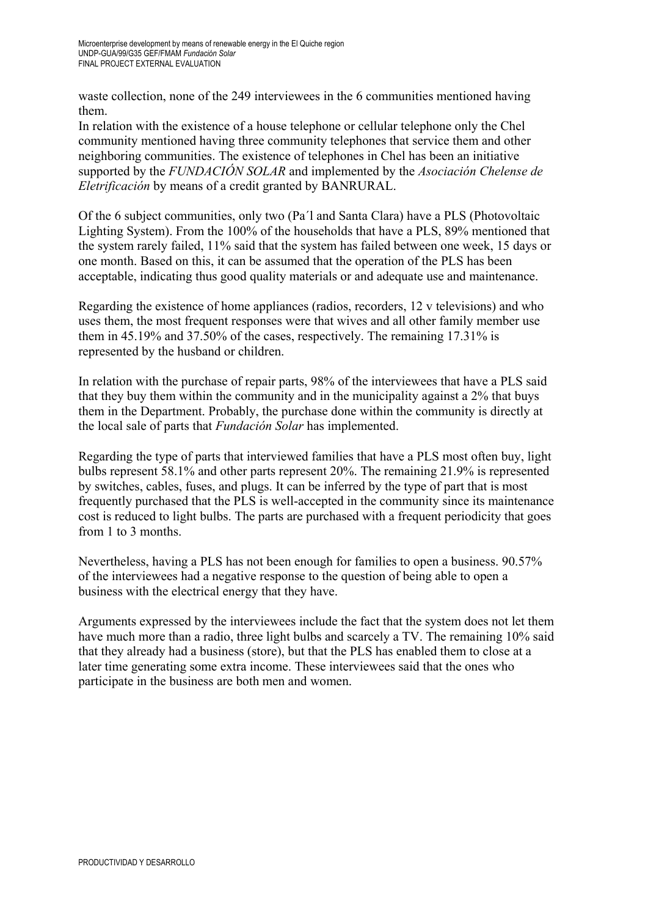waste collection, none of the 249 interviewees in the 6 communities mentioned having them.

In relation with the existence of a house telephone or cellular telephone only the Chel community mentioned having three community telephones that service them and other neighboring communities. The existence of telephones in Chel has been an initiative supported by the *FUNDACIÓN SOLAR* and implemented by the *Asociación Chelense de Eletrificación* by means of a credit granted by BANRURAL.

Of the 6 subject communities, only two (Pa´l and Santa Clara) have a PLS (Photovoltaic Lighting System). From the 100% of the households that have a PLS, 89% mentioned that the system rarely failed, 11% said that the system has failed between one week, 15 days or one month. Based on this, it can be assumed that the operation of the PLS has been acceptable, indicating thus good quality materials or and adequate use and maintenance.

Regarding the existence of home appliances (radios, recorders, 12 v televisions) and who uses them, the most frequent responses were that wives and all other family member use them in 45.19% and 37.50% of the cases, respectively. The remaining 17.31% is represented by the husband or children.

In relation with the purchase of repair parts, 98% of the interviewees that have a PLS said that they buy them within the community and in the municipality against a 2% that buys them in the Department. Probably, the purchase done within the community is directly at the local sale of parts that *Fundación Solar* has implemented.

Regarding the type of parts that interviewed families that have a PLS most often buy, light bulbs represent 58.1% and other parts represent 20%. The remaining 21.9% is represented by switches, cables, fuses, and plugs. It can be inferred by the type of part that is most frequently purchased that the PLS is well-accepted in the community since its maintenance cost is reduced to light bulbs. The parts are purchased with a frequent periodicity that goes from 1 to 3 months.

Nevertheless, having a PLS has not been enough for families to open a business. 90.57% of the interviewees had a negative response to the question of being able to open a business with the electrical energy that they have.

Arguments expressed by the interviewees include the fact that the system does not let them have much more than a radio, three light bulbs and scarcely a TV. The remaining 10% said that they already had a business (store), but that the PLS has enabled them to close at a later time generating some extra income. These interviewees said that the ones who participate in the business are both men and women.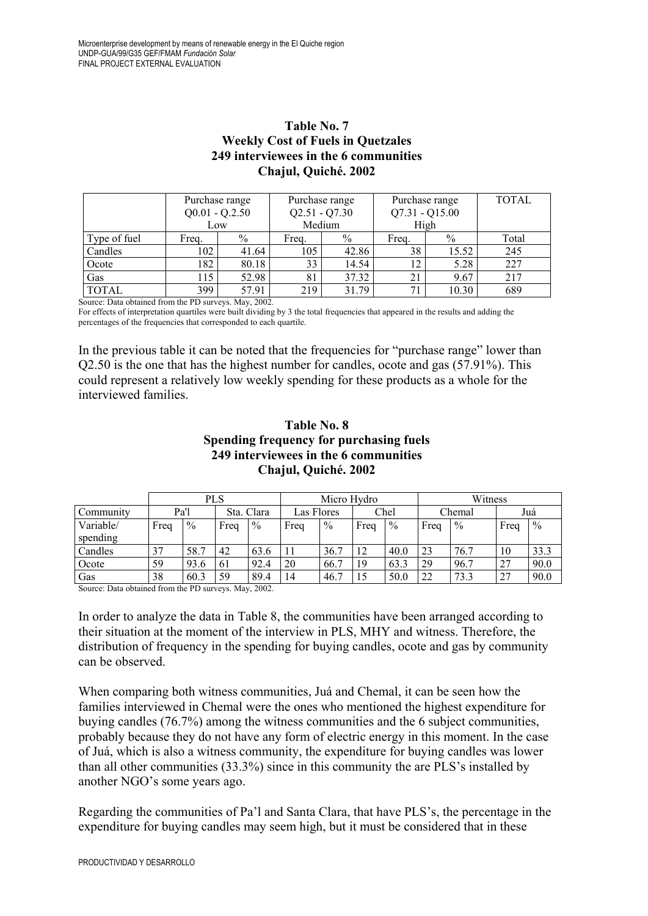## **Table No. 7 Weekly Cost of Fuels in Quetzales 249 interviewees in the 6 communities Chajul, Quiché. 2002**

|              | Purchase range<br>$Q0.01 - Q.2.50$ |       | $Q2.51 - Q7.30$ | Purchase range |                          | Purchase range<br>$Q7.31 - Q15.00$ | <b>TOTAL</b> |
|--------------|------------------------------------|-------|-----------------|----------------|--------------------------|------------------------------------|--------------|
|              |                                    | Low   | Medium          |                | High                     |                                    |              |
| Type of fuel | Freq.                              | $\%$  | Freq.           | $\%$           | Freq.                    | $\%$                               | Total        |
| Candles      | 102                                | 41.64 | 105             | 42.86          | 38                       | 15.52                              | 245          |
| Ocote        | 182                                | 80.18 | 33              | 14.54          | $\overline{\phantom{a}}$ | 5.28                               | 227          |
| Gas          | 115                                | 52.98 | 81              | 37.32          | 21                       | 9.67                               | 217          |
| <b>TOTAL</b> | 399                                | 57.91 | 219             | 31.79          |                          | 10.30                              | 689          |

Source: Data obtained from the PD surveys. May, 2002.

For effects of interpretation quartiles were built dividing by 3 the total frequencies that appeared in the results and adding the percentages of the frequencies that corresponded to each quartile.

In the previous table it can be noted that the frequencies for "purchase range" lower than Q2.50 is the one that has the highest number for candles, ocote and gas (57.91%). This could represent a relatively low weekly spending for these products as a whole for the interviewed families.

### **Table No. 8 Spending frequency for purchasing fuels 249 interviewees in the 6 communities Chajul, Quiché. 2002**

|                       | PLS  |               |      | Micro Hydro   |            |               |      | Witness       |      |               |      |               |
|-----------------------|------|---------------|------|---------------|------------|---------------|------|---------------|------|---------------|------|---------------|
| Community             | Pa'l |               |      | Sta. Clara    | Las Flores |               |      | Chel          |      | Chemal        |      | Juá           |
| Variable/<br>spending | Freq | $\frac{0}{0}$ | Freq | $\frac{0}{0}$ | Freq       | $\frac{0}{0}$ | Freq | $\frac{0}{0}$ | Freq | $\frac{0}{0}$ | Freq | $\frac{0}{6}$ |
| Candles               | 37   | 58.7          | 42   | 63.6          | 11         | 36.7          | 12   | 40.0          | 23   | 76.7          | 10   | 33.3          |
| Ocote                 | 59   | 93.6          | 61   | 92.4          | 20         | 66.7          | 19   | 63.3          | 29   | 96.7          | 27   | 90.0          |
| Gas                   | 38   | 60.3          | 59   | 89.4          | 14         | 46.7          | 15   | 50.0          | 22   | 73.3          | 27   | 90.0          |

Source: Data obtained from the PD surveys. May, 2002.

In order to analyze the data in Table 8, the communities have been arranged according to their situation at the moment of the interview in PLS, MHY and witness. Therefore, the distribution of frequency in the spending for buying candles, ocote and gas by community can be observed.

When comparing both witness communities, Juá and Chemal, it can be seen how the families interviewed in Chemal were the ones who mentioned the highest expenditure for buying candles (76.7%) among the witness communities and the 6 subject communities, probably because they do not have any form of electric energy in this moment. In the case of Juá, which is also a witness community, the expenditure for buying candles was lower than all other communities (33.3%) since in this community the are PLS's installed by another NGO's some years ago.

Regarding the communities of Pa'l and Santa Clara, that have PLS's, the percentage in the expenditure for buying candles may seem high, but it must be considered that in these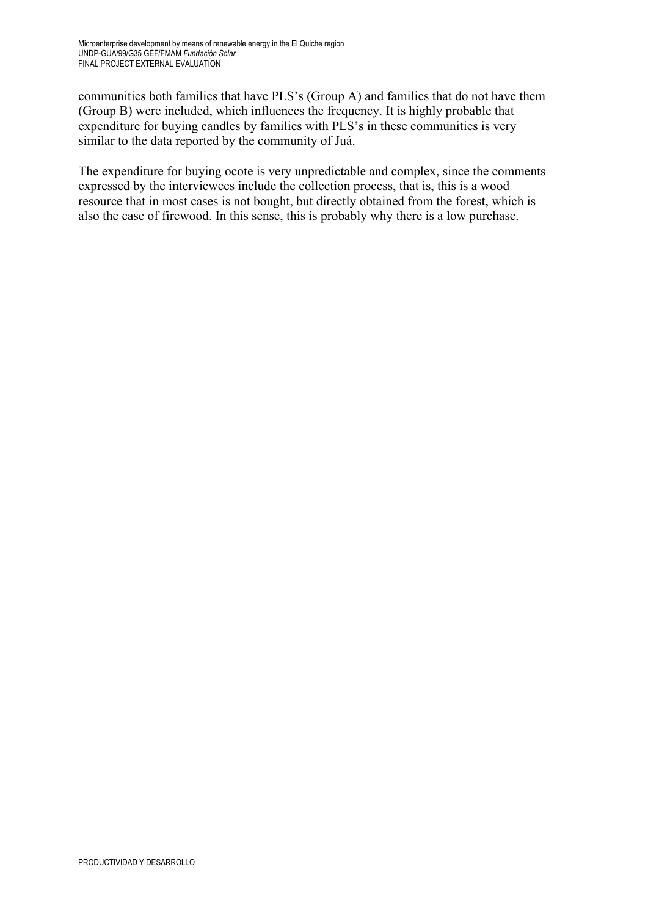communities both families that have PLS's (Group A) and families that do not have them (Group B) were included, which influences the frequency. It is highly probable that expenditure for buying candles by families with PLS's in these communities is very similar to the data reported by the community of Juá.

The expenditure for buying ocote is very unpredictable and complex, since the comments expressed by the interviewees include the collection process, that is, this is a wood resource that in most cases is not bought, but directly obtained from the forest, which is also the case of firewood. In this sense, this is probably why there is a low purchase.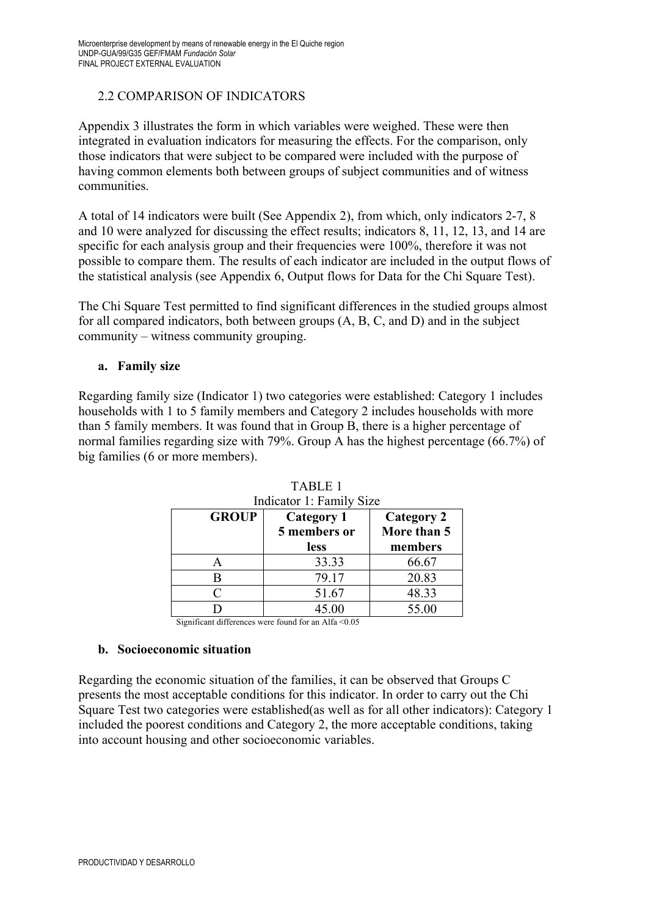## 2.2 COMPARISON OF INDICATORS

Appendix 3 illustrates the form in which variables were weighed. These were then integrated in evaluation indicators for measuring the effects. For the comparison, only those indicators that were subject to be compared were included with the purpose of having common elements both between groups of subject communities and of witness communities.

A total of 14 indicators were built (See Appendix 2), from which, only indicators 2-7, 8 and 10 were analyzed for discussing the effect results; indicators 8, 11, 12, 13, and 14 are specific for each analysis group and their frequencies were 100%, therefore it was not possible to compare them. The results of each indicator are included in the output flows of the statistical analysis (see Appendix 6, Output flows for Data for the Chi Square Test).

The Chi Square Test permitted to find significant differences in the studied groups almost for all compared indicators, both between groups (A, B, C, and D) and in the subject community – witness community grouping.

#### **a. Family size**

Regarding family size (Indicator 1) two categories were established: Category 1 includes households with 1 to 5 family members and Category 2 includes households with more than 5 family members. It was found that in Group B, there is a higher percentage of normal families regarding size with 79%. Group A has the highest percentage (66.7%) of big families (6 or more members).

| <b>GROUP</b> | <b>Category 1</b><br>5 members or<br>less | <b>Category 2</b><br>More than 5<br>members |
|--------------|-------------------------------------------|---------------------------------------------|
|              | 33.33                                     | 66.67                                       |
|              | 79.17                                     | 20.83                                       |
| C            | 51.67                                     | 48.33                                       |
|              | 45.00                                     | 55.00                                       |

TABLE 1  $I$   $I$   $I$   $I$   $I$   $I$   $I$   $I$   $I$ 

Significant differences were found for an Alfa <0.05

#### **b. Socioeconomic situation**

Regarding the economic situation of the families, it can be observed that Groups C presents the most acceptable conditions for this indicator. In order to carry out the Chi Square Test two categories were established(as well as for all other indicators): Category 1 included the poorest conditions and Category 2, the more acceptable conditions, taking into account housing and other socioeconomic variables.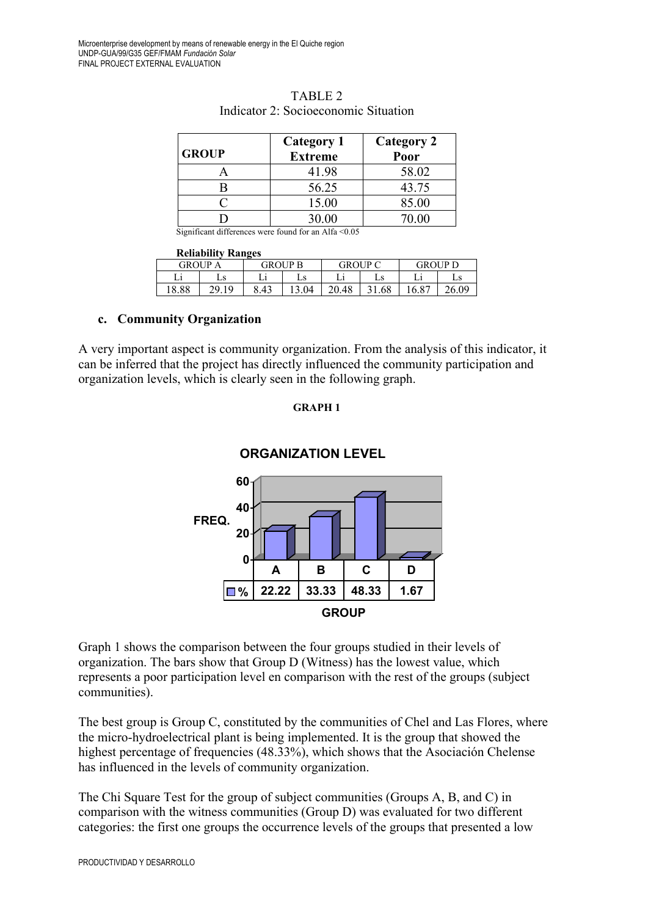| <b>GROUP</b> | <b>Category 1</b><br><b>Extreme</b> | <b>Category 2</b><br>Poor |
|--------------|-------------------------------------|---------------------------|
|              | 41.98                               | 58.02                     |
|              | 56.25                               | 43.75                     |
|              | 15.00                               | 85.00                     |
|              | 30.00                               |                           |

| TABLE 2                              |
|--------------------------------------|
| Indicator 2: Socioeconomic Situation |

Significant differences were found for an Alfa <0.05

#### **Reliability Ranges**

| . <i>.</i> | ---------      |                |       |                |       |                       |       |
|------------|----------------|----------------|-------|----------------|-------|-----------------------|-------|
|            | <b>GROUP A</b> | <b>GROUP B</b> |       | <b>GROUP C</b> |       | <b>GROUP D</b>        |       |
|            | ∟ა             |                | Ls    |                | Ls    |                       | Ls    |
| 18.88      | 20 10          | 3.43           | 13.04 | 20.48          | 31.68 | $^{\circ}6.8^{\circ}$ | 26.09 |

#### **c. Community Organization**

A very important aspect is community organization. From the analysis of this indicator, it can be inferred that the project has directly influenced the community participation and organization levels, which is clearly seen in the following graph.

#### **GRAPH 1**



#### **ORGANIZATION LEVEL**

Graph 1 shows the comparison between the four groups studied in their levels of organization. The bars show that Group D (Witness) has the lowest value, which represents a poor participation level en comparison with the rest of the groups (subject communities).

The best group is Group C, constituted by the communities of Chel and Las Flores, where the micro-hydroelectrical plant is being implemented. It is the group that showed the highest percentage of frequencies (48.33%), which shows that the Asociación Chelense has influenced in the levels of community organization.

The Chi Square Test for the group of subject communities (Groups A, B, and C) in comparison with the witness communities (Group D) was evaluated for two different categories: the first one groups the occurrence levels of the groups that presented a low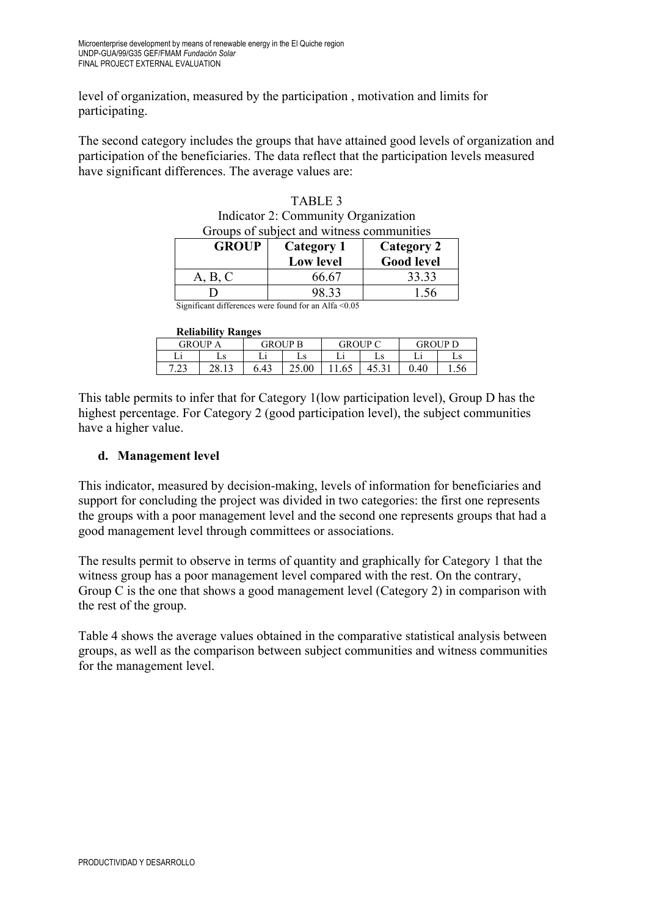level of organization, measured by the participation , motivation and limits for participating.

The second category includes the groups that have attained good levels of organization and participation of the beneficiaries. The data reflect that the participation levels measured have significant differences. The average values are:

| Indicator $\angle$ : Community Organization                                                                     |                   |                   |  |  |  |  |  |
|-----------------------------------------------------------------------------------------------------------------|-------------------|-------------------|--|--|--|--|--|
| Groups of subject and witness communities                                                                       |                   |                   |  |  |  |  |  |
| <b>GROUP</b>                                                                                                    | <b>Category 1</b> | <b>Category 2</b> |  |  |  |  |  |
|                                                                                                                 | <b>Low level</b>  | <b>Good level</b> |  |  |  |  |  |
| A, B, C                                                                                                         | 66.67             | 33.33             |  |  |  |  |  |
|                                                                                                                 | 98.33             | 1.56              |  |  |  |  |  |
| $C_{i}$ and $C_{i}$ and $A_{i}$ $C_{i}$ and $C_{i}$ are $C_{i}$ and $C_{i}$ and $A_{i}$ $C_{i}$ $C_{i}$ $C_{i}$ |                   |                   |  |  |  |  |  |

| TABLE <sub>3</sub>                        |
|-------------------------------------------|
| Indicator 2: Community Organization       |
| Groups of subject and witness communities |

TADIE 2

Significant differences were found for an Alfa <0.05

#### **Reliability Ranges**

|            | IWHADHIII IMAHEVS |                |       |                |    |                |      |  |  |
|------------|-------------------|----------------|-------|----------------|----|----------------|------|--|--|
| GROUP A    |                   | <b>GROUP B</b> |       | <b>GROUP C</b> |    | <b>GROUP D</b> |      |  |  |
|            | ∟ວ                |                | . с   |                | Ls |                | Ls   |  |  |
| ר ר<br>د ک | າວ                | 6.43           | 25.00 |                |    | 0.40           | 1.JU |  |  |

This table permits to infer that for Category 1(low participation level), Group D has the highest percentage. For Category 2 (good participation level), the subject communities have a higher value.

#### **d. Management level**

This indicator, measured by decision-making, levels of information for beneficiaries and support for concluding the project was divided in two categories: the first one represents the groups with a poor management level and the second one represents groups that had a good management level through committees or associations.

The results permit to observe in terms of quantity and graphically for Category 1 that the witness group has a poor management level compared with the rest. On the contrary, Group C is the one that shows a good management level (Category 2) in comparison with the rest of the group.

Table 4 shows the average values obtained in the comparative statistical analysis between groups, as well as the comparison between subject communities and witness communities for the management level.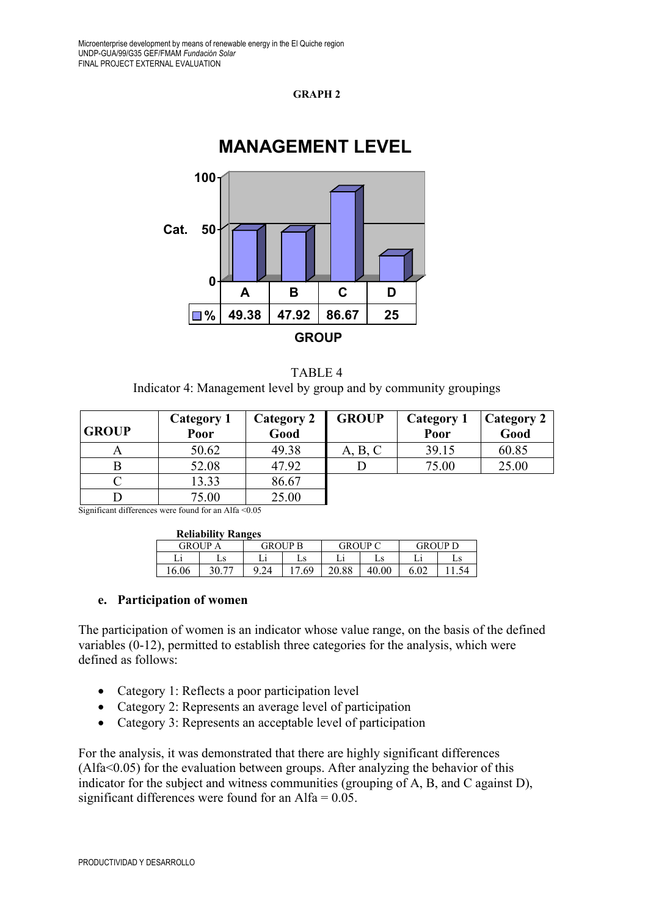#### **GRAPH 2**



#### TABLE 4 Indicator 4: Management level by group and by community groupings

| <b>GROUP</b> | Category 1<br>Poor | <b>Category 2</b><br>Good | <b>GROUP</b> | Category 1<br>Poor | <b>Category 2</b><br>Good |
|--------------|--------------------|---------------------------|--------------|--------------------|---------------------------|
| Α            | 50.62              | 49.38                     | A, B, C      | 39.15              | 60.85                     |
|              | 52.08              | 47.92                     |              | 75.00              | 25.00                     |
|              | 13.33              | 86.67                     |              |                    |                           |
|              | 75.00              | 25.00                     |              |                    |                           |

Significant differences were found for an Alfa <0.05

| <b>Reliability Ranges</b> |                |  |
|---------------------------|----------------|--|
| <b>GROUP A</b>            | <b>GROUP B</b> |  |

| <b>GROUP</b> |    | GROUP B |    | GROUP C |          | GROI IP D |    |
|--------------|----|---------|----|---------|----------|-----------|----|
|              | ∟ວ |         | Ls |         | Ls       |           | Ls |
| 16.06        |    | $-1$    | 69 | 20.88   | $0.00\,$ | ሬ ሰኅ      |    |

#### **e. Participation of women**

The participation of women is an indicator whose value range, on the basis of the defined variables (0-12), permitted to establish three categories for the analysis, which were defined as follows:

- Category 1: Reflects a poor participation level
- Category 2: Represents an average level of participation
- Category 3: Represents an acceptable level of participation

For the analysis, it was demonstrated that there are highly significant differences  $(Alfa<0.05)$  for the evaluation between groups. After analyzing the behavior of this indicator for the subject and witness communities (grouping of A, B, and C against D), significant differences were found for an Alfa =  $0.05$ .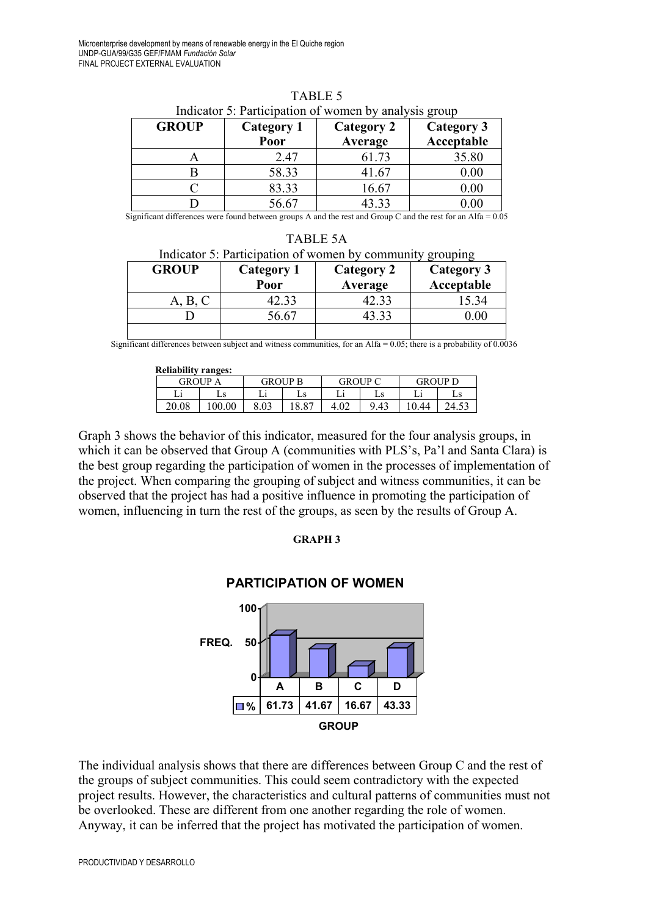| <b>GROUP</b> | Category 1<br>Poor | <b>Category 2</b><br>Average | Category 3<br>Acceptable |  |
|--------------|--------------------|------------------------------|--------------------------|--|
| $\bigcap$    | 2.47               | 61.73                        | 35.80                    |  |
|              | 58.33              | 41.67                        | 0.00                     |  |
|              | 83.33              | 16.67                        | $0.00\,$                 |  |
|              | 56.67              | 43.33                        | 0.00                     |  |

TABLE 5 Indicator 5: Participation of women by analysis group

Significant differences were found between groups A and the rest and Group C and the rest for an Alfa =  $0.05$ 

TABLE 5A Indicator 5: Participation of women by community grouping **GROUP Category 1 Poor Category 2 Average Category 3 Acceptable** A, B, C | 42.33 | 42.33 | 15.34 D  $\begin{array}{|c|c|c|c|c|c|c|c|} \hline \text{D} & \text{56.67} & \text{43.33} & \text{0.00} \ \hline \end{array}$ 

Significant differences between subject and witness communities, for an Alfa =  $0.05$ ; there is a probability of  $0.0036$ 

| <b>Reliability ranges:</b> |       |                |       |                |      |         |    |
|----------------------------|-------|----------------|-------|----------------|------|---------|----|
| <b>GROUP A</b>             |       | <b>GROUP B</b> |       | <b>GROUP C</b> |      | GROUP D |    |
|                            | LS    |                | Ls    |                | Ls   |         | Ls |
| 20.08                      | 00.00 | 8.03           | 18.87 | 4.02           | 9.43 | 0.44    |    |

Graph 3 shows the behavior of this indicator, measured for the four analysis groups, in which it can be observed that Group A (communities with PLS's, Pa'l and Santa Clara) is the best group regarding the participation of women in the processes of implementation of the project. When comparing the grouping of subject and witness communities, it can be observed that the project has had a positive influence in promoting the participation of women, influencing in turn the rest of the groups, as seen by the results of Group A.

#### **GRAPH 3**

# **PARTICIPATION OF WOMEN**



The individual analysis shows that there are differences between Group C and the rest of the groups of subject communities. This could seem contradictory with the expected project results. However, the characteristics and cultural patterns of communities must not be overlooked. These are different from one another regarding the role of women. Anyway, it can be inferred that the project has motivated the participation of women.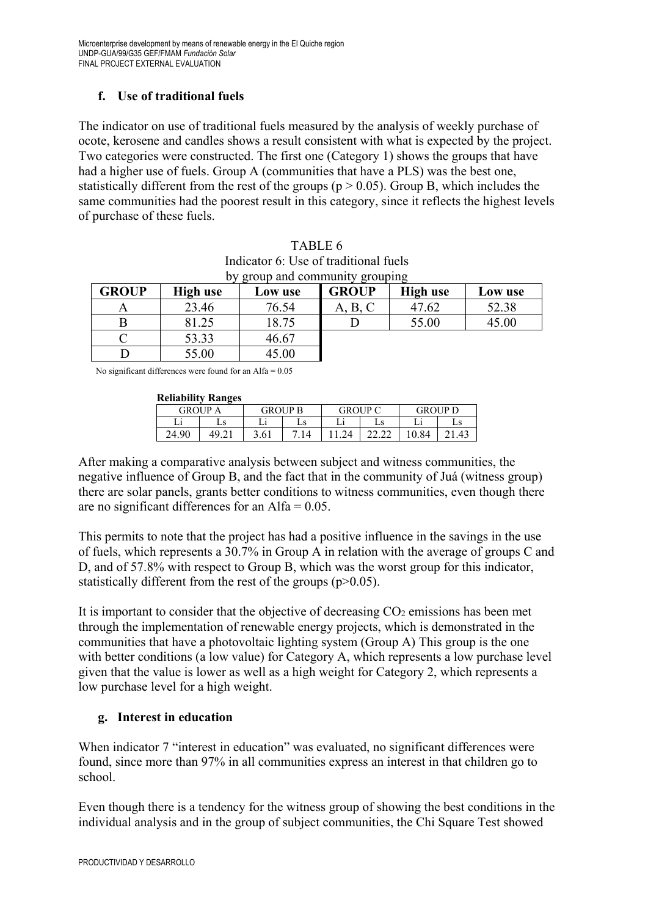# **f. Use of traditional fuels**

The indicator on use of traditional fuels measured by the analysis of weekly purchase of ocote, kerosene and candles shows a result consistent with what is expected by the project. Two categories were constructed. The first one (Category 1) shows the groups that have had a higher use of fuels. Group A (communities that have a PLS) was the best one, statistically different from the rest of the groups ( $p > 0.05$ ). Group B, which includes the same communities had the poorest result in this category, since it reflects the highest levels of purchase of these fuels.

| TABLE 6                               |
|---------------------------------------|
| Indicator 6: Use of traditional fuels |
| by group and community grouping       |
|                                       |

| <b>GROUP</b> | High use | Low use | <b>GROUP</b> | <b>High use</b> | Low use |
|--------------|----------|---------|--------------|-----------------|---------|
| A            | 23.46    | 76.54   | A, B, C      | 47.62           | 52.38   |
|              | 81.25    | 18.75   |              | 55.00           | 45.00   |
|              | 53.33    | 46.67   |              |                 |         |
|              | 55.00    | 45.00   |              |                 |         |

No significant differences were found for an Alfa = 0.05

#### **Reliability Ranges**

|         | Renadhity Ranges |         |    |         |    |         |    |
|---------|------------------|---------|----|---------|----|---------|----|
| GROUP A |                  | GROUP B |    | GROUP C |    | GROUP D |    |
|         |                  |         | Ls |         | Ls |         | Ls |
| 24.90   |                  | 3.61    | 14 |         |    | 0.84    |    |

After making a comparative analysis between subject and witness communities, the negative influence of Group B, and the fact that in the community of Juá (witness group) there are solar panels, grants better conditions to witness communities, even though there are no significant differences for an Alfa  $= 0.05$ .

This permits to note that the project has had a positive influence in the savings in the use of fuels, which represents a 30.7% in Group A in relation with the average of groups C and D, and of 57.8% with respect to Group B, which was the worst group for this indicator, statistically different from the rest of the groups  $(p>0.05)$ .

It is important to consider that the objective of decreasing  $CO<sub>2</sub>$  emissions has been met through the implementation of renewable energy projects, which is demonstrated in the communities that have a photovoltaic lighting system (Group A) This group is the one with better conditions (a low value) for Category A, which represents a low purchase level given that the value is lower as well as a high weight for Category 2, which represents a low purchase level for a high weight.

#### **g. Interest in education**

When indicator 7 "interest in education" was evaluated, no significant differences were found, since more than 97% in all communities express an interest in that children go to school.

Even though there is a tendency for the witness group of showing the best conditions in the individual analysis and in the group of subject communities, the Chi Square Test showed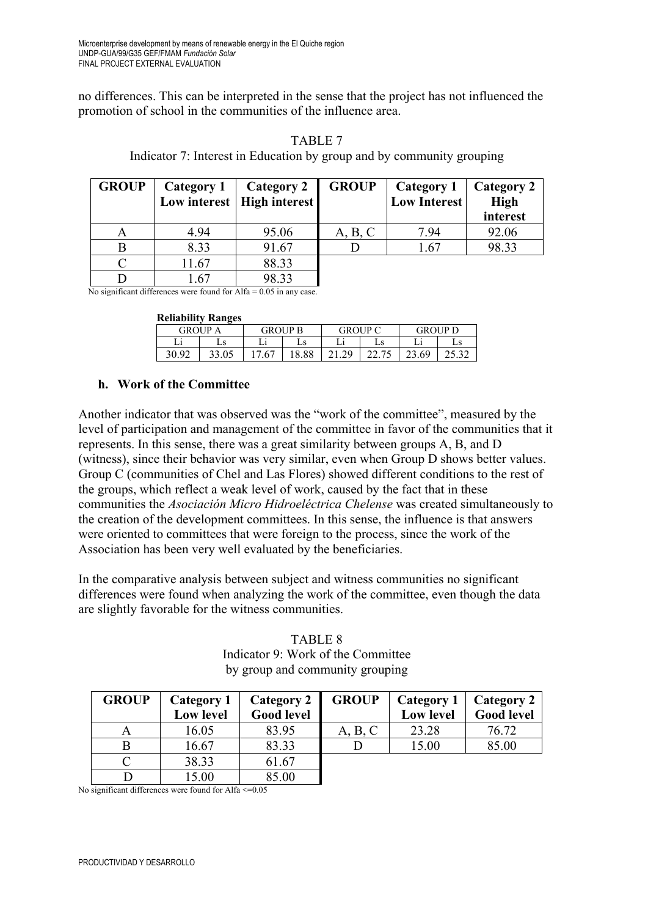no differences. This can be interpreted in the sense that the project has not influenced the promotion of school in the communities of the influence area.

| <b>GROUP</b> | Category 1 | Category 2<br>Low interest   High interest | <b>GROUP</b> | Category 1<br><b>Low Interest</b> | Category 2<br><b>High</b> |
|--------------|------------|--------------------------------------------|--------------|-----------------------------------|---------------------------|
|              |            |                                            |              |                                   | interest                  |
| A            | 4.94       | 95.06                                      | A, B, C      | 7.94                              | 92.06                     |
|              | 8.33       | 91.67                                      |              | 1.67                              | 98.33                     |
|              | 11.67      | 88.33                                      |              |                                   |                           |
|              | .67        | 98.33                                      |              |                                   |                           |

TABLE 7 Indicator 7: Interest in Education by group and by community grouping

No significant differences were found for Alfa = 0.05 in any case.

|  | <b>Reliability Ranges</b> |  |
|--|---------------------------|--|
|  |                           |  |

|                | іленаршіу ілан2сэ |         |       |                |    |         |    |
|----------------|-------------------|---------|-------|----------------|----|---------|----|
| <b>GROUP A</b> |                   | GROUP B |       | <b>GROUP C</b> |    | GROUP D |    |
|                | Ls                |         | Ls    |                | Ls |         | Ls |
| 30.92          |                   | .67     | 18.88 | 0.29           |    | 23.69   |    |

#### **h. Work of the Committee**

Another indicator that was observed was the "work of the committee", measured by the level of participation and management of the committee in favor of the communities that it represents. In this sense, there was a great similarity between groups A, B, and D (witness), since their behavior was very similar, even when Group D shows better values. Group C (communities of Chel and Las Flores) showed different conditions to the rest of the groups, which reflect a weak level of work, caused by the fact that in these communities the *Asociación Micro Hidroeléctrica Chelense* was created simultaneously to the creation of the development committees. In this sense, the influence is that answers were oriented to committees that were foreign to the process, since the work of the Association has been very well evaluated by the beneficiaries.

In the comparative analysis between subject and witness communities no significant differences were found when analyzing the work of the committee, even though the data are slightly favorable for the witness communities.

#### TABLE 8 Indicator 9: Work of the Committee by group and community grouping

| <b>GROUP</b> | Category 1<br><b>Low level</b> | <b>Category 2</b><br><b>Good level</b> | <b>GROUP</b> | Category 1<br><b>Low level</b> | Category 2<br><b>Good level</b> |
|--------------|--------------------------------|----------------------------------------|--------------|--------------------------------|---------------------------------|
| A            | 16.05                          | 83.95                                  | A, B, C      | 23.28                          | 76.72                           |
|              | 16.67                          | 83.33                                  |              | 15.00                          | 85.00                           |
|              | 38.33                          | 61.67                                  |              |                                |                                 |
|              | 15.00                          | 85.00                                  |              |                                |                                 |

No significant differences were found for Alfa $\leq$ =0.05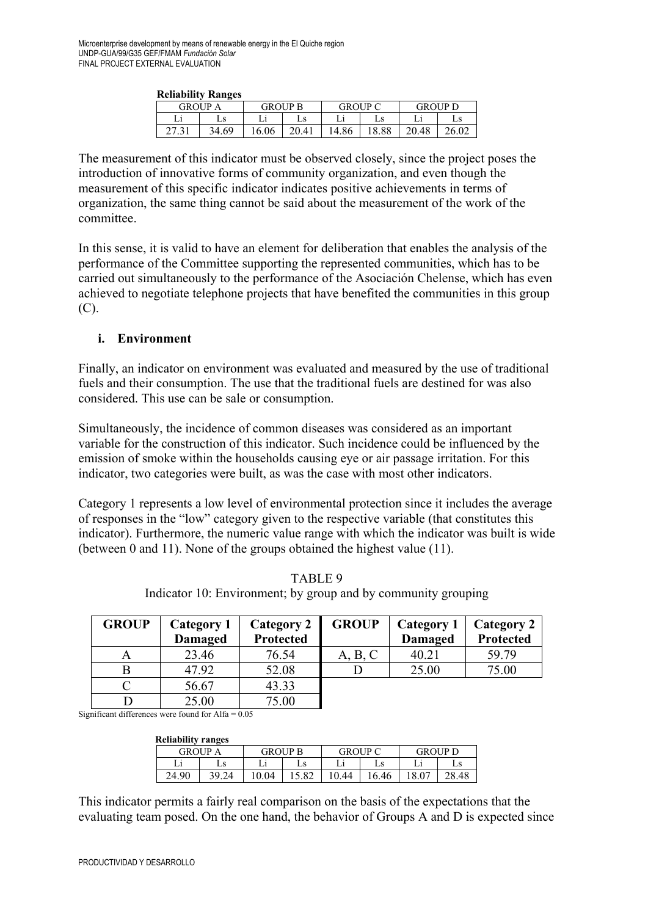| іленаршы іландеэ |       |                |       |                |       |         |       |  |  |
|------------------|-------|----------------|-------|----------------|-------|---------|-------|--|--|
| GROUP A          |       | <b>GROUP B</b> |       | <b>GROUP C</b> |       | GROUP D |       |  |  |
|                  |       |                | Ls    |                | Ls    |         | Ls    |  |  |
|                  | 34.69 | 16.06          | 20.41 | 14.86          | 18.88 | 20.48   | 26.02 |  |  |

The measurement of this indicator must be observed closely, since the project poses the introduction of innovative forms of community organization, and even though the measurement of this specific indicator indicates positive achievements in terms of organization, the same thing cannot be said about the measurement of the work of the committee.

In this sense, it is valid to have an element for deliberation that enables the analysis of the performance of the Committee supporting the represented communities, which has to be carried out simultaneously to the performance of the Asociación Chelense, which has even achieved to negotiate telephone projects that have benefited the communities in this group (C).

#### **i. Environment**

Finally, an indicator on environment was evaluated and measured by the use of traditional fuels and their consumption. The use that the traditional fuels are destined for was also considered. This use can be sale or consumption.

Simultaneously, the incidence of common diseases was considered as an important variable for the construction of this indicator. Such incidence could be influenced by the emission of smoke within the households causing eye or air passage irritation. For this indicator, two categories were built, as was the case with most other indicators.

Category 1 represents a low level of environmental protection since it includes the average of responses in the "low" category given to the respective variable (that constitutes this indicator). Furthermore, the numeric value range with which the indicator was built is wide (between 0 and 11). None of the groups obtained the highest value (11).

| <b>GROUP</b> | Category 1     | <b>Category 2</b> | <b>GROUP</b> | Category 1     | Category 2 |
|--------------|----------------|-------------------|--------------|----------------|------------|
|              | <b>Damaged</b> | <b>Protected</b>  |              | <b>Damaged</b> | Protected  |
| А            | 23.46          | 76.54             | A, B, C      | 40.21          | 59.79      |
|              | 47.92          | 52.08             |              | 25.00          | 75.00      |
|              | 56.67          | 43.33             |              |                |            |
|              | 25.00          | 75.00             |              |                |            |

TABLE 9 Indicator 10: Environment; by group and by community grouping

Significant differences were found for  $Alfa = 0.05$ 

| <b>Reliability ranges</b> |                |       |                |     |                |       |                |       |  |
|---------------------------|----------------|-------|----------------|-----|----------------|-------|----------------|-------|--|
|                           | <b>GROUP A</b> |       | <b>GROUP B</b> |     | <b>GROUP C</b> |       | <b>GROUP</b> D |       |  |
|                           |                | LS    |                | Ls  |                | Ls    |                | LS    |  |
|                           | 24.90          | 39.24 | 10.04          | .82 | 0.44           | 16.46 | 18.07          | 28.48 |  |

This indicator permits a fairly real comparison on the basis of the expectations that the evaluating team posed. On the one hand, the behavior of Groups A and D is expected since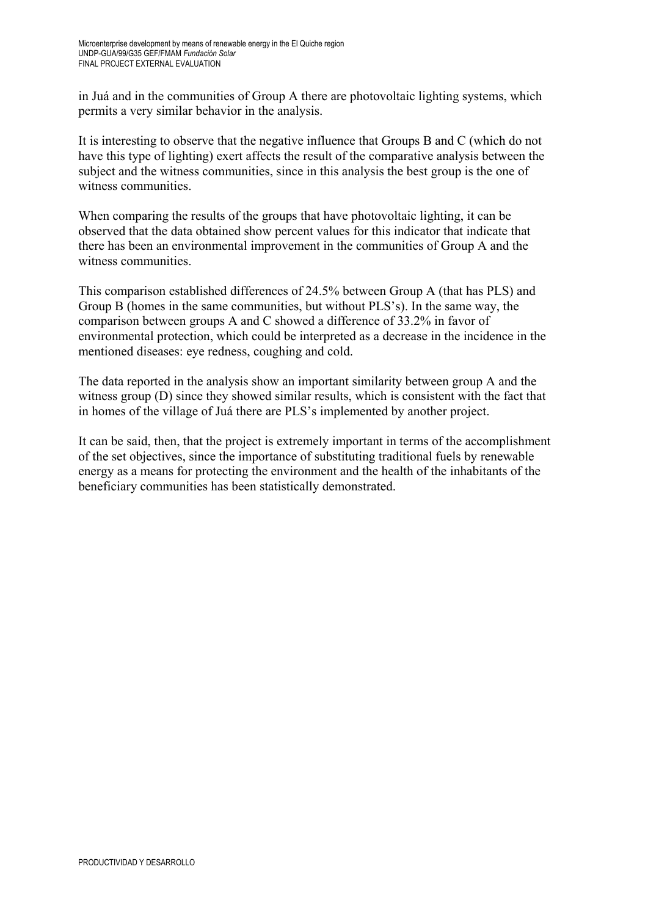in Juá and in the communities of Group A there are photovoltaic lighting systems, which permits a very similar behavior in the analysis.

It is interesting to observe that the negative influence that Groups B and C (which do not have this type of lighting) exert affects the result of the comparative analysis between the subject and the witness communities, since in this analysis the best group is the one of witness communities.

When comparing the results of the groups that have photovoltaic lighting, it can be observed that the data obtained show percent values for this indicator that indicate that there has been an environmental improvement in the communities of Group A and the witness communities.

This comparison established differences of 24.5% between Group A (that has PLS) and Group B (homes in the same communities, but without PLS's). In the same way, the comparison between groups A and C showed a difference of 33.2% in favor of environmental protection, which could be interpreted as a decrease in the incidence in the mentioned diseases: eye redness, coughing and cold.

The data reported in the analysis show an important similarity between group A and the witness group (D) since they showed similar results, which is consistent with the fact that in homes of the village of Juá there are PLS's implemented by another project.

It can be said, then, that the project is extremely important in terms of the accomplishment of the set objectives, since the importance of substituting traditional fuels by renewable energy as a means for protecting the environment and the health of the inhabitants of the beneficiary communities has been statistically demonstrated.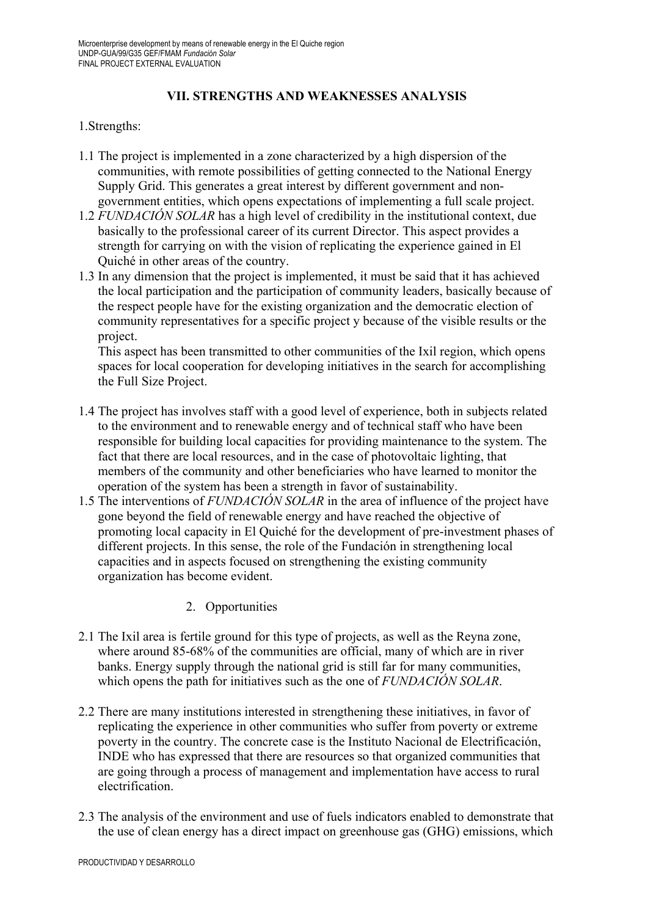# **VII. STRENGTHS AND WEAKNESSES ANALYSIS**

#### 1.Strengths:

- 1.1 The project is implemented in a zone characterized by a high dispersion of the communities, with remote possibilities of getting connected to the National Energy Supply Grid. This generates a great interest by different government and nongovernment entities, which opens expectations of implementing a full scale project.
- 1.2 *FUNDACIÓN SOLAR* has a high level of credibility in the institutional context, due basically to the professional career of its current Director. This aspect provides a strength for carrying on with the vision of replicating the experience gained in El Quiché in other areas of the country.
- 1.3 In any dimension that the project is implemented, it must be said that it has achieved the local participation and the participation of community leaders, basically because of the respect people have for the existing organization and the democratic election of community representatives for a specific project y because of the visible results or the project.

This aspect has been transmitted to other communities of the Ixil region, which opens spaces for local cooperation for developing initiatives in the search for accomplishing the Full Size Project.

- 1.4 The project has involves staff with a good level of experience, both in subjects related to the environment and to renewable energy and of technical staff who have been responsible for building local capacities for providing maintenance to the system. The fact that there are local resources, and in the case of photovoltaic lighting, that members of the community and other beneficiaries who have learned to monitor the operation of the system has been a strength in favor of sustainability.
- 1.5 The interventions of *FUNDACIÓN SOLAR* in the area of influence of the project have gone beyond the field of renewable energy and have reached the objective of promoting local capacity in El Quiché for the development of pre-investment phases of different projects. In this sense, the role of the Fundación in strengthening local capacities and in aspects focused on strengthening the existing community organization has become evident.
	- 2. Opportunities
- 2.1 The Ixil area is fertile ground for this type of projects, as well as the Reyna zone, where around 85-68% of the communities are official, many of which are in river banks. Energy supply through the national grid is still far for many communities, which opens the path for initiatives such as the one of *FUNDACIÓN SOLAR*.
- 2.2 There are many institutions interested in strengthening these initiatives, in favor of replicating the experience in other communities who suffer from poverty or extreme poverty in the country. The concrete case is the Instituto Nacional de Electrificación, INDE who has expressed that there are resources so that organized communities that are going through a process of management and implementation have access to rural electrification.
- 2.3 The analysis of the environment and use of fuels indicators enabled to demonstrate that the use of clean energy has a direct impact on greenhouse gas (GHG) emissions, which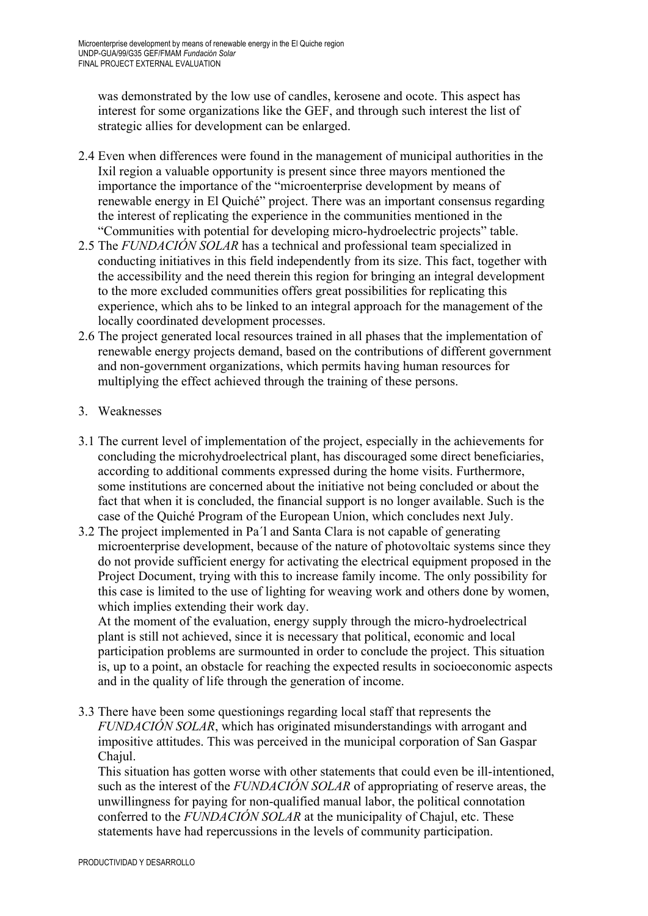was demonstrated by the low use of candles, kerosene and ocote. This aspect has interest for some organizations like the GEF, and through such interest the list of strategic allies for development can be enlarged.

- 2.4 Even when differences were found in the management of municipal authorities in the Ixil region a valuable opportunity is present since three mayors mentioned the importance the importance of the "microenterprise development by means of renewable energy in El Quiché" project. There was an important consensus regarding the interest of replicating the experience in the communities mentioned in the "Communities with potential for developing micro-hydroelectric projects" table.
- 2.5 The *FUNDACIÓN SOLAR* has a technical and professional team specialized in conducting initiatives in this field independently from its size. This fact, together with the accessibility and the need therein this region for bringing an integral development to the more excluded communities offers great possibilities for replicating this experience, which ahs to be linked to an integral approach for the management of the locally coordinated development processes.
- 2.6 The project generated local resources trained in all phases that the implementation of renewable energy projects demand, based on the contributions of different government and non-government organizations, which permits having human resources for multiplying the effect achieved through the training of these persons.
- 3. Weaknesses
- 3.1 The current level of implementation of the project, especially in the achievements for concluding the microhydroelectrical plant, has discouraged some direct beneficiaries, according to additional comments expressed during the home visits. Furthermore, some institutions are concerned about the initiative not being concluded or about the fact that when it is concluded, the financial support is no longer available. Such is the case of the Quiché Program of the European Union, which concludes next July.
- 3.2 The project implemented in Pa´l and Santa Clara is not capable of generating microenterprise development, because of the nature of photovoltaic systems since they do not provide sufficient energy for activating the electrical equipment proposed in the Project Document, trying with this to increase family income. The only possibility for this case is limited to the use of lighting for weaving work and others done by women, which implies extending their work day.

At the moment of the evaluation, energy supply through the micro-hydroelectrical plant is still not achieved, since it is necessary that political, economic and local participation problems are surmounted in order to conclude the project. This situation is, up to a point, an obstacle for reaching the expected results in socioeconomic aspects and in the quality of life through the generation of income.

3.3 There have been some questionings regarding local staff that represents the *FUNDACIÓN SOLAR*, which has originated misunderstandings with arrogant and impositive attitudes. This was perceived in the municipal corporation of San Gaspar Chajul.

This situation has gotten worse with other statements that could even be ill-intentioned, such as the interest of the *FUNDACIÓN SOLAR* of appropriating of reserve areas, the unwillingness for paying for non-qualified manual labor, the political connotation conferred to the *FUNDACIÓN SOLAR* at the municipality of Chajul, etc. These statements have had repercussions in the levels of community participation.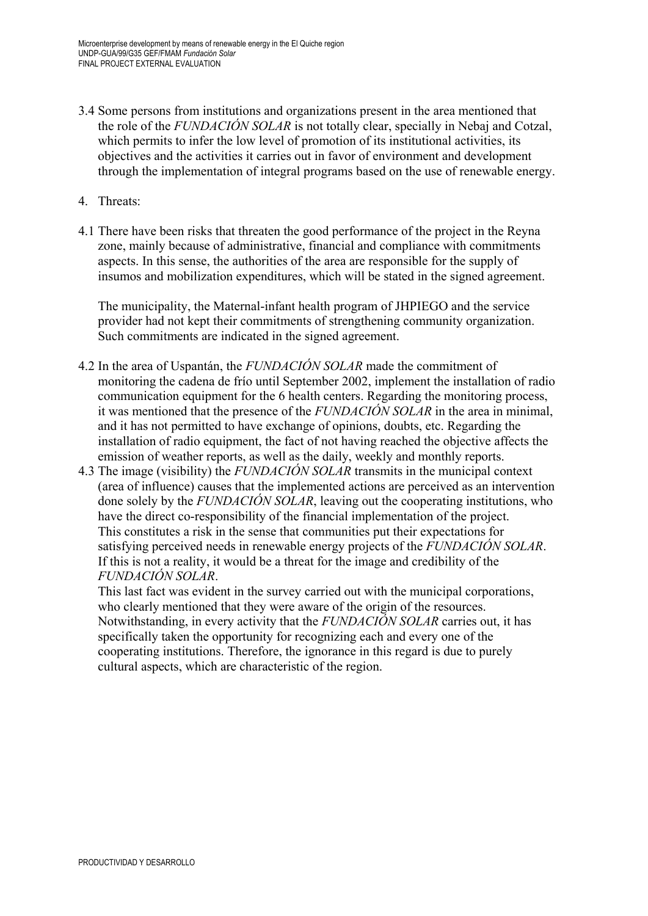- 3.4 Some persons from institutions and organizations present in the area mentioned that the role of the *FUNDACIÓN SOLAR* is not totally clear, specially in Nebaj and Cotzal, which permits to infer the low level of promotion of its institutional activities, its objectives and the activities it carries out in favor of environment and development through the implementation of integral programs based on the use of renewable energy.
- 4. Threats:
- 4.1 There have been risks that threaten the good performance of the project in the Reyna zone, mainly because of administrative, financial and compliance with commitments aspects. In this sense, the authorities of the area are responsible for the supply of insumos and mobilization expenditures, which will be stated in the signed agreement.

The municipality, the Maternal-infant health program of JHPIEGO and the service provider had not kept their commitments of strengthening community organization. Such commitments are indicated in the signed agreement.

- 4.2 In the area of Uspantán, the *FUNDACIÓN SOLAR* made the commitment of monitoring the cadena de frío until September 2002, implement the installation of radio communication equipment for the 6 health centers. Regarding the monitoring process, it was mentioned that the presence of the *FUNDACIÓN SOLAR* in the area in minimal, and it has not permitted to have exchange of opinions, doubts, etc. Regarding the installation of radio equipment, the fact of not having reached the objective affects the emission of weather reports, as well as the daily, weekly and monthly reports.
- 4.3 The image (visibility) the *FUNDACIÓN SOLAR* transmits in the municipal context (area of influence) causes that the implemented actions are perceived as an intervention done solely by the *FUNDACIÓN SOLAR*, leaving out the cooperating institutions, who have the direct co-responsibility of the financial implementation of the project. This constitutes a risk in the sense that communities put their expectations for satisfying perceived needs in renewable energy projects of the *FUNDACIÓN SOLAR*. If this is not a reality, it would be a threat for the image and credibility of the *FUNDACIÓN SOLAR*.

This last fact was evident in the survey carried out with the municipal corporations, who clearly mentioned that they were aware of the origin of the resources. Notwithstanding, in every activity that the *FUNDACIÓN SOLAR* carries out, it has specifically taken the opportunity for recognizing each and every one of the cooperating institutions. Therefore, the ignorance in this regard is due to purely cultural aspects, which are characteristic of the region.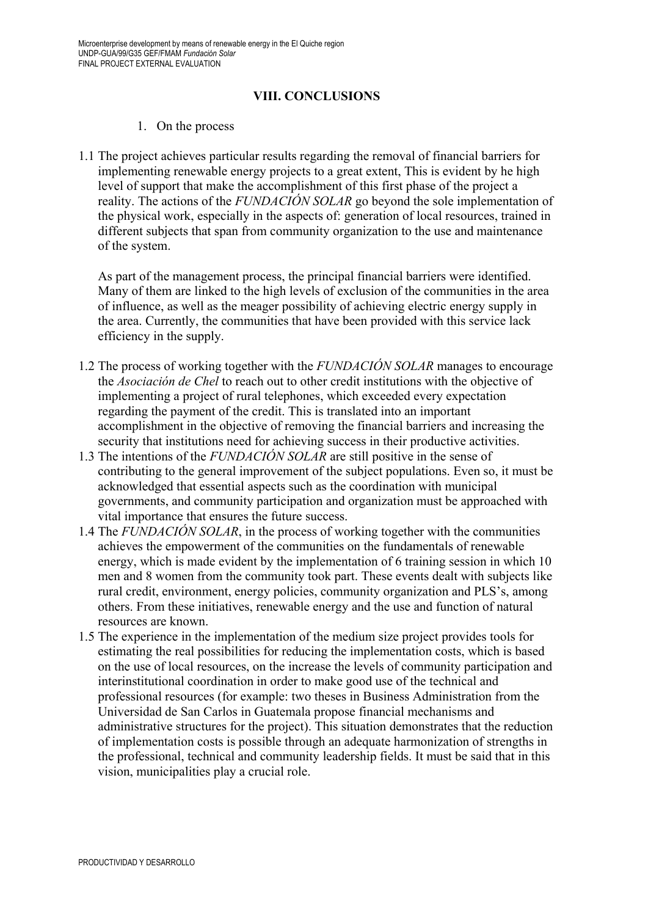#### **VIII. CONCLUSIONS**

#### 1. On the process

1.1 The project achieves particular results regarding the removal of financial barriers for implementing renewable energy projects to a great extent, This is evident by he high level of support that make the accomplishment of this first phase of the project a reality. The actions of the *FUNDACIÓN SOLAR* go beyond the sole implementation of the physical work, especially in the aspects of: generation of local resources, trained in different subjects that span from community organization to the use and maintenance of the system.

As part of the management process, the principal financial barriers were identified. Many of them are linked to the high levels of exclusion of the communities in the area of influence, as well as the meager possibility of achieving electric energy supply in the area. Currently, the communities that have been provided with this service lack efficiency in the supply.

- 1.2 The process of working together with the *FUNDACIÓN SOLAR* manages to encourage the *Asociación de Chel* to reach out to other credit institutions with the objective of implementing a project of rural telephones, which exceeded every expectation regarding the payment of the credit. This is translated into an important accomplishment in the objective of removing the financial barriers and increasing the security that institutions need for achieving success in their productive activities.
- 1.3 The intentions of the *FUNDACIÓN SOLAR* are still positive in the sense of contributing to the general improvement of the subject populations. Even so, it must be acknowledged that essential aspects such as the coordination with municipal governments, and community participation and organization must be approached with vital importance that ensures the future success.
- 1.4 The *FUNDACIÓN SOLAR*, in the process of working together with the communities achieves the empowerment of the communities on the fundamentals of renewable energy, which is made evident by the implementation of 6 training session in which 10 men and 8 women from the community took part. These events dealt with subjects like rural credit, environment, energy policies, community organization and PLS's, among others. From these initiatives, renewable energy and the use and function of natural resources are known.
- 1.5 The experience in the implementation of the medium size project provides tools for estimating the real possibilities for reducing the implementation costs, which is based on the use of local resources, on the increase the levels of community participation and interinstitutional coordination in order to make good use of the technical and professional resources (for example: two theses in Business Administration from the Universidad de San Carlos in Guatemala propose financial mechanisms and administrative structures for the project). This situation demonstrates that the reduction of implementation costs is possible through an adequate harmonization of strengths in the professional, technical and community leadership fields. It must be said that in this vision, municipalities play a crucial role.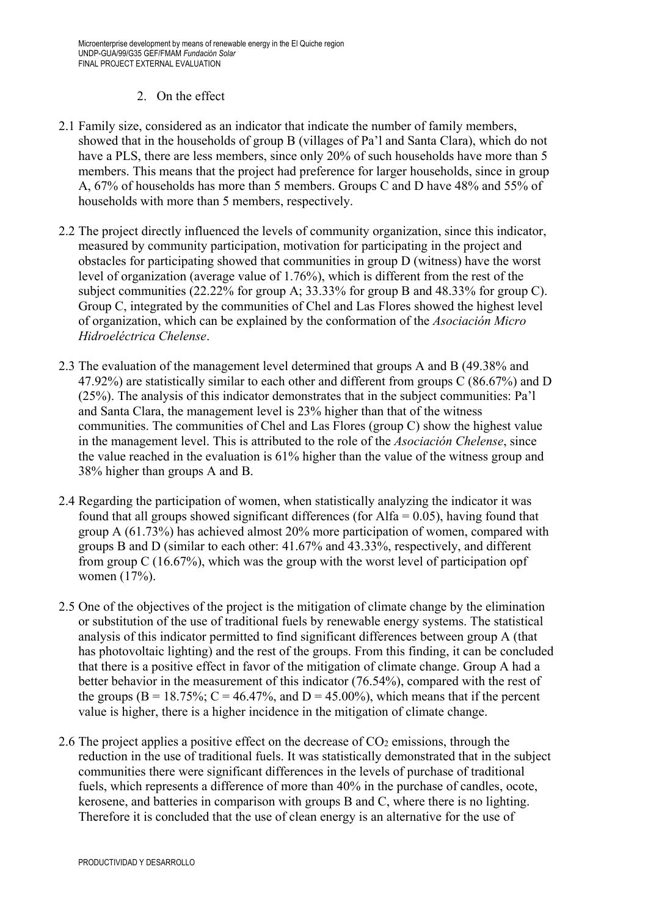## 2. On the effect

- 2.1 Family size, considered as an indicator that indicate the number of family members, showed that in the households of group B (villages of Pa'l and Santa Clara), which do not have a PLS, there are less members, since only 20% of such households have more than 5 members. This means that the project had preference for larger households, since in group A, 67% of households has more than 5 members. Groups C and D have 48% and 55% of households with more than 5 members, respectively.
- 2.2 The project directly influenced the levels of community organization, since this indicator, measured by community participation, motivation for participating in the project and obstacles for participating showed that communities in group D (witness) have the worst level of organization (average value of 1.76%), which is different from the rest of the subject communities (22.22% for group A; 33.33% for group B and 48.33% for group C). Group C, integrated by the communities of Chel and Las Flores showed the highest level of organization, which can be explained by the conformation of the *Asociación Micro Hidroeléctrica Chelense*.
- 2.3 The evaluation of the management level determined that groups A and B (49.38% and 47.92%) are statistically similar to each other and different from groups C (86.67%) and D (25%). The analysis of this indicator demonstrates that in the subject communities: Pa'l and Santa Clara, the management level is 23% higher than that of the witness communities. The communities of Chel and Las Flores (group C) show the highest value in the management level. This is attributed to the role of the *Asociación Chelense*, since the value reached in the evaluation is 61% higher than the value of the witness group and 38% higher than groups A and B.
- 2.4 Regarding the participation of women, when statistically analyzing the indicator it was found that all groups showed significant differences (for Alfa  $= 0.05$ ), having found that group A (61.73%) has achieved almost 20% more participation of women, compared with groups B and D (similar to each other: 41.67% and 43.33%, respectively, and different from group C (16.67%), which was the group with the worst level of participation opf women (17%).
- 2.5 One of the objectives of the project is the mitigation of climate change by the elimination or substitution of the use of traditional fuels by renewable energy systems. The statistical analysis of this indicator permitted to find significant differences between group A (that has photovoltaic lighting) and the rest of the groups. From this finding, it can be concluded that there is a positive effect in favor of the mitigation of climate change. Group A had a better behavior in the measurement of this indicator (76.54%), compared with the rest of the groups ( $B = 18.75\%$ ;  $C = 46.47\%$ , and  $D = 45.00\%$ ), which means that if the percent value is higher, there is a higher incidence in the mitigation of climate change.
- 2.6 The project applies a positive effect on the decrease of CO<sub>2</sub> emissions, through the reduction in the use of traditional fuels. It was statistically demonstrated that in the subject communities there were significant differences in the levels of purchase of traditional fuels, which represents a difference of more than 40% in the purchase of candles, ocote, kerosene, and batteries in comparison with groups B and C, where there is no lighting. Therefore it is concluded that the use of clean energy is an alternative for the use of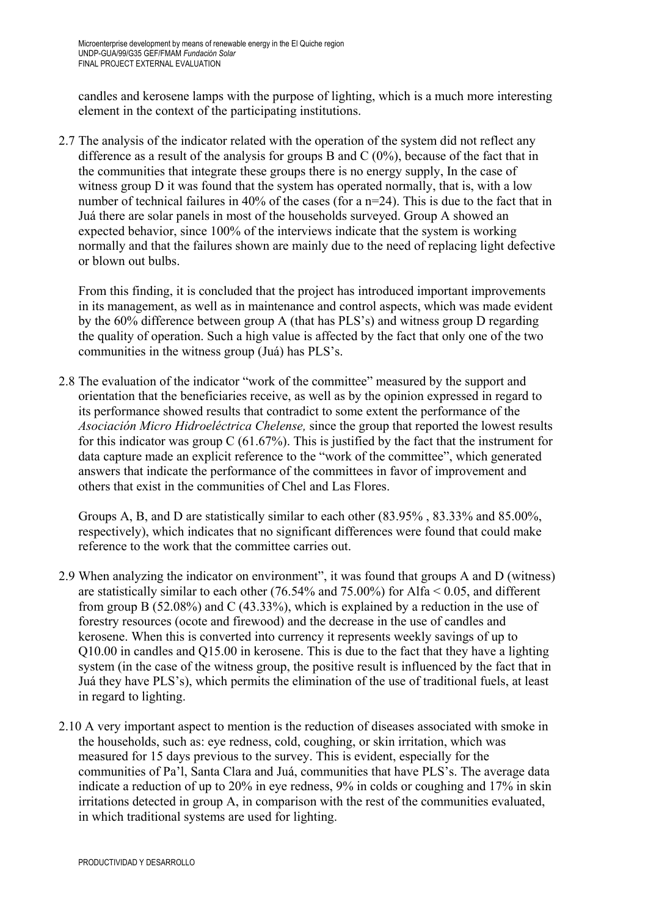candles and kerosene lamps with the purpose of lighting, which is a much more interesting element in the context of the participating institutions.

2.7 The analysis of the indicator related with the operation of the system did not reflect any difference as a result of the analysis for groups B and  $C(0\%)$ , because of the fact that in the communities that integrate these groups there is no energy supply, In the case of witness group D it was found that the system has operated normally, that is, with a low number of technical failures in 40% of the cases (for a n=24). This is due to the fact that in Juá there are solar panels in most of the households surveyed. Group A showed an expected behavior, since 100% of the interviews indicate that the system is working normally and that the failures shown are mainly due to the need of replacing light defective or blown out bulbs.

From this finding, it is concluded that the project has introduced important improvements in its management, as well as in maintenance and control aspects, which was made evident by the 60% difference between group A (that has PLS's) and witness group D regarding the quality of operation. Such a high value is affected by the fact that only one of the two communities in the witness group (Juá) has PLS's.

2.8 The evaluation of the indicator "work of the committee" measured by the support and orientation that the beneficiaries receive, as well as by the opinion expressed in regard to its performance showed results that contradict to some extent the performance of the *Asociación Micro Hidroeléctrica Chelense,* since the group that reported the lowest results for this indicator was group  $C$  (61.67%). This is justified by the fact that the instrument for data capture made an explicit reference to the "work of the committee", which generated answers that indicate the performance of the committees in favor of improvement and others that exist in the communities of Chel and Las Flores.

Groups A, B, and D are statistically similar to each other (83.95% , 83.33% and 85.00%, respectively), which indicates that no significant differences were found that could make reference to the work that the committee carries out.

- 2.9 When analyzing the indicator on environment", it was found that groups A and D (witness) are statistically similar to each other  $(76.54\%$  and  $75.00\%)$  for Alfa  $\leq 0.05$ , and different from group B (52.08%) and C (43.33%), which is explained by a reduction in the use of forestry resources (ocote and firewood) and the decrease in the use of candles and kerosene. When this is converted into currency it represents weekly savings of up to Q10.00 in candles and Q15.00 in kerosene. This is due to the fact that they have a lighting system (in the case of the witness group, the positive result is influenced by the fact that in Juá they have PLS's), which permits the elimination of the use of traditional fuels, at least in regard to lighting.
- 2.10 A very important aspect to mention is the reduction of diseases associated with smoke in the households, such as: eye redness, cold, coughing, or skin irritation, which was measured for 15 days previous to the survey. This is evident, especially for the communities of Pa'l, Santa Clara and Juá, communities that have PLS's. The average data indicate a reduction of up to 20% in eye redness, 9% in colds or coughing and 17% in skin irritations detected in group A, in comparison with the rest of the communities evaluated, in which traditional systems are used for lighting.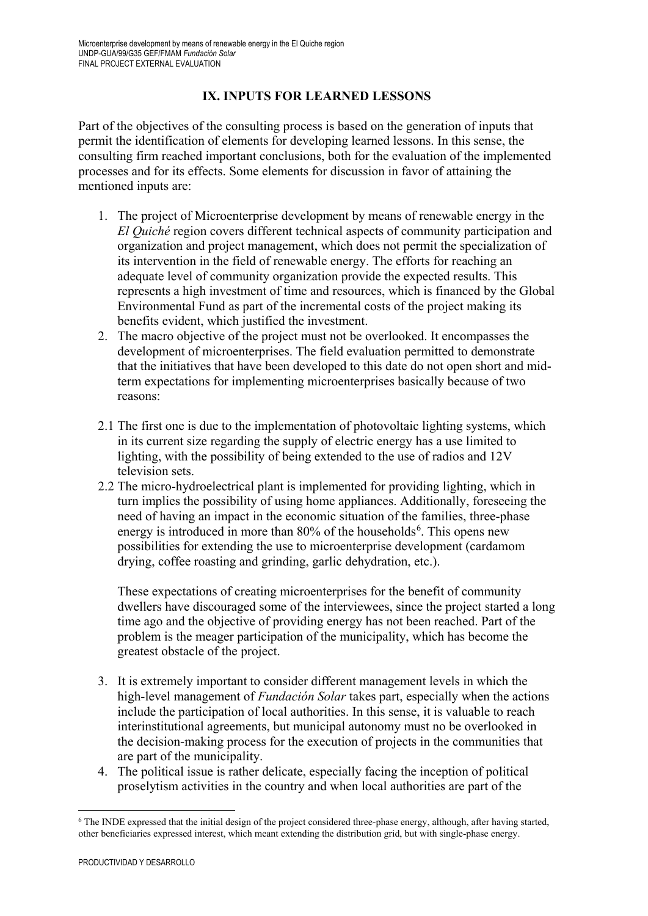## **IX. INPUTS FOR LEARNED LESSONS**

Part of the objectives of the consulting process is based on the generation of inputs that permit the identification of elements for developing learned lessons. In this sense, the consulting firm reached important conclusions, both for the evaluation of the implemented processes and for its effects. Some elements for discussion in favor of attaining the mentioned inputs are:

- 1. The project of Microenterprise development by means of renewable energy in the *El Quiché* region covers different technical aspects of community participation and organization and project management, which does not permit the specialization of its intervention in the field of renewable energy. The efforts for reaching an adequate level of community organization provide the expected results. This represents a high investment of time and resources, which is financed by the Global Environmental Fund as part of the incremental costs of the project making its benefits evident, which justified the investment.
- 2. The macro objective of the project must not be overlooked. It encompasses the development of microenterprises. The field evaluation permitted to demonstrate that the initiatives that have been developed to this date do not open short and midterm expectations for implementing microenterprises basically because of two reasons:
- 2.1 The first one is due to the implementation of photovoltaic lighting systems, which in its current size regarding the supply of electric energy has a use limited to lighting, with the possibility of being extended to the use of radios and 12V television sets.
- 2.2 The micro-hydroelectrical plant is implemented for providing lighting, which in turn implies the possibility of using home appliances. Additionally, foreseeing the need of having an impact in the economic situation of the families, three-phase energy is introduced in more than 80% of the households<sup>[6](#page-55-0)</sup>. This opens new possibilities for extending the use to microenterprise development (cardamom drying, coffee roasting and grinding, garlic dehydration, etc.).

These expectations of creating microenterprises for the benefit of community dwellers have discouraged some of the interviewees, since the project started a long time ago and the objective of providing energy has not been reached. Part of the problem is the meager participation of the municipality, which has become the greatest obstacle of the project.

- 3. It is extremely important to consider different management levels in which the high-level management of *Fundación Solar* takes part, especially when the actions include the participation of local authorities. In this sense, it is valuable to reach interinstitutional agreements, but municipal autonomy must no be overlooked in the decision-making process for the execution of projects in the communities that are part of the municipality.
- 4. The political issue is rather delicate, especially facing the inception of political proselytism activities in the country and when local authorities are part of the

<span id="page-55-0"></span><sup>-</sup><sup>6</sup> The INDE expressed that the initial design of the project considered three-phase energy, although, after having started, other beneficiaries expressed interest, which meant extending the distribution grid, but with single-phase energy.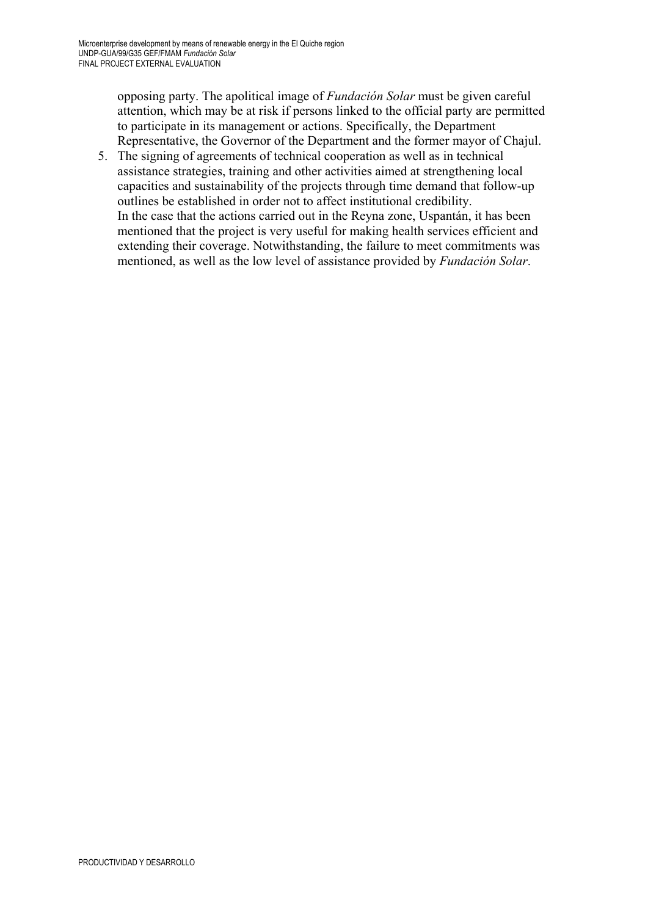opposing party. The apolitical image of *Fundación Solar* must be given careful attention, which may be at risk if persons linked to the official party are permitted to participate in its management or actions. Specifically, the Department Representative, the Governor of the Department and the former mayor of Chajul.

5. The signing of agreements of technical cooperation as well as in technical assistance strategies, training and other activities aimed at strengthening local capacities and sustainability of the projects through time demand that follow-up outlines be established in order not to affect institutional credibility. In the case that the actions carried out in the Reyna zone, Uspantán, it has been mentioned that the project is very useful for making health services efficient and extending their coverage. Notwithstanding, the failure to meet commitments was mentioned, as well as the low level of assistance provided by *Fundación Solar*.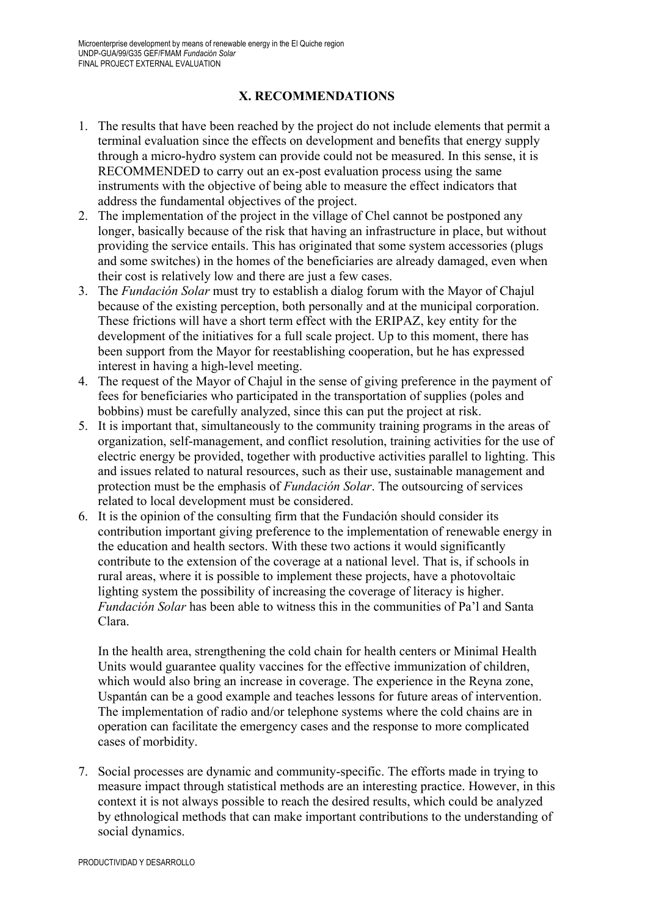# **X. RECOMMENDATIONS**

- 1. The results that have been reached by the project do not include elements that permit a terminal evaluation since the effects on development and benefits that energy supply through a micro-hydro system can provide could not be measured. In this sense, it is RECOMMENDED to carry out an ex-post evaluation process using the same instruments with the objective of being able to measure the effect indicators that address the fundamental objectives of the project.
- 2. The implementation of the project in the village of Chel cannot be postponed any longer, basically because of the risk that having an infrastructure in place, but without providing the service entails. This has originated that some system accessories (plugs and some switches) in the homes of the beneficiaries are already damaged, even when their cost is relatively low and there are just a few cases.
- 3. The *Fundación Solar* must try to establish a dialog forum with the Mayor of Chajul because of the existing perception, both personally and at the municipal corporation. These frictions will have a short term effect with the ERIPAZ, key entity for the development of the initiatives for a full scale project. Up to this moment, there has been support from the Mayor for reestablishing cooperation, but he has expressed interest in having a high-level meeting.
- 4. The request of the Mayor of Chajul in the sense of giving preference in the payment of fees for beneficiaries who participated in the transportation of supplies (poles and bobbins) must be carefully analyzed, since this can put the project at risk.
- 5. It is important that, simultaneously to the community training programs in the areas of organization, self-management, and conflict resolution, training activities for the use of electric energy be provided, together with productive activities parallel to lighting. This and issues related to natural resources, such as their use, sustainable management and protection must be the emphasis of *Fundación Solar*. The outsourcing of services related to local development must be considered.
- 6. It is the opinion of the consulting firm that the Fundación should consider its contribution important giving preference to the implementation of renewable energy in the education and health sectors. With these two actions it would significantly contribute to the extension of the coverage at a national level. That is, if schools in rural areas, where it is possible to implement these projects, have a photovoltaic lighting system the possibility of increasing the coverage of literacy is higher. *Fundación Solar* has been able to witness this in the communities of Pa'l and Santa Clara.

In the health area, strengthening the cold chain for health centers or Minimal Health Units would guarantee quality vaccines for the effective immunization of children, which would also bring an increase in coverage. The experience in the Reyna zone, Uspantán can be a good example and teaches lessons for future areas of intervention. The implementation of radio and/or telephone systems where the cold chains are in operation can facilitate the emergency cases and the response to more complicated cases of morbidity.

7. Social processes are dynamic and community-specific. The efforts made in trying to measure impact through statistical methods are an interesting practice. However, in this context it is not always possible to reach the desired results, which could be analyzed by ethnological methods that can make important contributions to the understanding of social dynamics.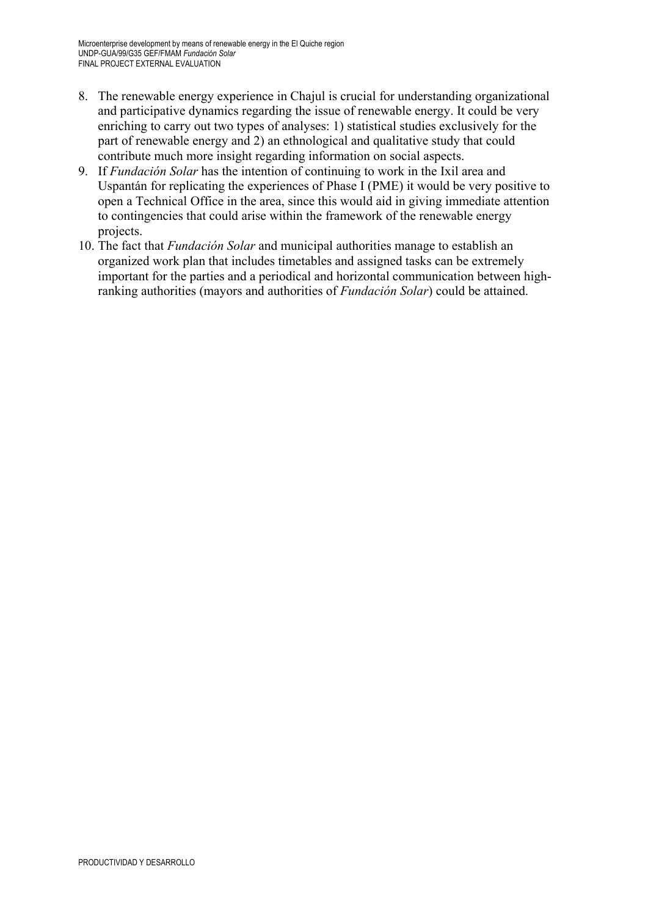- 8. The renewable energy experience in Chajul is crucial for understanding organizational and participative dynamics regarding the issue of renewable energy. It could be very enriching to carry out two types of analyses: 1) statistical studies exclusively for the part of renewable energy and 2) an ethnological and qualitative study that could contribute much more insight regarding information on social aspects.
- 9. If *Fundación Solar* has the intention of continuing to work in the Ixil area and Uspantán for replicating the experiences of Phase I (PME) it would be very positive to open a Technical Office in the area, since this would aid in giving immediate attention to contingencies that could arise within the framework of the renewable energy projects.
- 10. The fact that *Fundación Solar* and municipal authorities manage to establish an organized work plan that includes timetables and assigned tasks can be extremely important for the parties and a periodical and horizontal communication between highranking authorities (mayors and authorities of *Fundación Solar*) could be attained.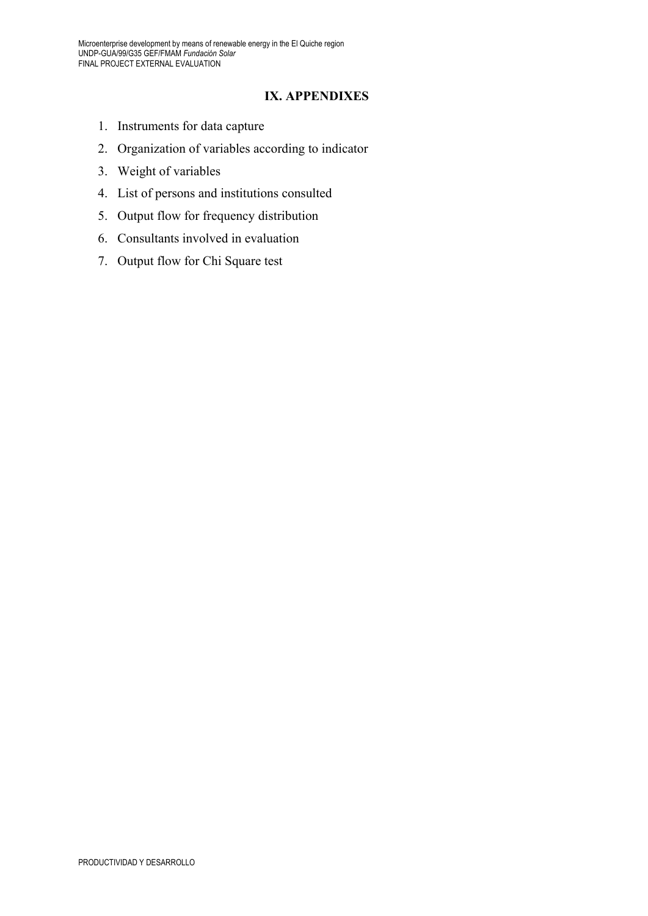### **IX. APPENDIXES**

- 1. Instruments for data capture
- 2. Organization of variables according to indicator
- 3. Weight of variables
- 4. List of persons and institutions consulted
- 5. Output flow for frequency distribution
- 6. Consultants involved in evaluation
- 7. Output flow for Chi Square test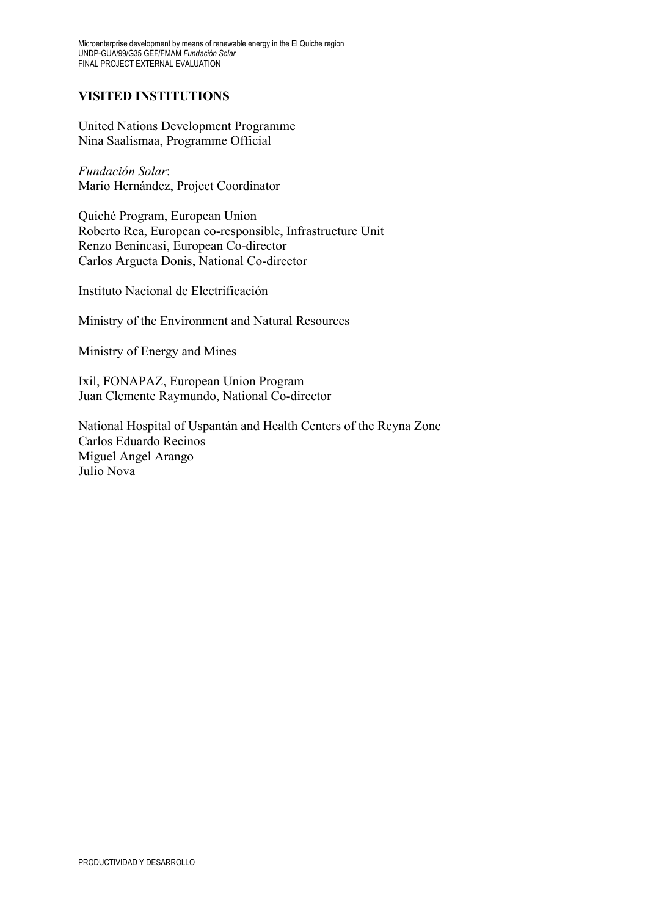## **VISITED INSTITUTIONS**

United Nations Development Programme Nina Saalismaa, Programme Official

*Fundación Solar*: Mario Hernández, Project Coordinator

Quiché Program, European Union Roberto Rea, European co-responsible, Infrastructure Unit Renzo Benincasi, European Co-director Carlos Argueta Donis, National Co-director

Instituto Nacional de Electrificación

Ministry of the Environment and Natural Resources

Ministry of Energy and Mines

Ixil, FONAPAZ, European Union Program Juan Clemente Raymundo, National Co-director

National Hospital of Uspantán and Health Centers of the Reyna Zone Carlos Eduardo Recinos Miguel Angel Arango Julio Nova